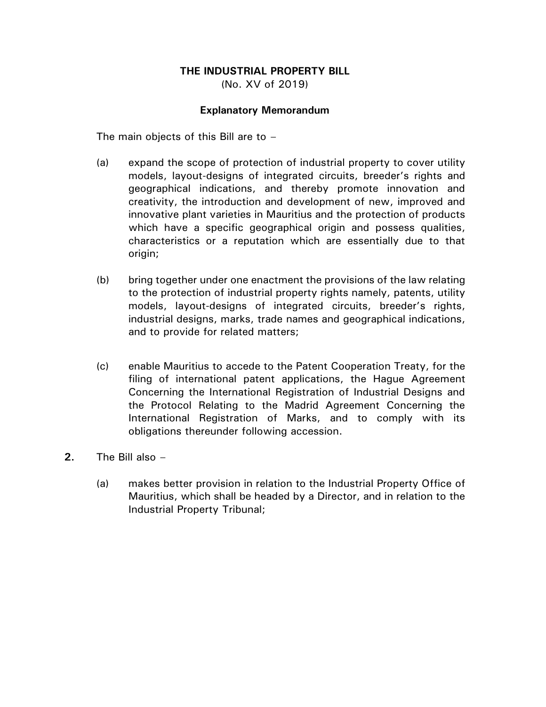# **THE INDUSTRIAL PROPERTY BILL**

(No. XV of 2019)

## **Explanatory Memorandum**

The main objects of this Bill are to –

- (a) expand the scope of protection of industrial property to cover utility models, layout-designs of integrated circuits, breeder's rights and geographical indications, and thereby promote innovation and creativity, the introduction and development of new, improved and innovative plant varieties in Mauritius and the protection of products which have a specific geographical origin and possess qualities, characteristics or a reputation which are essentially due to that origin;
- (b) bring together under one enactment the provisions of the law relating to the protection of industrial property rights namely, patents, utility models, layout-designs of integrated circuits, breeder's rights, industrial designs, marks, trade names and geographical indications, and to provide for related matters;
- (c) enable Mauritius to accede to the Patent Cooperation Treaty, for the filing of international patent applications, the Hague Agreement Concerning the International Registration of Industrial Designs and the Protocol Relating to the Madrid Agreement Concerning the International Registration of Marks, and to comply with its obligations thereunder following accession.
- **2.** The Bill also
	- (a) makes better provision in relation to the Industrial Property Office of Mauritius, which shall be headed by a Director, and in relation to the Industrial Property Tribunal;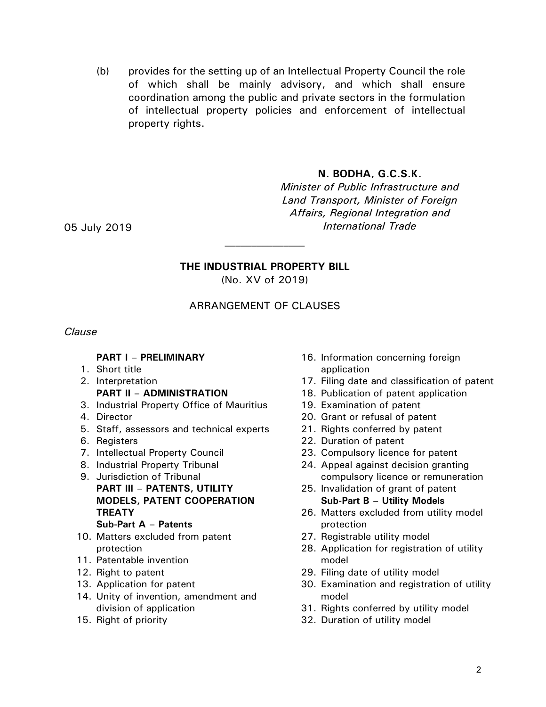(b) provides for the setting up of an Intellectual Property Council the role of which shall be mainly advisory, and which shall ensure coordination among the public and private sectors in the formulation of intellectual property policies and enforcement of intellectual property rights.

## **N. BODHA, G.C.S.K.**

*Minister of Public Infrastructure and Land Transport, Minister of Foreign Affairs, Regional Integration and*  05 July 2019 *International Trade* 

# **THE INDUSTRIAL PROPERTY BILL**

(No. XV of 2019)

## ARRANGEMENT OF CLAUSES

### *Clause*

## **PART I – PRELIMINARY**

- 1. Short title
- 2. Interpretation **PART II – ADMINISTRATION**
- 3. Industrial Property Office of Mauritius
- 4. Director
- 5. Staff, assessors and technical experts
- 6. Registers
- 7. Intellectual Property Council
- 8. Industrial Property Tribunal
- 9. Jurisdiction of Tribunal **PART III – PATENTS, UTILITY MODELS, PATENT COOPERATION TREATY**

### **Sub-Part A – Patents**

- 10. Matters excluded from patent protection
- 11. Patentable invention
- 12. Right to patent
- 13. Application for patent
- 14. Unity of invention, amendment and division of application
- 15. Right of priority
- 16. Information concerning foreign application
- 17. Filing date and classification of patent
- 18. Publication of patent application
- 19. Examination of patent
- 20. Grant or refusal of patent
- 21. Rights conferred by patent
- 22. Duration of patent
- 23. Compulsory licence for patent
- 24. Appeal against decision granting compulsory licence or remuneration
- 25. Invalidation of grant of patent **Sub-Part B – Utility Models**
- 26. Matters excluded from utility model protection
- 27. Registrable utility model
- 28. Application for registration of utility model
- 29. Filing date of utility model
- 30. Examination and registration of utility model
- 31. Rights conferred by utility model
- 32. Duration of utility model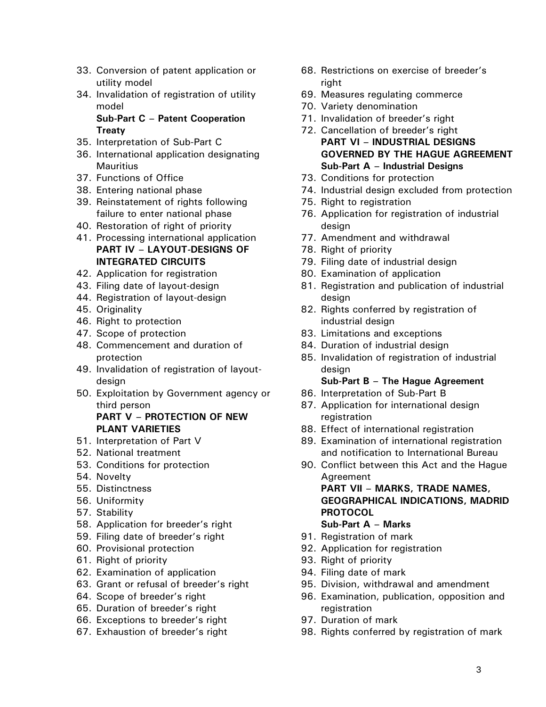- 33. Conversion of patent application or utility model
- 34. Invalidation of registration of utility model

**Sub-Part C – Patent Cooperation Treaty**

- 35. Interpretation of Sub-Part C
- 36. International application designating **Mauritius**
- 37. Functions of Office
- 38. Entering national phase
- 39. Reinstatement of rights following failure to enter national phase
- 40. Restoration of right of priority
- 41. Processing international application **PART IV – LAYOUT-DESIGNS OF INTEGRATED CIRCUITS**
- 42. Application for registration
- 43. Filing date of layout-design
- 44. Registration of layout-design
- 45. Originality
- 46. Right to protection
- 47. Scope of protection
- 48. Commencement and duration of protection
- 49. Invalidation of registration of layoutdesign
- 50. Exploitation by Government agency or third person **PART V – PROTECTION OF NEW PLANT VARIETIES**
- 51. Interpretation of Part V
- 52. National treatment
- 53. Conditions for protection
- 54. Novelty
- 55. Distinctness
- 56. Uniformity
- 57. Stability
- 58. Application for breeder's right
- 59. Filing date of breeder's right
- 60. Provisional protection
- 61. Right of priority
- 62. Examination of application
- 63. Grant or refusal of breeder's right
- 64. Scope of breeder's right
- 65. Duration of breeder's right
- 66. Exceptions to breeder's right
- 67. Exhaustion of breeder's right
- 68. Restrictions on exercise of breeder's right
- 69. Measures regulating commerce
- 70. Variety denomination
- 71. Invalidation of breeder's right
- 72. Cancellation of breeder's right **PART VI – INDUSTRIAL DESIGNS GOVERNED BY THE HAGUE AGREEMENT Sub-Part A – Industrial Designs**
- 73. Conditions for protection
- 74. Industrial design excluded from protection
- 75. Right to registration
- 76. Application for registration of industrial design
- 77. Amendment and withdrawal
- 78. Right of priority
- 79. Filing date of industrial design
- 80. Examination of application
- 81. Registration and publication of industrial design
- 82. Rights conferred by registration of industrial design
- 83. Limitations and exceptions
- 84. Duration of industrial design
- 85. Invalidation of registration of industrial design

#### **Sub-Part B – The Hague Agreement**

- 86. Interpretation of Sub-Part B
- 87. Application for international design registration
- 88. Effect of international registration
- 89. Examination of international registration and notification to International Bureau
- 90. Conflict between this Act and the Hague Agreement

**PART VII – MARKS, TRADE NAMES, GEOGRAPHICAL INDICATIONS, MADRID PROTOCOL**

- **Sub-Part A – Marks**
- 91. Registration of mark
- 92. Application for registration
- 93. Right of priority
- 94. Filing date of mark
- 95. Division, withdrawal and amendment
- 96. Examination, publication, opposition and registration
- 97. Duration of mark
- 98. Rights conferred by registration of mark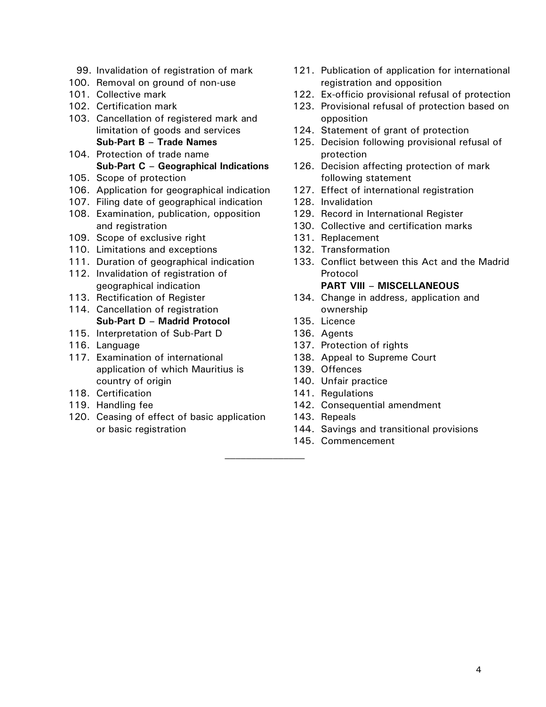- 99. Invalidation of registration of mark
- 100. Removal on ground of non-use
- 101. Collective mark
- 102. Certification mark
- 103. Cancellation of registered mark and limitation of goods and services **Sub-Part B – Trade Names**
- 104. Protection of trade name **Sub-Part C – Geographical Indications**
- 105. Scope of protection
- 106. Application for geographical indication
- 107. Filing date of geographical indication
- 108. Examination, publication, opposition and registration
- 109. Scope of exclusive right
- 110. Limitations and exceptions
- 111. Duration of geographical indication
- 112. Invalidation of registration of geographical indication
- 113. Rectification of Register
- 114. Cancellation of registration **Sub-Part D – Madrid Protocol**
- 115. Interpretation of Sub-Part D
- 116. Language
- 117. Examination of international application of which Mauritius is country of origin
- 118. Certification
- 119. Handling fee
- 120. Ceasing of effect of basic application or basic registration
- 121. Publication of application for international registration and opposition
- 122. Ex-officio provisional refusal of protection
- 123. Provisional refusal of protection based on opposition
- 124. Statement of grant of protection
- 125. Decision following provisional refusal of protection
- 126. Decision affecting protection of mark following statement
- 127. Effect of international registration
- 128. Invalidation
- 129. Record in International Register
- 130. Collective and certification marks
- 131. Replacement
- 132. Transformation
- 133. Conflict between this Act and the Madrid Protocol

#### **PART VIII – MISCELLANEOUS**

- 134. Change in address, application and ownership
- 135. Licence
- 136. Agents
- 137. Protection of rights
- 138. Appeal to Supreme Court
- 139. Offences
- 140. Unfair practice
- 141. Regulations
- 142. Consequential amendment
- 143. Repeals
- 144. Savings and transitional provisions
- 145. Commencement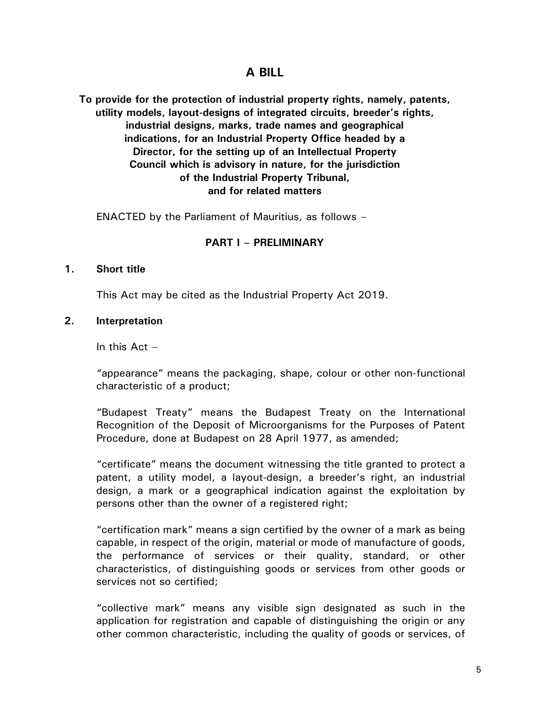# **A BILL**

**To provide for the protection of industrial property rights, namely, patents, utility models, layout-designs of integrated circuits, breeder's rights, industrial designs, marks, trade names and geographical indications, for an Industrial Property Office headed by a Director, for the setting up of an Intellectual Property Council which is advisory in nature, for the jurisdiction of the Industrial Property Tribunal, and for related matters**

ENACTED by the Parliament of Mauritius, as follows –

## **PART I – PRELIMINARY**

### **1. Short title**

This Act may be cited as the Industrial Property Act 2019.

#### **2. Interpretation**

In this  $Act -$ 

"appearance" means the packaging, shape, colour or other non-functional characteristic of a product;

"Budapest Treaty" means the Budapest Treaty on the International Recognition of the Deposit of Microorganisms for the Purposes of Patent Procedure, done at Budapest on 28 April 1977, as amended;

"certificate" means the document witnessing the title granted to protect a patent, a utility model, a layout-design, a breeder's right, an industrial design, a mark or a geographical indication against the exploitation by persons other than the owner of a registered right;

"certification mark" means a sign certified by the owner of a mark as being capable, in respect of the origin, material or mode of manufacture of goods, the performance of services or their quality, standard, or other characteristics, of distinguishing goods or services from other goods or services not so certified;

"collective mark" means any visible sign designated as such in the application for registration and capable of distinguishing the origin or any other common characteristic, including the quality of goods or services, of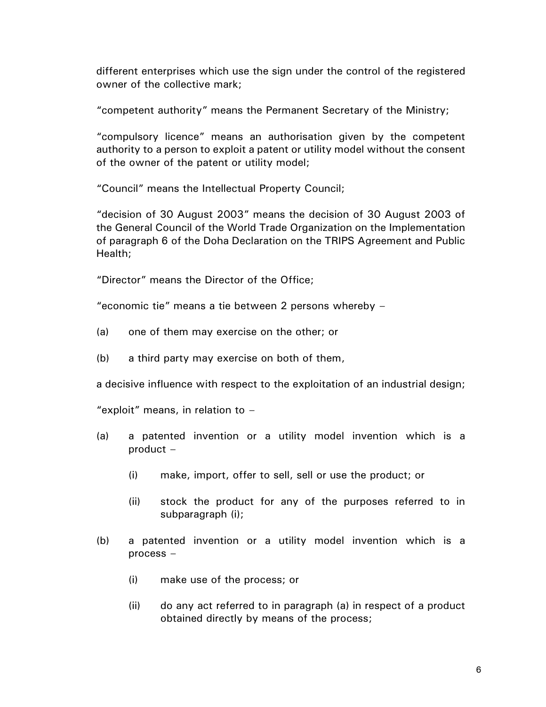different enterprises which use the sign under the control of the registered owner of the collective mark;

"competent authority" means the Permanent Secretary of the Ministry;

"compulsory licence" means an authorisation given by the competent authority to a person to exploit a patent or utility model without the consent of the owner of the patent or utility model;

"Council" means the Intellectual Property Council;

"decision of 30 August 2003" means the decision of 30 August 2003 of the General Council of the World Trade Organization on the Implementation of paragraph 6 of the Doha Declaration on the TRIPS Agreement and Public Health;

"Director" means the Director of the Office;

"economic tie" means a tie between 2 persons whereby –

- (a) one of them may exercise on the other; or
- (b) a third party may exercise on both of them,

a decisive influence with respect to the exploitation of an industrial design;

"exploit" means, in relation to  $-$ 

- (a) a patented invention or a utility model invention which is a product –
	- (i) make, import, offer to sell, sell or use the product; or
	- (ii) stock the product for any of the purposes referred to in subparagraph (i);
- (b) a patented invention or a utility model invention which is a process –
	- (i) make use of the process; or
	- (ii) do any act referred to in paragraph (a) in respect of a product obtained directly by means of the process;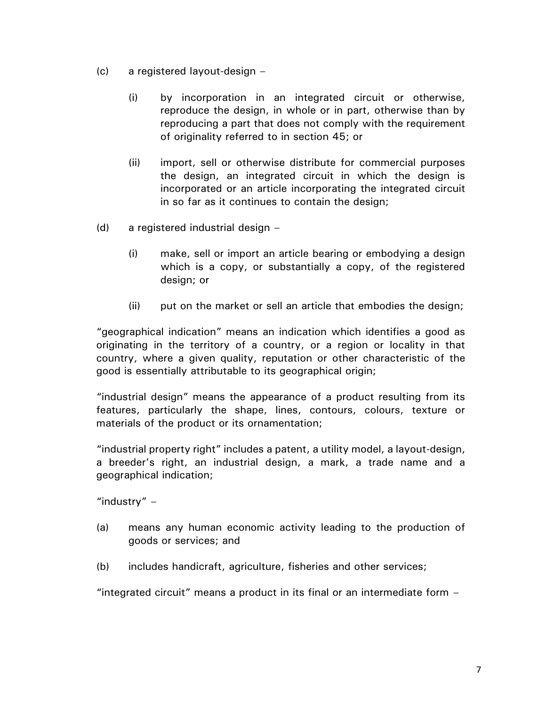- (c) a registered layout-design
	- (i) by incorporation in an integrated circuit or otherwise, reproduce the design, in whole or in part, otherwise than by reproducing a part that does not comply with the requirement of originality referred to in section 45; or
	- (ii) import, sell or otherwise distribute for commercial purposes the design, an integrated circuit in which the design is incorporated or an article incorporating the integrated circuit in so far as it continues to contain the design;
- (d) a registered industrial design
	- (i) make, sell or import an article bearing or embodying a design which is a copy, or substantially a copy, of the registered design; or
	- (ii) put on the market or sell an article that embodies the design;

"geographical indication" means an indication which identifies a good as originating in the territory of a country, or a region or locality in that country, where a given quality, reputation or other characteristic of the good is essentially attributable to its geographical origin;

"industrial design" means the appearance of a product resulting from its features, particularly the shape, lines, contours, colours, texture or materials of the product or its ornamentation;

"industrial property right" includes a patent, a utility model, a layout-design, a breeder's right, an industrial design, a mark, a trade name and a geographical indication;

"industry"  $-$ 

- (a) means any human economic activity leading to the production of goods or services; and
- (b) includes handicraft, agriculture, fisheries and other services;

"integrated circuit" means a product in its final or an intermediate form –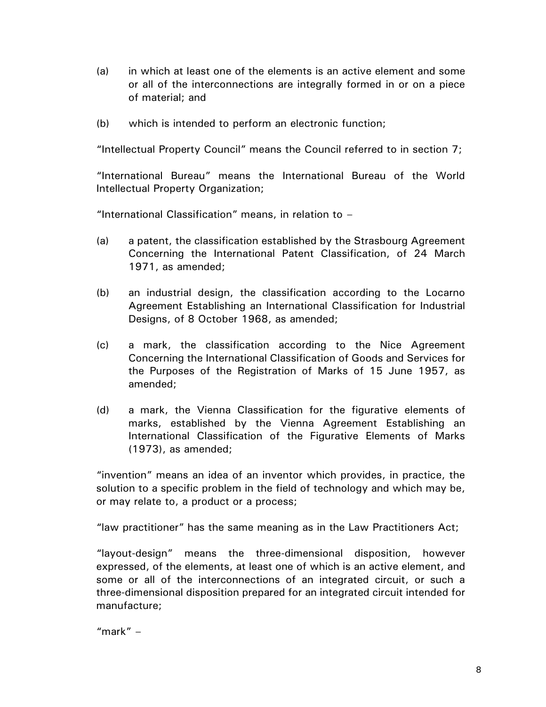- (a) in which at least one of the elements is an active element and some or all of the interconnections are integrally formed in or on a piece of material; and
- (b) which is intended to perform an electronic function;

"Intellectual Property Council" means the Council referred to in section 7;

"International Bureau" means the International Bureau of the World Intellectual Property Organization;

"International Classification" means, in relation to  $-$ 

- (a) a patent, the classification established by the Strasbourg Agreement Concerning the International Patent Classification, of 24 March 1971, as amended;
- (b) an industrial design, the classification according to the Locarno Agreement Establishing an International Classification for Industrial Designs, of 8 October 1968, as amended;
- (c) a mark, the classification according to the Nice Agreement Concerning the International Classification of Goods and Services for the Purposes of the Registration of Marks of 15 June 1957, as amended;
- (d) a mark, the Vienna Classification for the figurative elements of marks, established by the Vienna Agreement Establishing an International Classification of the Figurative Elements of Marks (1973), as amended;

"invention" means an idea of an inventor which provides, in practice, the solution to a specific problem in the field of technology and which may be, or may relate to, a product or a process;

"law practitioner" has the same meaning as in the Law Practitioners Act;

"layout-design" means the three-dimensional disposition, however expressed, of the elements, at least one of which is an active element, and some or all of the interconnections of an integrated circuit, or such a three-dimensional disposition prepared for an integrated circuit intended for manufacture;

"mark"  $-$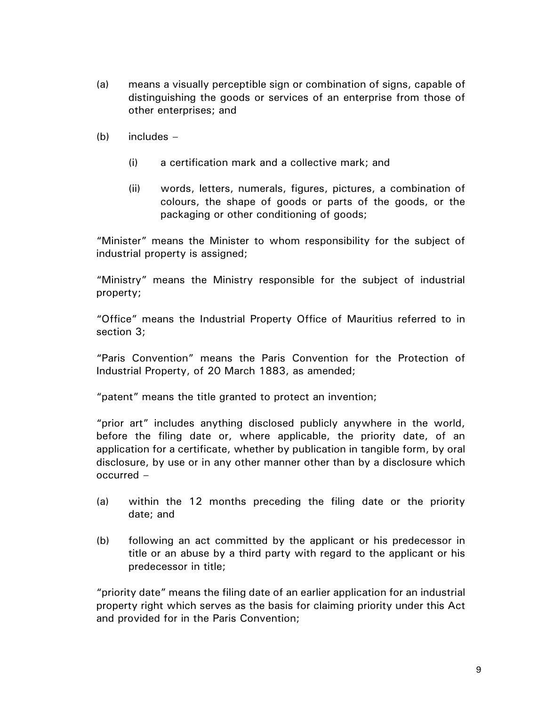- (a) means a visually perceptible sign or combination of signs, capable of distinguishing the goods or services of an enterprise from those of other enterprises; and
- $(b)$  includes  $-$ 
	- (i) a certification mark and a collective mark; and
	- (ii) words, letters, numerals, figures, pictures, a combination of colours, the shape of goods or parts of the goods, or the packaging or other conditioning of goods;

"Minister" means the Minister to whom responsibility for the subject of industrial property is assigned;

"Ministry" means the Ministry responsible for the subject of industrial property;

"Office" means the Industrial Property Office of Mauritius referred to in section 3;

"Paris Convention" means the Paris Convention for the Protection of Industrial Property, of 20 March 1883, as amended;

"patent" means the title granted to protect an invention;

"prior art" includes anything disclosed publicly anywhere in the world, before the filing date or, where applicable, the priority date, of an application for a certificate, whether by publication in tangible form, by oral disclosure, by use or in any other manner other than by a disclosure which occurred –

- (a) within the 12 months preceding the filing date or the priority date; and
- (b) following an act committed by the applicant or his predecessor in title or an abuse by a third party with regard to the applicant or his predecessor in title;

"priority date" means the filing date of an earlier application for an industrial property right which serves as the basis for claiming priority under this Act and provided for in the Paris Convention;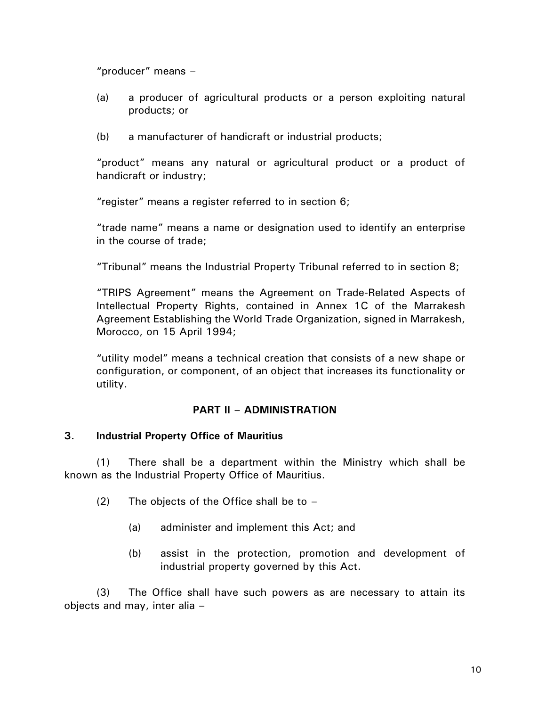"producer" means –

- (a) a producer of agricultural products or a person exploiting natural products; or
- (b) a manufacturer of handicraft or industrial products;

"product" means any natural or agricultural product or a product of handicraft or industry;

"register" means a register referred to in section 6;

"trade name" means a name or designation used to identify an enterprise in the course of trade;

"Tribunal" means the Industrial Property Tribunal referred to in section 8;

"TRIPS Agreement" means the Agreement on Trade-Related Aspects of Intellectual Property Rights, contained in Annex 1C of the Marrakesh Agreement Establishing the World Trade Organization, signed in Marrakesh, Morocco, on 15 April 1994;

"utility model" means a technical creation that consists of a new shape or configuration, or component, of an object that increases its functionality or utility.

### **PART II – ADMINISTRATION**

### **3. Industrial Property Office of Mauritius**

(1) There shall be a department within the Ministry which shall be known as the Industrial Property Office of Mauritius.

- (2) The objects of the Office shall be to  $-$ 
	- (a) administer and implement this Act; and
	- (b) assist in the protection, promotion and development of industrial property governed by this Act.

(3) The Office shall have such powers as are necessary to attain its objects and may, inter alia –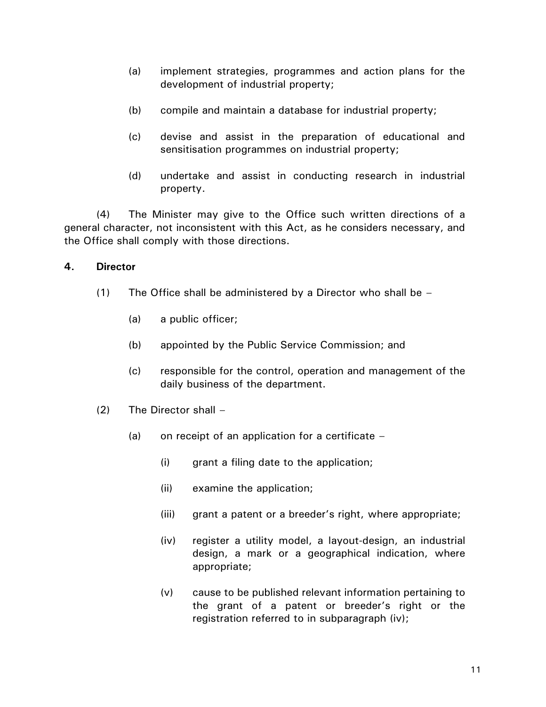- (a) implement strategies, programmes and action plans for the development of industrial property;
- (b) compile and maintain a database for industrial property;
- (c) devise and assist in the preparation of educational and sensitisation programmes on industrial property;
- (d) undertake and assist in conducting research in industrial property.

(4) The Minister may give to the Office such written directions of a general character, not inconsistent with this Act, as he considers necessary, and the Office shall comply with those directions.

# **4. Director**

- (1) The Office shall be administered by a Director who shall be  $-$ 
	- (a) a public officer;
	- (b) appointed by the Public Service Commission; and
	- (c) responsible for the control, operation and management of the daily business of the department.
- (2) The Director shall
	- (a) on receipt of an application for a certificate  $-$ 
		- (i) grant a filing date to the application;
		- (ii) examine the application;
		- (iii) grant a patent or a breeder's right, where appropriate;
		- (iv) register a utility model, a layout-design, an industrial design, a mark or a geographical indication, where appropriate;
		- (v) cause to be published relevant information pertaining to the grant of a patent or breeder's right or the registration referred to in subparagraph (iv);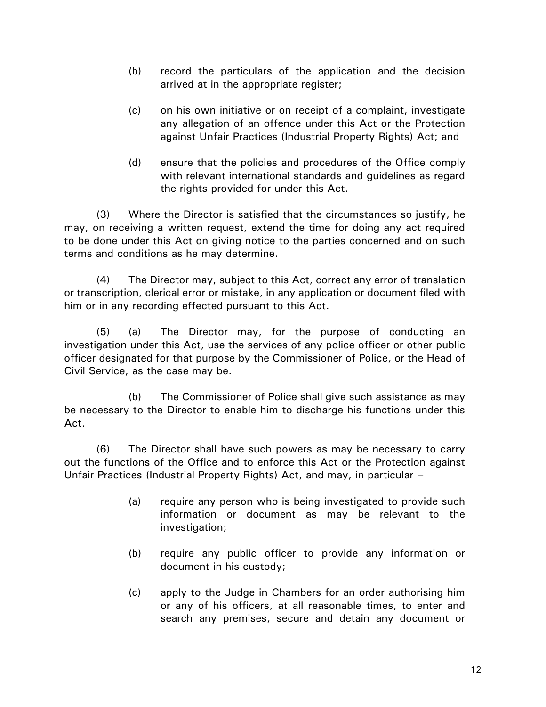- (b) record the particulars of the application and the decision arrived at in the appropriate register;
- (c) on his own initiative or on receipt of a complaint, investigate any allegation of an offence under this Act or the Protection against Unfair Practices (Industrial Property Rights) Act; and
- (d) ensure that the policies and procedures of the Office comply with relevant international standards and guidelines as regard the rights provided for under this Act.

(3) Where the Director is satisfied that the circumstances so justify, he may, on receiving a written request, extend the time for doing any act required to be done under this Act on giving notice to the parties concerned and on such terms and conditions as he may determine.

(4) The Director may, subject to this Act, correct any error of translation or transcription, clerical error or mistake, in any application or document filed with him or in any recording effected pursuant to this Act.

(5) (a) The Director may, for the purpose of conducting an investigation under this Act, use the services of any police officer or other public officer designated for that purpose by the Commissioner of Police, or the Head of Civil Service, as the case may be.

(b) The Commissioner of Police shall give such assistance as may be necessary to the Director to enable him to discharge his functions under this Act.

(6) The Director shall have such powers as may be necessary to carry out the functions of the Office and to enforce this Act or the Protection against Unfair Practices (Industrial Property Rights) Act, and may, in particular –

- (a) require any person who is being investigated to provide such information or document as may be relevant to the investigation;
- (b) require any public officer to provide any information or document in his custody;
- (c) apply to the Judge in Chambers for an order authorising him or any of his officers, at all reasonable times, to enter and search any premises, secure and detain any document or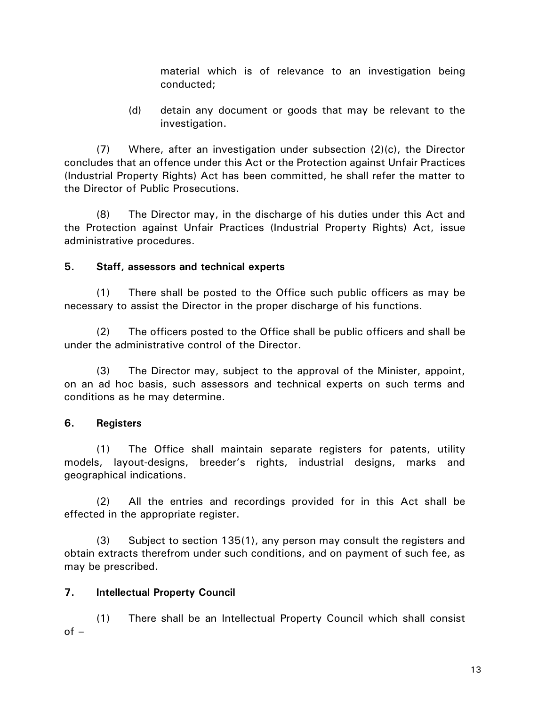material which is of relevance to an investigation being conducted;

(d) detain any document or goods that may be relevant to the investigation.

(7) Where, after an investigation under subsection (2)(c), the Director concludes that an offence under this Act or the Protection against Unfair Practices (Industrial Property Rights) Act has been committed, he shall refer the matter to the Director of Public Prosecutions.

(8) The Director may, in the discharge of his duties under this Act and the Protection against Unfair Practices (Industrial Property Rights) Act, issue administrative procedures.

# **5. Staff, assessors and technical experts**

(1) There shall be posted to the Office such public officers as may be necessary to assist the Director in the proper discharge of his functions.

(2) The officers posted to the Office shall be public officers and shall be under the administrative control of the Director.

(3) The Director may, subject to the approval of the Minister, appoint, on an ad hoc basis, such assessors and technical experts on such terms and conditions as he may determine.

# **6. Registers**

(1) The Office shall maintain separate registers for patents, utility models, layout-designs, breeder's rights, industrial designs, marks and geographical indications.

(2) All the entries and recordings provided for in this Act shall be effected in the appropriate register.

(3) Subject to section 135(1), any person may consult the registers and obtain extracts therefrom under such conditions, and on payment of such fee, as may be prescribed.

# **7. Intellectual Property Council**

(1) There shall be an Intellectual Property Council which shall consist  $of -$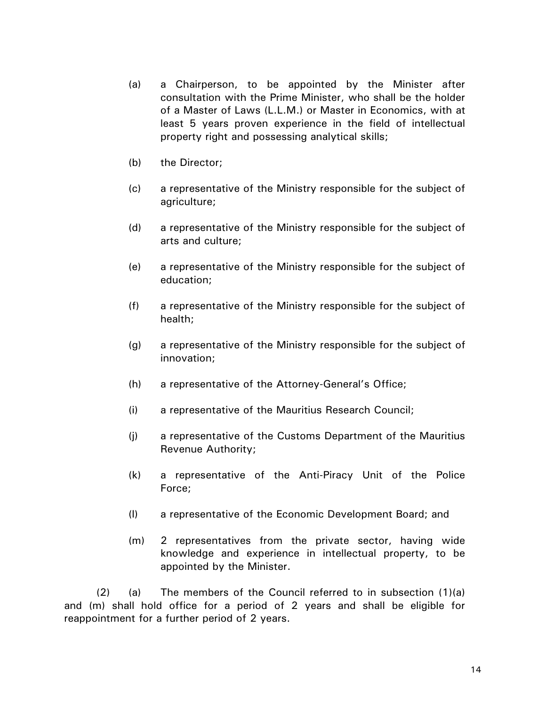- (a) a Chairperson, to be appointed by the Minister after consultation with the Prime Minister, who shall be the holder of a Master of Laws (L.L.M.) or Master in Economics, with at least 5 years proven experience in the field of intellectual property right and possessing analytical skills;
- (b) the Director;
- (c) a representative of the Ministry responsible for the subject of agriculture;
- (d) a representative of the Ministry responsible for the subject of arts and culture;
- (e) a representative of the Ministry responsible for the subject of education;
- (f) a representative of the Ministry responsible for the subject of health;
- (g) a representative of the Ministry responsible for the subject of innovation;
- (h) a representative of the Attorney-General's Office;
- (i) a representative of the Mauritius Research Council;
- (j) a representative of the Customs Department of the Mauritius Revenue Authority;
- (k) a representative of the Anti-Piracy Unit of the Police Force;
- (l) a representative of the Economic Development Board; and
- (m) 2 representatives from the private sector, having wide knowledge and experience in intellectual property, to be appointed by the Minister.

 $(2)$  (a) The members of the Council referred to in subsection  $(1)(a)$ and (m) shall hold office for a period of 2 years and shall be eligible for reappointment for a further period of 2 years.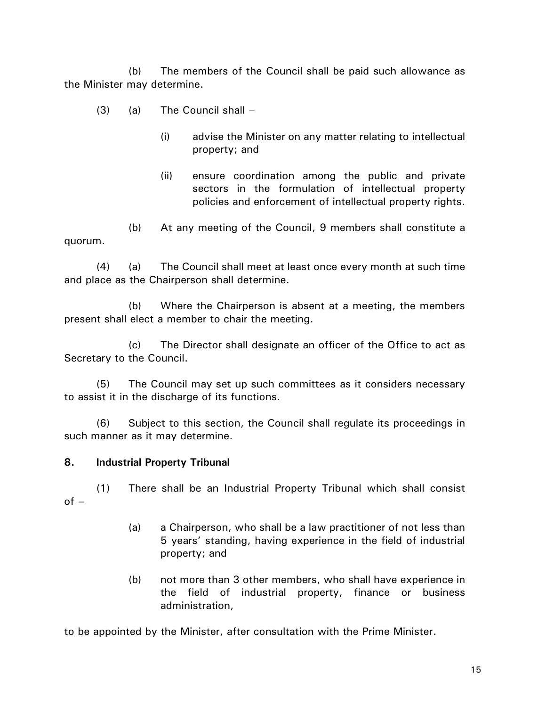(b) The members of the Council shall be paid such allowance as the Minister may determine.

- (3) (a) The Council shall
	- (i) advise the Minister on any matter relating to intellectual property; and
	- (ii) ensure coordination among the public and private sectors in the formulation of intellectual property policies and enforcement of intellectual property rights.

(b) At any meeting of the Council, 9 members shall constitute a quorum.

(4) (a) The Council shall meet at least once every month at such time and place as the Chairperson shall determine.

(b) Where the Chairperson is absent at a meeting, the members present shall elect a member to chair the meeting.

(c) The Director shall designate an officer of the Office to act as Secretary to the Council.

(5) The Council may set up such committees as it considers necessary to assist it in the discharge of its functions.

(6) Subject to this section, the Council shall regulate its proceedings in such manner as it may determine.

## **8. Industrial Property Tribunal**

(1) There shall be an Industrial Property Tribunal which shall consist of –

- (a) a Chairperson, who shall be a law practitioner of not less than 5 years' standing, having experience in the field of industrial property; and
- (b) not more than 3 other members, who shall have experience in the field of industrial property, finance or business administration,

to be appointed by the Minister, after consultation with the Prime Minister.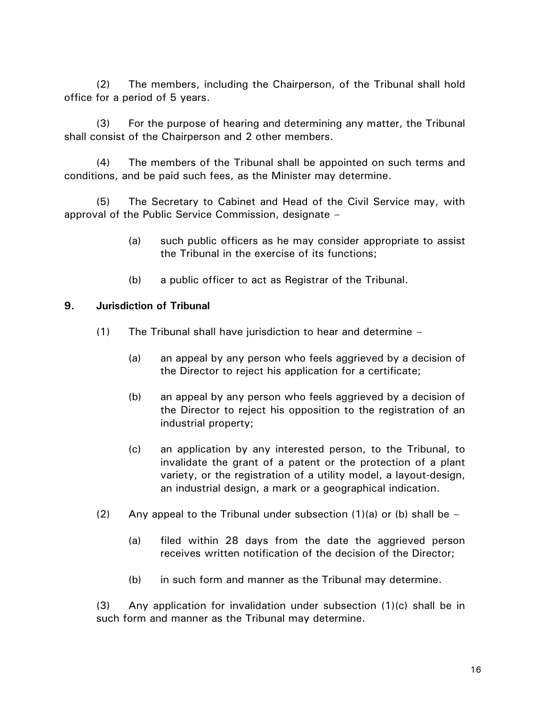(2) The members, including the Chairperson, of the Tribunal shall hold office for a period of 5 years.

(3) For the purpose of hearing and determining any matter, the Tribunal shall consist of the Chairperson and 2 other members.

(4) The members of the Tribunal shall be appointed on such terms and conditions, and be paid such fees, as the Minister may determine.

(5) The Secretary to Cabinet and Head of the Civil Service may, with approval of the Public Service Commission, designate –

- (a) such public officers as he may consider appropriate to assist the Tribunal in the exercise of its functions;
- (b) a public officer to act as Registrar of the Tribunal.

## **9. Jurisdiction of Tribunal**

- (1) The Tribunal shall have jurisdiction to hear and determine
	- (a) an appeal by any person who feels aggrieved by a decision of the Director to reject his application for a certificate;
	- (b) an appeal by any person who feels aggrieved by a decision of the Director to reject his opposition to the registration of an industrial property;
	- (c) an application by any interested person, to the Tribunal, to invalidate the grant of a patent or the protection of a plant variety, or the registration of a utility model, a layout-design, an industrial design, a mark or a geographical indication.
- (2) Any appeal to the Tribunal under subsection  $(1)(a)$  or (b) shall be
	- (a) filed within 28 days from the date the aggrieved person receives written notification of the decision of the Director;
	- (b) in such form and manner as the Tribunal may determine.

 $(3)$  Any application for invalidation under subsection  $(1)(c)$  shall be in such form and manner as the Tribunal may determine.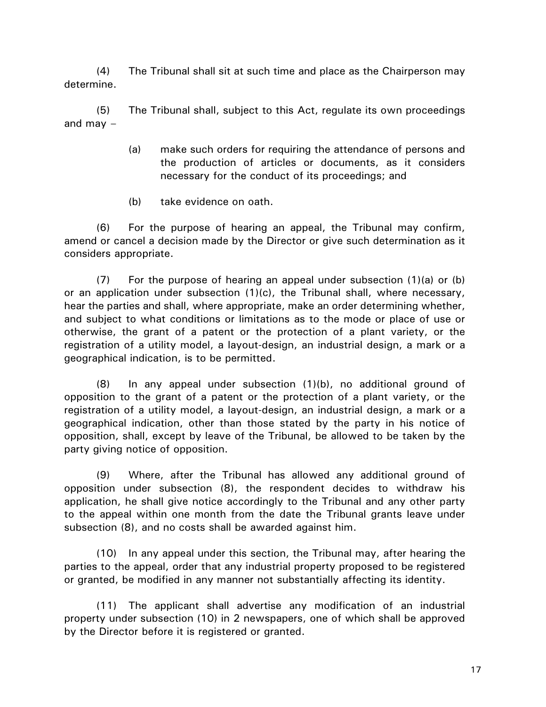(4) The Tribunal shall sit at such time and place as the Chairperson may determine.

(5) The Tribunal shall, subject to this Act, regulate its own proceedings and may  $-$ 

- (a) make such orders for requiring the attendance of persons and the production of articles or documents, as it considers necessary for the conduct of its proceedings; and
- (b) take evidence on oath.

(6) For the purpose of hearing an appeal, the Tribunal may confirm, amend or cancel a decision made by the Director or give such determination as it considers appropriate.

(7) For the purpose of hearing an appeal under subsection (1)(a) or (b) or an application under subsection  $(1)(c)$ , the Tribunal shall, where necessary, hear the parties and shall, where appropriate, make an order determining whether, and subject to what conditions or limitations as to the mode or place of use or otherwise, the grant of a patent or the protection of a plant variety, or the registration of a utility model, a layout-design, an industrial design, a mark or a geographical indication, is to be permitted.

(8) In any appeal under subsection (1)(b), no additional ground of opposition to the grant of a patent or the protection of a plant variety, or the registration of a utility model, a layout-design, an industrial design, a mark or a geographical indication, other than those stated by the party in his notice of opposition, shall, except by leave of the Tribunal, be allowed to be taken by the party giving notice of opposition.

(9) Where, after the Tribunal has allowed any additional ground of opposition under subsection (8), the respondent decides to withdraw his application, he shall give notice accordingly to the Tribunal and any other party to the appeal within one month from the date the Tribunal grants leave under subsection (8), and no costs shall be awarded against him.

(10) In any appeal under this section, the Tribunal may, after hearing the parties to the appeal, order that any industrial property proposed to be registered or granted, be modified in any manner not substantially affecting its identity.

(11) The applicant shall advertise any modification of an industrial property under subsection (10) in 2 newspapers, one of which shall be approved by the Director before it is registered or granted.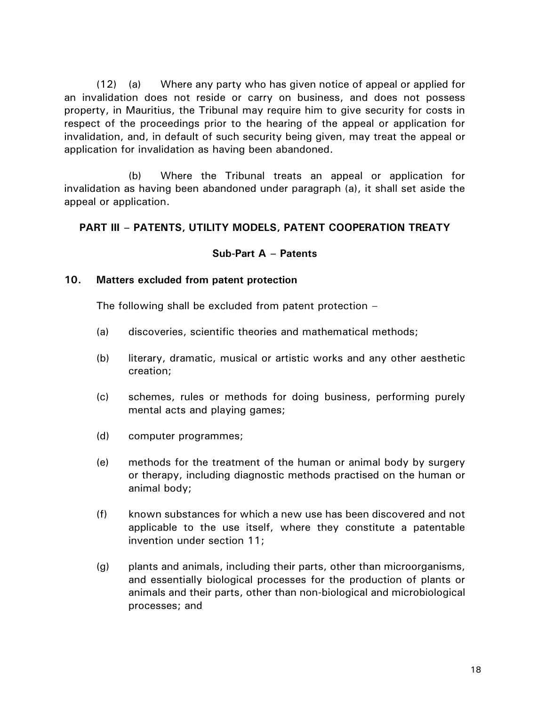(12) (a) Where any party who has given notice of appeal or applied for an invalidation does not reside or carry on business, and does not possess property, in Mauritius, the Tribunal may require him to give security for costs in respect of the proceedings prior to the hearing of the appeal or application for invalidation, and, in default of such security being given, may treat the appeal or application for invalidation as having been abandoned.

(b) Where the Tribunal treats an appeal or application for invalidation as having been abandoned under paragraph (a), it shall set aside the appeal or application.

## **PART III – PATENTS, UTILITY MODELS, PATENT COOPERATION TREATY**

### **Sub-Part A – Patents**

### **10. Matters excluded from patent protection**

The following shall be excluded from patent protection –

- (a) discoveries, scientific theories and mathematical methods;
- (b) literary, dramatic, musical or artistic works and any other aesthetic creation;
- (c) schemes, rules or methods for doing business, performing purely mental acts and playing games;
- (d) computer programmes;
- (e) methods for the treatment of the human or animal body by surgery or therapy, including diagnostic methods practised on the human or animal body;
- (f) known substances for which a new use has been discovered and not applicable to the use itself, where they constitute a patentable invention under section 11;
- (g) plants and animals, including their parts, other than microorganisms, and essentially biological processes for the production of plants or animals and their parts, other than non-biological and microbiological processes; and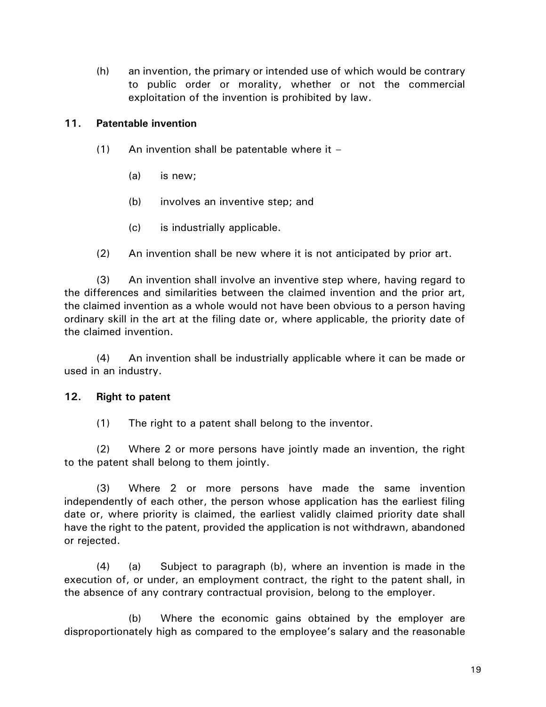(h) an invention, the primary or intended use of which would be contrary to public order or morality, whether or not the commercial exploitation of the invention is prohibited by law.

## **11. Patentable invention**

- $(1)$  An invention shall be patentable where it
	- (a) is new;
	- (b) involves an inventive step; and
	- (c) is industrially applicable.
- (2) An invention shall be new where it is not anticipated by prior art.

(3) An invention shall involve an inventive step where, having regard to the differences and similarities between the claimed invention and the prior art, the claimed invention as a whole would not have been obvious to a person having ordinary skill in the art at the filing date or, where applicable, the priority date of the claimed invention.

(4) An invention shall be industrially applicable where it can be made or used in an industry.

## **12. Right to patent**

(1) The right to a patent shall belong to the inventor.

(2) Where 2 or more persons have jointly made an invention, the right to the patent shall belong to them jointly.

(3) Where 2 or more persons have made the same invention independently of each other, the person whose application has the earliest filing date or, where priority is claimed, the earliest validly claimed priority date shall have the right to the patent, provided the application is not withdrawn, abandoned or rejected.

(4) (a) Subject to paragraph (b), where an invention is made in the execution of, or under, an employment contract, the right to the patent shall, in the absence of any contrary contractual provision, belong to the employer.

(b) Where the economic gains obtained by the employer are disproportionately high as compared to the employee's salary and the reasonable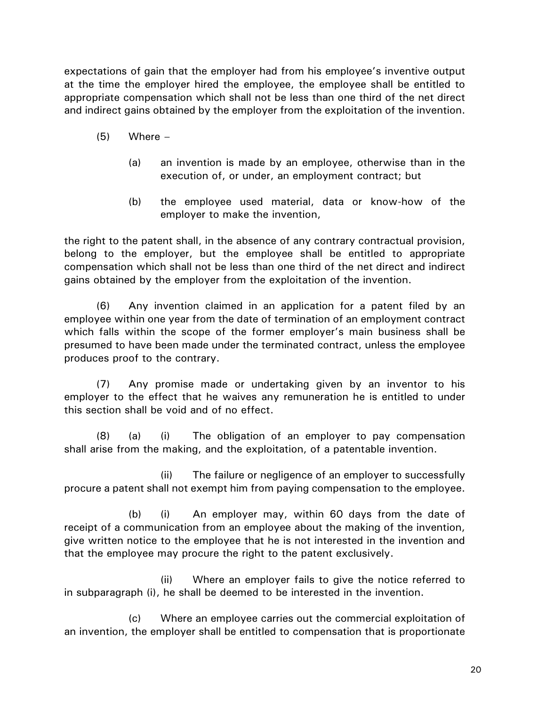expectations of gain that the employer had from his employee's inventive output at the time the employer hired the employee, the employee shall be entitled to appropriate compensation which shall not be less than one third of the net direct and indirect gains obtained by the employer from the exploitation of the invention.

- $(5)$  Where
	- (a) an invention is made by an employee, otherwise than in the execution of, or under, an employment contract; but
	- (b) the employee used material, data or know-how of the employer to make the invention,

the right to the patent shall, in the absence of any contrary contractual provision, belong to the employer, but the employee shall be entitled to appropriate compensation which shall not be less than one third of the net direct and indirect gains obtained by the employer from the exploitation of the invention.

(6) Any invention claimed in an application for a patent filed by an employee within one year from the date of termination of an employment contract which falls within the scope of the former employer's main business shall be presumed to have been made under the terminated contract, unless the employee produces proof to the contrary.

(7) Any promise made or undertaking given by an inventor to his employer to the effect that he waives any remuneration he is entitled to under this section shall be void and of no effect.

(8) (a) (i) The obligation of an employer to pay compensation shall arise from the making, and the exploitation, of a patentable invention.

(ii) The failure or negligence of an employer to successfully procure a patent shall not exempt him from paying compensation to the employee.

(b) (i) An employer may, within 60 days from the date of receipt of a communication from an employee about the making of the invention, give written notice to the employee that he is not interested in the invention and that the employee may procure the right to the patent exclusively.

(ii) Where an employer fails to give the notice referred to in subparagraph (i), he shall be deemed to be interested in the invention.

(c) Where an employee carries out the commercial exploitation of an invention, the employer shall be entitled to compensation that is proportionate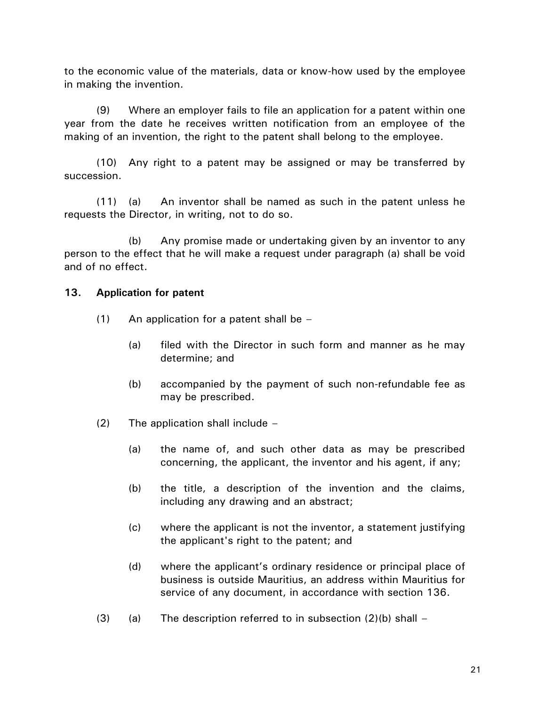to the economic value of the materials, data or know-how used by the employee in making the invention.

(9) Where an employer fails to file an application for a patent within one year from the date he receives written notification from an employee of the making of an invention, the right to the patent shall belong to the employee.

(10) Any right to a patent may be assigned or may be transferred by succession.

(11) (a) An inventor shall be named as such in the patent unless he requests the Director, in writing, not to do so.

(b) Any promise made or undertaking given by an inventor to any person to the effect that he will make a request under paragraph (a) shall be void and of no effect.

### **13. Application for patent**

- (1) An application for a patent shall be
	- (a) filed with the Director in such form and manner as he may determine; and
	- (b) accompanied by the payment of such non-refundable fee as may be prescribed.
- (2) The application shall include
	- (a) the name of, and such other data as may be prescribed concerning, the applicant, the inventor and his agent, if any;
	- (b) the title, a description of the invention and the claims, including any drawing and an abstract;
	- (c) where the applicant is not the inventor, a statement justifying the applicant's right to the patent; and
	- (d) where the applicant's ordinary residence or principal place of business is outside Mauritius, an address within Mauritius for service of any document, in accordance with section 136.
- (3) (a) The description referred to in subsection  $(2)(b)$  shall –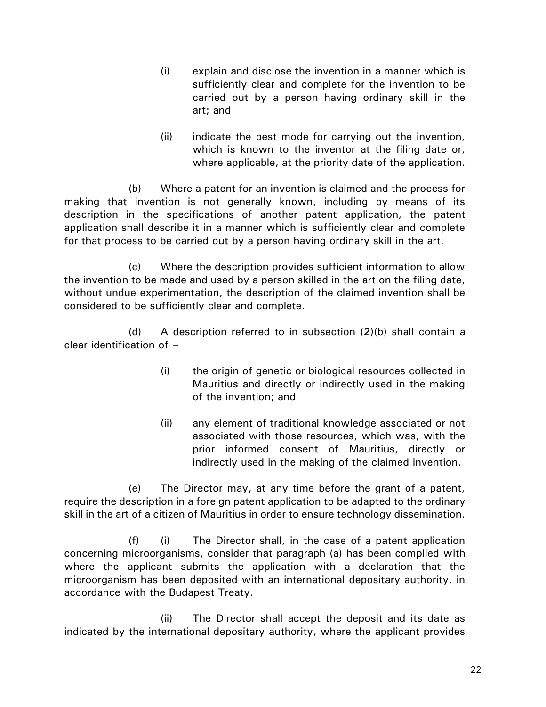- (i) explain and disclose the invention in a manner which is sufficiently clear and complete for the invention to be carried out by a person having ordinary skill in the art; and
- (ii) indicate the best mode for carrying out the invention, which is known to the inventor at the filing date or, where applicable, at the priority date of the application.

(b) Where a patent for an invention is claimed and the process for making that invention is not generally known, including by means of its description in the specifications of another patent application, the patent application shall describe it in a manner which is sufficiently clear and complete for that process to be carried out by a person having ordinary skill in the art.

(c) Where the description provides sufficient information to allow the invention to be made and used by a person skilled in the art on the filing date, without undue experimentation, the description of the claimed invention shall be considered to be sufficiently clear and complete.

(d) A description referred to in subsection (2)(b) shall contain a clear identification of –

- (i) the origin of genetic or biological resources collected in Mauritius and directly or indirectly used in the making of the invention; and
- (ii) any element of traditional knowledge associated or not associated with those resources, which was, with the prior informed consent of Mauritius, directly or indirectly used in the making of the claimed invention.

(e) The Director may, at any time before the grant of a patent, require the description in a foreign patent application to be adapted to the ordinary skill in the art of a citizen of Mauritius in order to ensure technology dissemination.

(f) (i) The Director shall, in the case of a patent application concerning microorganisms, consider that paragraph (a) has been complied with where the applicant submits the application with a declaration that the microorganism has been deposited with an international depositary authority, in accordance with the Budapest Treaty.

(ii) The Director shall accept the deposit and its date as indicated by the international depositary authority, where the applicant provides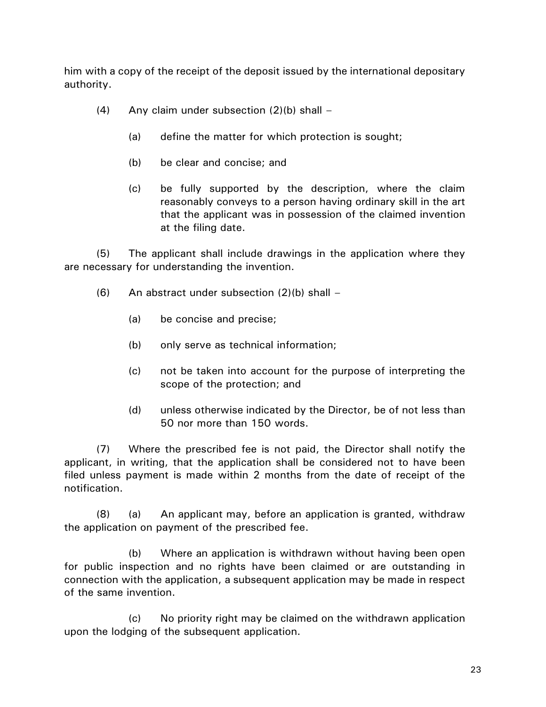him with a copy of the receipt of the deposit issued by the international depositary authority.

- (4) Any claim under subsection  $(2)(b)$  shall
	- (a) define the matter for which protection is sought;
	- (b) be clear and concise; and
	- (c) be fully supported by the description, where the claim reasonably conveys to a person having ordinary skill in the art that the applicant was in possession of the claimed invention at the filing date.

(5) The applicant shall include drawings in the application where they are necessary for understanding the invention.

- $(6)$  An abstract under subsection  $(2)(b)$  shall
	- (a) be concise and precise;
	- (b) only serve as technical information;
	- (c) not be taken into account for the purpose of interpreting the scope of the protection; and
	- (d) unless otherwise indicated by the Director, be of not less than 50 nor more than 150 words.

(7) Where the prescribed fee is not paid, the Director shall notify the applicant, in writing, that the application shall be considered not to have been filed unless payment is made within 2 months from the date of receipt of the notification.

(8) (a) An applicant may, before an application is granted, withdraw the application on payment of the prescribed fee.

(b) Where an application is withdrawn without having been open for public inspection and no rights have been claimed or are outstanding in connection with the application, a subsequent application may be made in respect of the same invention.

(c) No priority right may be claimed on the withdrawn application upon the lodging of the subsequent application.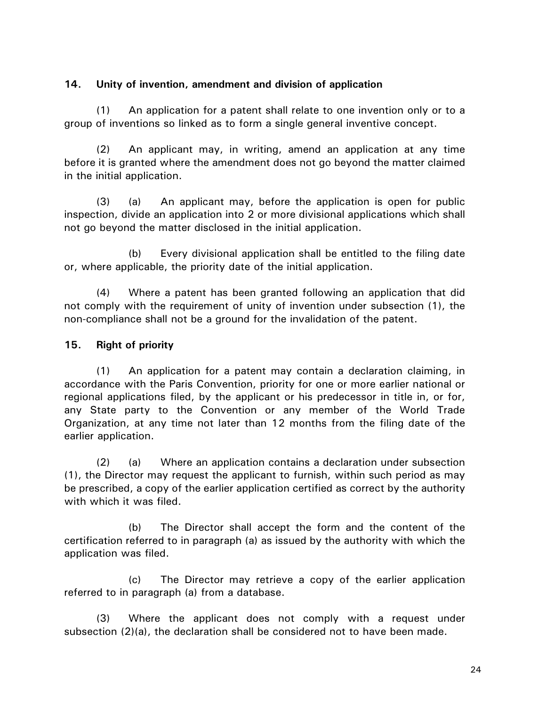## **14. Unity of invention, amendment and division of application**

(1) An application for a patent shall relate to one invention only or to a group of inventions so linked as to form a single general inventive concept.

(2) An applicant may, in writing, amend an application at any time before it is granted where the amendment does not go beyond the matter claimed in the initial application.

(3) (a) An applicant may, before the application is open for public inspection, divide an application into 2 or more divisional applications which shall not go beyond the matter disclosed in the initial application.

(b) Every divisional application shall be entitled to the filing date or, where applicable, the priority date of the initial application.

(4) Where a patent has been granted following an application that did not comply with the requirement of unity of invention under subsection (1), the non-compliance shall not be a ground for the invalidation of the patent.

# **15. Right of priority**

(1) An application for a patent may contain a declaration claiming, in accordance with the Paris Convention, priority for one or more earlier national or regional applications filed, by the applicant or his predecessor in title in, or for, any State party to the Convention or any member of the World Trade Organization, at any time not later than 12 months from the filing date of the earlier application.

(2) (a) Where an application contains a declaration under subsection (1), the Director may request the applicant to furnish, within such period as may be prescribed, a copy of the earlier application certified as correct by the authority with which it was filed.

(b) The Director shall accept the form and the content of the certification referred to in paragraph (a) as issued by the authority with which the application was filed.

(c) The Director may retrieve a copy of the earlier application referred to in paragraph (a) from a database.

(3) Where the applicant does not comply with a request under subsection (2)(a), the declaration shall be considered not to have been made.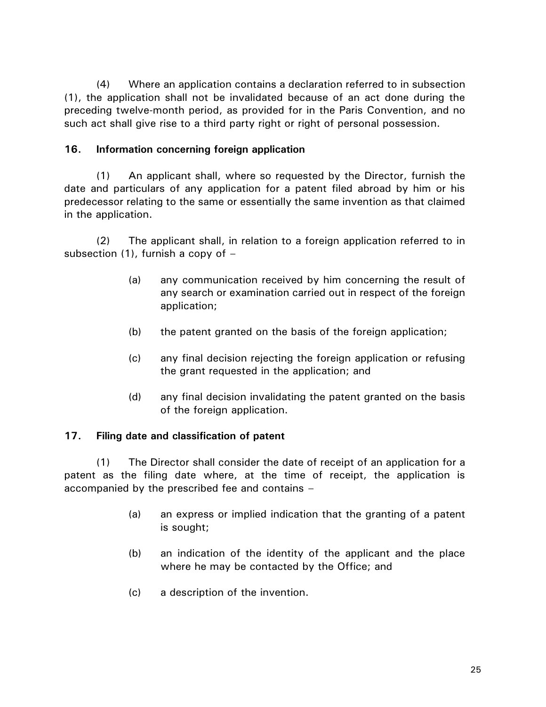(4) Where an application contains a declaration referred to in subsection (1), the application shall not be invalidated because of an act done during the preceding twelve-month period, as provided for in the Paris Convention, and no such act shall give rise to a third party right or right of personal possession.

## **16. Information concerning foreign application**

(1) An applicant shall, where so requested by the Director, furnish the date and particulars of any application for a patent filed abroad by him or his predecessor relating to the same or essentially the same invention as that claimed in the application.

(2) The applicant shall, in relation to a foreign application referred to in subsection (1), furnish a copy of  $-$ 

- (a) any communication received by him concerning the result of any search or examination carried out in respect of the foreign application;
- (b) the patent granted on the basis of the foreign application;
- (c) any final decision rejecting the foreign application or refusing the grant requested in the application; and
- (d) any final decision invalidating the patent granted on the basis of the foreign application.

# **17. Filing date and classification of patent**

(1) The Director shall consider the date of receipt of an application for a patent as the filing date where, at the time of receipt, the application is accompanied by the prescribed fee and contains –

- (a) an express or implied indication that the granting of a patent is sought;
- (b) an indication of the identity of the applicant and the place where he may be contacted by the Office; and
- (c) a description of the invention.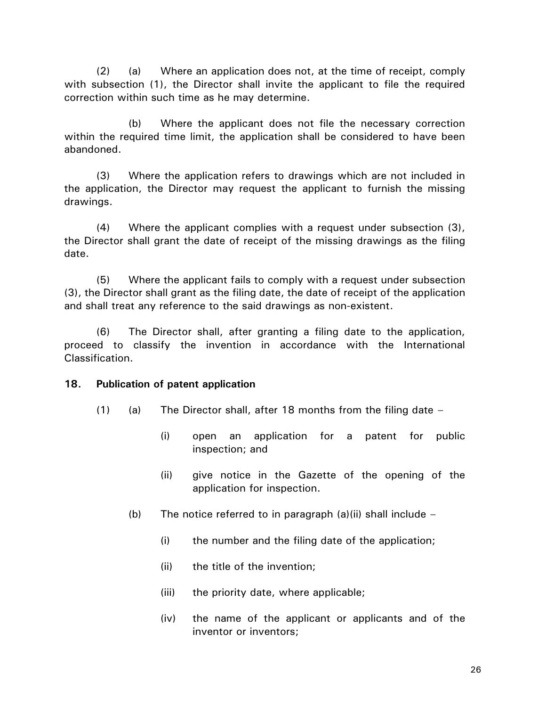(2) (a) Where an application does not, at the time of receipt, comply with subsection (1), the Director shall invite the applicant to file the required correction within such time as he may determine.

(b) Where the applicant does not file the necessary correction within the required time limit, the application shall be considered to have been abandoned.

(3) Where the application refers to drawings which are not included in the application, the Director may request the applicant to furnish the missing drawings.

(4) Where the applicant complies with a request under subsection (3), the Director shall grant the date of receipt of the missing drawings as the filing date.

(5) Where the applicant fails to comply with a request under subsection (3), the Director shall grant as the filing date, the date of receipt of the application and shall treat any reference to the said drawings as non-existent.

(6) The Director shall, after granting a filing date to the application, proceed to classify the invention in accordance with the International Classification.

### **18. Publication of patent application**

- (1) (a) The Director shall, after 18 months from the filing date  $-$ 
	- (i) open an application for a patent for public inspection; and
	- (ii) give notice in the Gazette of the opening of the application for inspection.
	- (b) The notice referred to in paragraph  $(a)(ii)$  shall include  $-$ 
		- (i) the number and the filing date of the application;
		- (ii) the title of the invention;
		- (iii) the priority date, where applicable;
		- (iv) the name of the applicant or applicants and of the inventor or inventors;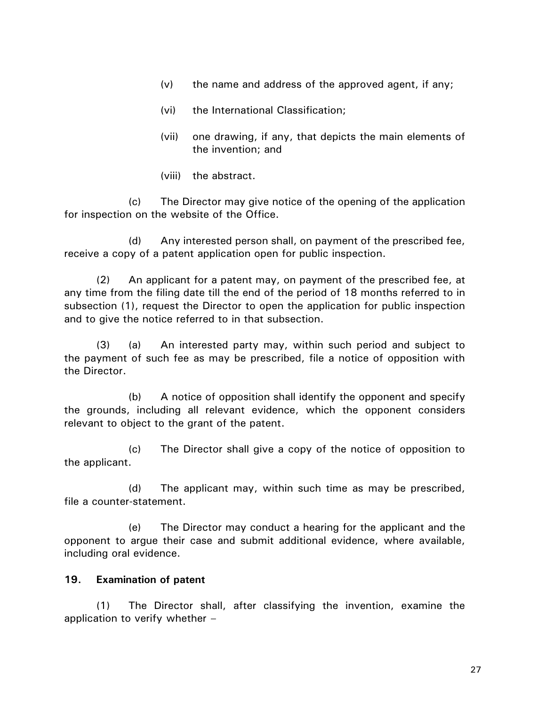- (v) the name and address of the approved agent, if any;
- (vi) the International Classification;
- (vii) one drawing, if any, that depicts the main elements of the invention; and
- (viii) the abstract.

(c) The Director may give notice of the opening of the application for inspection on the website of the Office.

(d) Any interested person shall, on payment of the prescribed fee, receive a copy of a patent application open for public inspection.

(2) An applicant for a patent may, on payment of the prescribed fee, at any time from the filing date till the end of the period of 18 months referred to in subsection (1), request the Director to open the application for public inspection and to give the notice referred to in that subsection.

(3) (a) An interested party may, within such period and subject to the payment of such fee as may be prescribed, file a notice of opposition with the Director.

(b) A notice of opposition shall identify the opponent and specify the grounds, including all relevant evidence, which the opponent considers relevant to object to the grant of the patent.

(c) The Director shall give a copy of the notice of opposition to the applicant.

(d) The applicant may, within such time as may be prescribed, file a counter-statement.

(e) The Director may conduct a hearing for the applicant and the opponent to argue their case and submit additional evidence, where available, including oral evidence.

# **19. Examination of patent**

(1) The Director shall, after classifying the invention, examine the application to verify whether –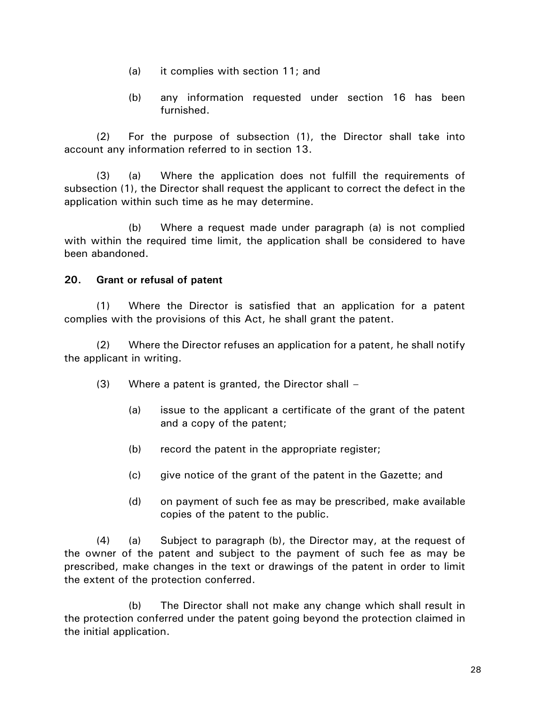- (a) it complies with section 11; and
- (b) any information requested under section 16 has been furnished.

(2) For the purpose of subsection (1), the Director shall take into account any information referred to in section 13.

(3) (a) Where the application does not fulfill the requirements of subsection (1), the Director shall request the applicant to correct the defect in the application within such time as he may determine.

(b) Where a request made under paragraph (a) is not complied with within the required time limit, the application shall be considered to have been abandoned.

# **20. Grant or refusal of patent**

(1) Where the Director is satisfied that an application for a patent complies with the provisions of this Act, he shall grant the patent.

(2) Where the Director refuses an application for a patent, he shall notify the applicant in writing.

- (3) Where a patent is granted, the Director shall
	- (a) issue to the applicant a certificate of the grant of the patent and a copy of the patent;
	- (b) record the patent in the appropriate register;
	- (c) give notice of the grant of the patent in the Gazette; and
	- (d) on payment of such fee as may be prescribed, make available copies of the patent to the public.

(4) (a) Subject to paragraph (b), the Director may, at the request of the owner of the patent and subject to the payment of such fee as may be prescribed, make changes in the text or drawings of the patent in order to limit the extent of the protection conferred.

(b) The Director shall not make any change which shall result in the protection conferred under the patent going beyond the protection claimed in the initial application.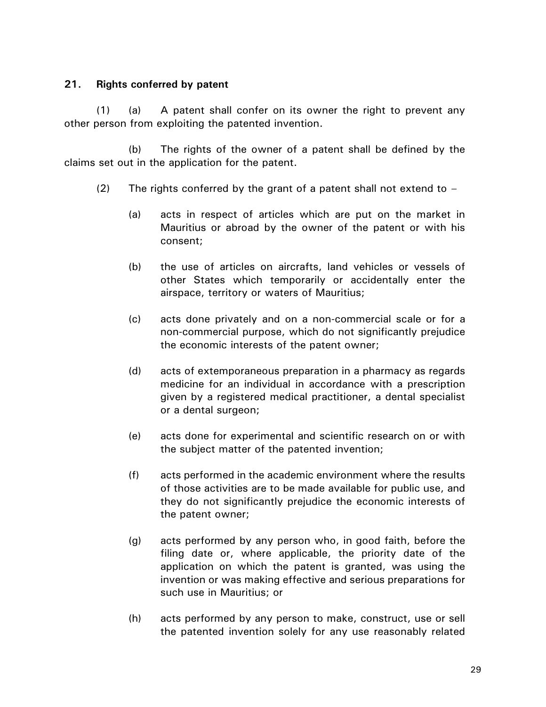## **21. Rights conferred by patent**

(1) (a) A patent shall confer on its owner the right to prevent any other person from exploiting the patented invention.

(b) The rights of the owner of a patent shall be defined by the claims set out in the application for the patent.

- (2) The rights conferred by the grant of a patent shall not extend to  $-$ 
	- (a) acts in respect of articles which are put on the market in Mauritius or abroad by the owner of the patent or with his consent;
	- (b) the use of articles on aircrafts, land vehicles or vessels of other States which temporarily or accidentally enter the airspace, territory or waters of Mauritius;
	- (c) acts done privately and on a non-commercial scale or for a non-commercial purpose, which do not significantly prejudice the economic interests of the patent owner;
	- (d) acts of extemporaneous preparation in a pharmacy as regards medicine for an individual in accordance with a prescription given by a registered medical practitioner, a dental specialist or a dental surgeon;
	- (e) acts done for experimental and scientific research on or with the subject matter of the patented invention;
	- (f) acts performed in the academic environment where the results of those activities are to be made available for public use, and they do not significantly prejudice the economic interests of the patent owner;
	- (g) acts performed by any person who, in good faith, before the filing date or, where applicable, the priority date of the application on which the patent is granted, was using the invention or was making effective and serious preparations for such use in Mauritius; or
	- (h) acts performed by any person to make, construct, use or sell the patented invention solely for any use reasonably related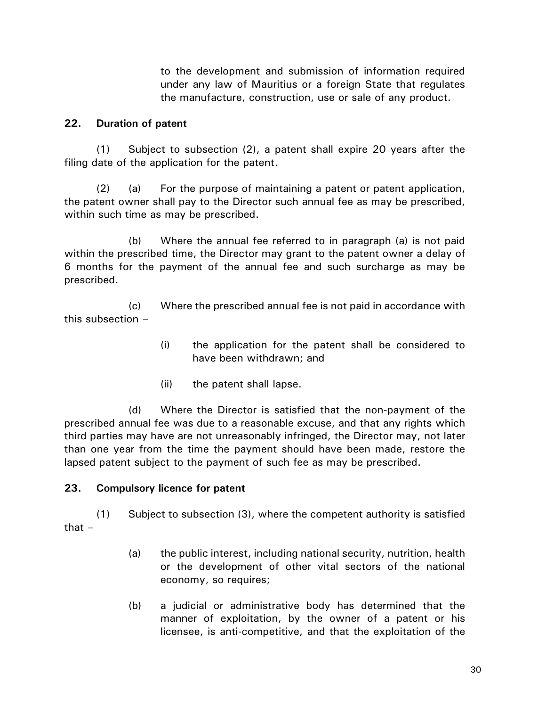to the development and submission of information required under any law of Mauritius or a foreign State that regulates the manufacture, construction, use or sale of any product.

## **22. Duration of patent**

(1) Subject to subsection (2), a patent shall expire 20 years after the filing date of the application for the patent.

(2) (a) For the purpose of maintaining a patent or patent application, the patent owner shall pay to the Director such annual fee as may be prescribed, within such time as may be prescribed.

(b) Where the annual fee referred to in paragraph (a) is not paid within the prescribed time, the Director may grant to the patent owner a delay of 6 months for the payment of the annual fee and such surcharge as may be prescribed.

(c) Where the prescribed annual fee is not paid in accordance with this subsection –

- (i) the application for the patent shall be considered to have been withdrawn; and
- (ii) the patent shall lapse.

(d) Where the Director is satisfied that the non-payment of the prescribed annual fee was due to a reasonable excuse, and that any rights which third parties may have are not unreasonably infringed, the Director may, not later than one year from the time the payment should have been made, restore the lapsed patent subject to the payment of such fee as may be prescribed.

## **23. Compulsory licence for patent**

(1) Subject to subsection (3), where the competent authority is satisfied that  $-$ 

- (a) the public interest, including national security, nutrition, health or the development of other vital sectors of the national economy, so requires;
- (b) a judicial or administrative body has determined that the manner of exploitation, by the owner of a patent or his licensee, is anti-competitive, and that the exploitation of the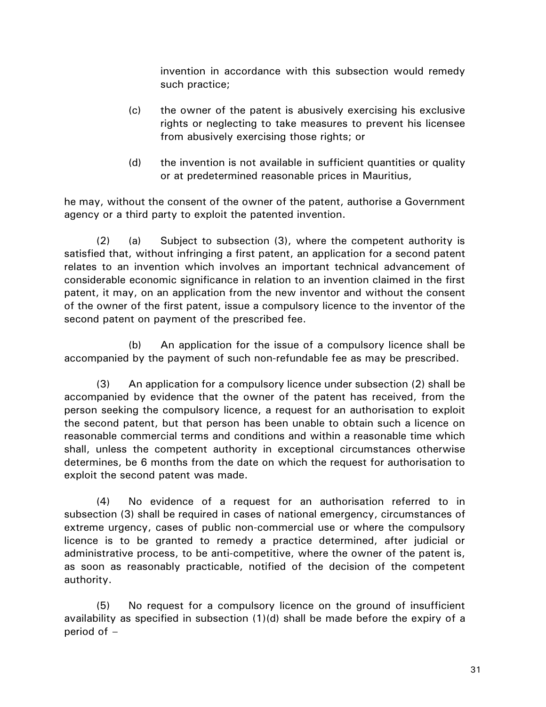invention in accordance with this subsection would remedy such practice;

- (c) the owner of the patent is abusively exercising his exclusive rights or neglecting to take measures to prevent his licensee from abusively exercising those rights; or
- (d) the invention is not available in sufficient quantities or quality or at predetermined reasonable prices in Mauritius,

he may, without the consent of the owner of the patent, authorise a Government agency or a third party to exploit the patented invention.

(2) (a) Subject to subsection (3), where the competent authority is satisfied that, without infringing a first patent, an application for a second patent relates to an invention which involves an important technical advancement of considerable economic significance in relation to an invention claimed in the first patent, it may, on an application from the new inventor and without the consent of the owner of the first patent, issue a compulsory licence to the inventor of the second patent on payment of the prescribed fee.

(b) An application for the issue of a compulsory licence shall be accompanied by the payment of such non-refundable fee as may be prescribed.

(3) An application for a compulsory licence under subsection (2) shall be accompanied by evidence that the owner of the patent has received, from the person seeking the compulsory licence, a request for an authorisation to exploit the second patent, but that person has been unable to obtain such a licence on reasonable commercial terms and conditions and within a reasonable time which shall, unless the competent authority in exceptional circumstances otherwise determines, be 6 months from the date on which the request for authorisation to exploit the second patent was made.

(4) No evidence of a request for an authorisation referred to in subsection (3) shall be required in cases of national emergency, circumstances of extreme urgency, cases of public non-commercial use or where the compulsory licence is to be granted to remedy a practice determined, after judicial or administrative process, to be anti-competitive, where the owner of the patent is, as soon as reasonably practicable, notified of the decision of the competent authority.

(5) No request for a compulsory licence on the ground of insufficient availability as specified in subsection (1)(d) shall be made before the expiry of a period of –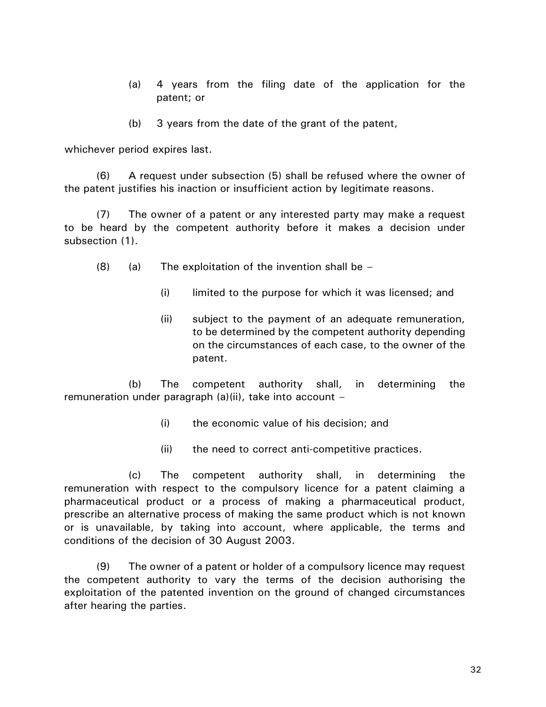- (a) 4 years from the filing date of the application for the patent; or
- (b) 3 years from the date of the grant of the patent,

whichever period expires last.

(6) A request under subsection (5) shall be refused where the owner of the patent justifies his inaction or insufficient action by legitimate reasons.

(7) The owner of a patent or any interested party may make a request to be heard by the competent authority before it makes a decision under subsection (1).

- $(8)$  (a) The exploitation of the invention shall be
	- (i) limited to the purpose for which it was licensed; and
	- (ii) subject to the payment of an adequate remuneration, to be determined by the competent authority depending on the circumstances of each case, to the owner of the patent.

(b) The competent authority shall, in determining the remuneration under paragraph (a)(ii), take into account –

- (i) the economic value of his decision; and
- (ii) the need to correct anti-competitive practices.

(c) The competent authority shall, in determining the remuneration with respect to the compulsory licence for a patent claiming a pharmaceutical product or a process of making a pharmaceutical product, prescribe an alternative process of making the same product which is not known or is unavailable, by taking into account, where applicable, the terms and conditions of the decision of 30 August 2003.

(9) The owner of a patent or holder of a compulsory licence may request the competent authority to vary the terms of the decision authorising the exploitation of the patented invention on the ground of changed circumstances after hearing the parties.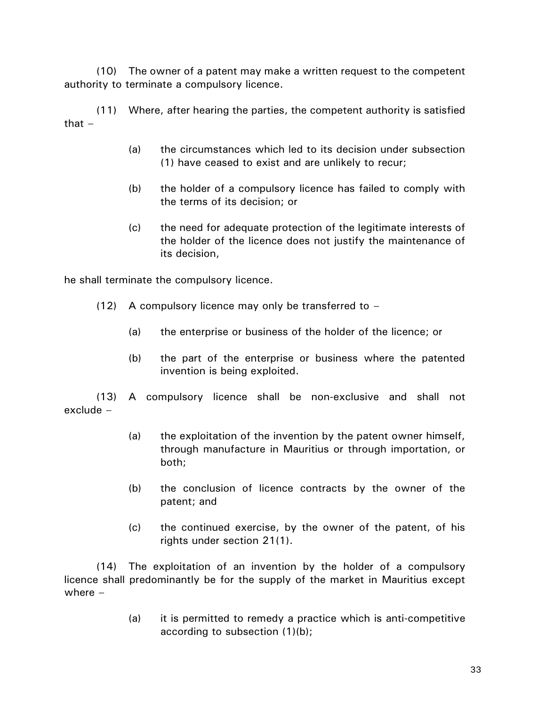(10) The owner of a patent may make a written request to the competent authority to terminate a compulsory licence.

(11) Where, after hearing the parties, the competent authority is satisfied that –

- (a) the circumstances which led to its decision under subsection (1) have ceased to exist and are unlikely to recur;
- (b) the holder of a compulsory licence has failed to comply with the terms of its decision; or
- (c) the need for adequate protection of the legitimate interests of the holder of the licence does not justify the maintenance of its decision,

he shall terminate the compulsory licence.

- (12) A compulsory licence may only be transferred to  $-$ 
	- (a) the enterprise or business of the holder of the licence; or
	- (b) the part of the enterprise or business where the patented invention is being exploited.

(13) A compulsory licence shall be non-exclusive and shall not exclude –

- (a) the exploitation of the invention by the patent owner himself, through manufacture in Mauritius or through importation, or both;
- (b) the conclusion of licence contracts by the owner of the patent; and
- (c) the continued exercise, by the owner of the patent, of his rights under section 21(1).

(14) The exploitation of an invention by the holder of a compulsory licence shall predominantly be for the supply of the market in Mauritius except where  $-$ 

> (a) it is permitted to remedy a practice which is anti-competitive according to subsection (1)(b);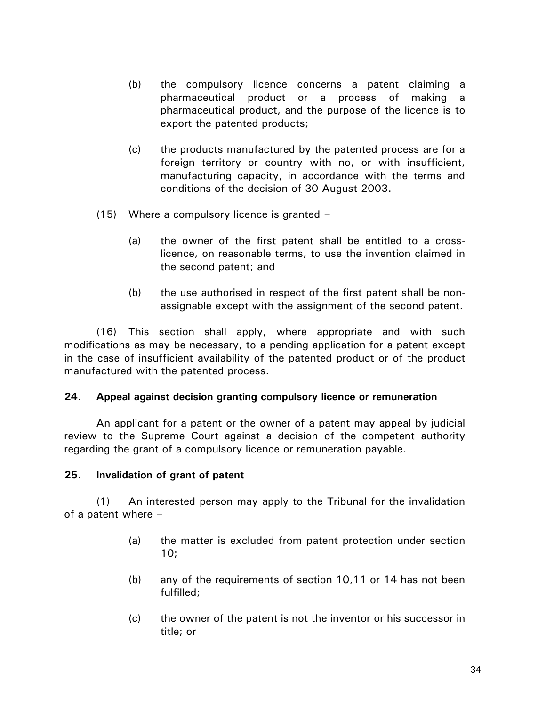- (b) the compulsory licence concerns a patent claiming a pharmaceutical product or a process of making a pharmaceutical product, and the purpose of the licence is to export the patented products;
- (c) the products manufactured by the patented process are for a foreign territory or country with no, or with insufficient, manufacturing capacity, in accordance with the terms and conditions of the decision of 30 August 2003.
- (15) Where a compulsory licence is granted
	- (a) the owner of the first patent shall be entitled to a crosslicence, on reasonable terms, to use the invention claimed in the second patent; and
	- (b) the use authorised in respect of the first patent shall be nonassignable except with the assignment of the second patent.

(16) This section shall apply, where appropriate and with such modifications as may be necessary, to a pending application for a patent except in the case of insufficient availability of the patented product or of the product manufactured with the patented process.

## **24. Appeal against decision granting compulsory licence or remuneration**

An applicant for a patent or the owner of a patent may appeal by judicial review to the Supreme Court against a decision of the competent authority regarding the grant of a compulsory licence or remuneration payable.

## **25. Invalidation of grant of patent**

(1) An interested person may apply to the Tribunal for the invalidation of a patent where –

- (a) the matter is excluded from patent protection under section 10;
- (b) any of the requirements of section 10,11 or 14 has not been fulfilled;
- (c) the owner of the patent is not the inventor or his successor in title; or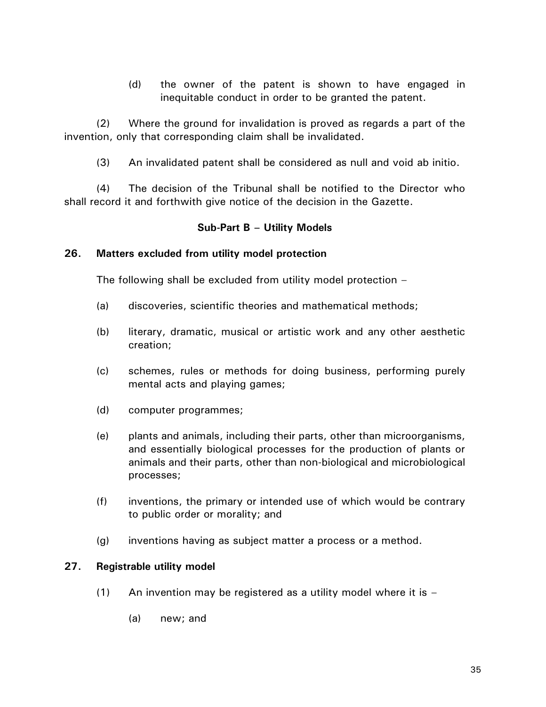(d) the owner of the patent is shown to have engaged in inequitable conduct in order to be granted the patent.

(2) Where the ground for invalidation is proved as regards a part of the invention, only that corresponding claim shall be invalidated.

(3) An invalidated patent shall be considered as null and void ab initio.

(4) The decision of the Tribunal shall be notified to the Director who shall record it and forthwith give notice of the decision in the Gazette.

## **Sub-Part B – Utility Models**

## **26. Matters excluded from utility model protection**

The following shall be excluded from utility model protection –

- (a) discoveries, scientific theories and mathematical methods;
- (b) literary, dramatic, musical or artistic work and any other aesthetic creation;
- (c) schemes, rules or methods for doing business, performing purely mental acts and playing games;
- (d) computer programmes;
- (e) plants and animals, including their parts, other than microorganisms, and essentially biological processes for the production of plants or animals and their parts, other than non-biological and microbiological processes;
- (f) inventions, the primary or intended use of which would be contrary to public order or morality; and
- (g) inventions having as subject matter a process or a method.

## **27. Registrable utility model**

- (1) An invention may be registered as a utility model where it is  $-$ 
	- (a) new; and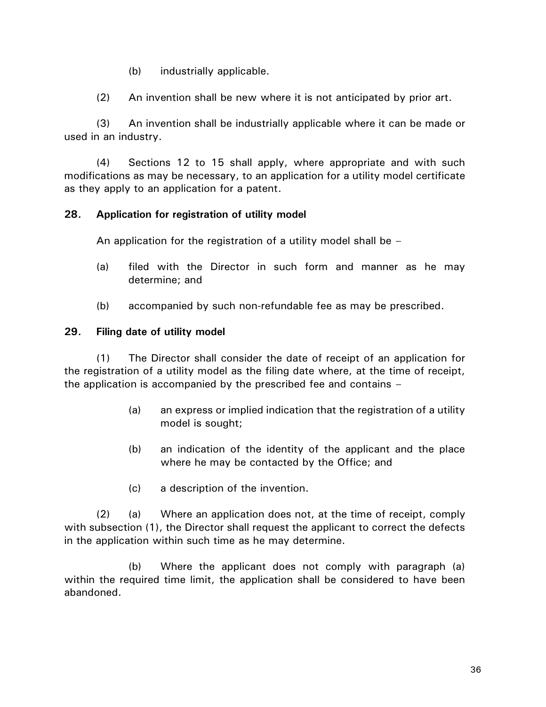(b) industrially applicable.

(2) An invention shall be new where it is not anticipated by prior art.

(3) An invention shall be industrially applicable where it can be made or used in an industry.

(4) Sections 12 to 15 shall apply, where appropriate and with such modifications as may be necessary, to an application for a utility model certificate as they apply to an application for a patent.

# **28. Application for registration of utility model**

An application for the registration of a utility model shall be  $-$ 

- (a) filed with the Director in such form and manner as he may determine; and
- (b) accompanied by such non-refundable fee as may be prescribed.

# **29. Filing date of utility model**

(1) The Director shall consider the date of receipt of an application for the registration of a utility model as the filing date where, at the time of receipt, the application is accompanied by the prescribed fee and contains –

- (a) an express or implied indication that the registration of a utility model is sought;
- (b) an indication of the identity of the applicant and the place where he may be contacted by the Office; and
- (c) a description of the invention.

(2) (a) Where an application does not, at the time of receipt, comply with subsection (1), the Director shall request the applicant to correct the defects in the application within such time as he may determine.

(b) Where the applicant does not comply with paragraph (a) within the required time limit, the application shall be considered to have been abandoned.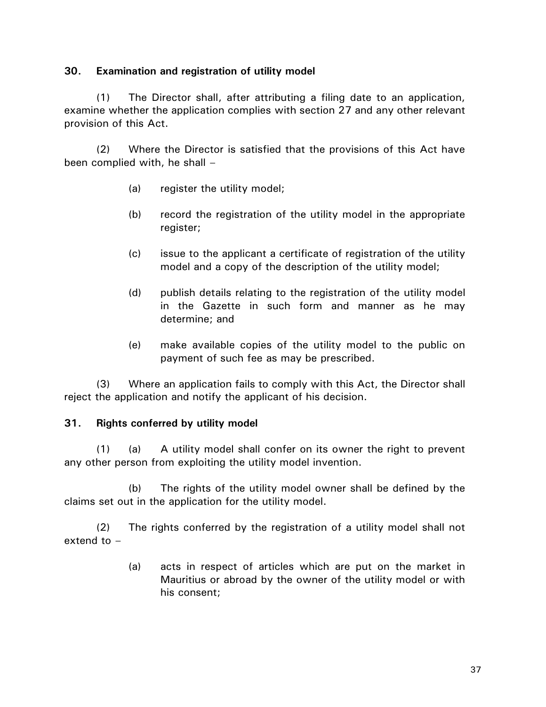## **30. Examination and registration of utility model**

(1) The Director shall, after attributing a filing date to an application, examine whether the application complies with section 27 and any other relevant provision of this Act.

(2) Where the Director is satisfied that the provisions of this Act have been complied with, he shall –

- (a) register the utility model;
- (b) record the registration of the utility model in the appropriate register;
- (c) issue to the applicant a certificate of registration of the utility model and a copy of the description of the utility model;
- (d) publish details relating to the registration of the utility model in the Gazette in such form and manner as he may determine; and
- (e) make available copies of the utility model to the public on payment of such fee as may be prescribed.

(3) Where an application fails to comply with this Act, the Director shall reject the application and notify the applicant of his decision.

## **31. Rights conferred by utility model**

(1) (a) A utility model shall confer on its owner the right to prevent any other person from exploiting the utility model invention.

(b) The rights of the utility model owner shall be defined by the claims set out in the application for the utility model.

(2) The rights conferred by the registration of a utility model shall not extend to –

> (a) acts in respect of articles which are put on the market in Mauritius or abroad by the owner of the utility model or with his consent;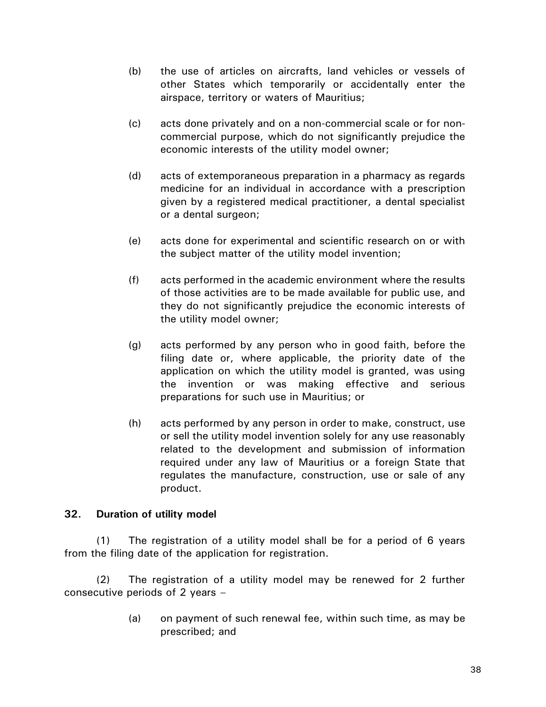- (b) the use of articles on aircrafts, land vehicles or vessels of other States which temporarily or accidentally enter the airspace, territory or waters of Mauritius;
- (c) acts done privately and on a non-commercial scale or for noncommercial purpose, which do not significantly prejudice the economic interests of the utility model owner;
- (d) acts of extemporaneous preparation in a pharmacy as regards medicine for an individual in accordance with a prescription given by a registered medical practitioner, a dental specialist or a dental surgeon;
- (e) acts done for experimental and scientific research on or with the subject matter of the utility model invention;
- (f) acts performed in the academic environment where the results of those activities are to be made available for public use, and they do not significantly prejudice the economic interests of the utility model owner;
- (g) acts performed by any person who in good faith, before the filing date or, where applicable, the priority date of the application on which the utility model is granted, was using the invention or was making effective and serious preparations for such use in Mauritius; or
- (h) acts performed by any person in order to make, construct, use or sell the utility model invention solely for any use reasonably related to the development and submission of information required under any law of Mauritius or a foreign State that regulates the manufacture, construction, use or sale of any product.

## **32. Duration of utility model**

(1) The registration of a utility model shall be for a period of 6 years from the filing date of the application for registration.

(2) The registration of a utility model may be renewed for 2 further consecutive periods of 2 years –

> (a) on payment of such renewal fee, within such time, as may be prescribed; and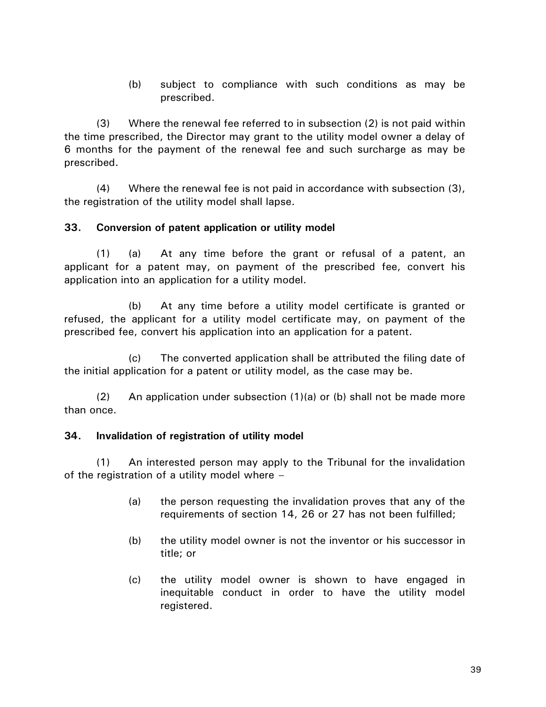(b) subject to compliance with such conditions as may be prescribed.

(3) Where the renewal fee referred to in subsection (2) is not paid within the time prescribed, the Director may grant to the utility model owner a delay of 6 months for the payment of the renewal fee and such surcharge as may be prescribed.

(4) Where the renewal fee is not paid in accordance with subsection (3), the registration of the utility model shall lapse.

## **33. Conversion of patent application or utility model**

(1) (a) At any time before the grant or refusal of a patent, an applicant for a patent may, on payment of the prescribed fee, convert his application into an application for a utility model.

(b) At any time before a utility model certificate is granted or refused, the applicant for a utility model certificate may, on payment of the prescribed fee, convert his application into an application for a patent.

(c) The converted application shall be attributed the filing date of the initial application for a patent or utility model, as the case may be.

(2) An application under subsection (1)(a) or (b) shall not be made more than once.

## **34. Invalidation of registration of utility model**

(1) An interested person may apply to the Tribunal for the invalidation of the registration of a utility model where –

- (a) the person requesting the invalidation proves that any of the requirements of section 14, 26 or 27 has not been fulfilled;
- (b) the utility model owner is not the inventor or his successor in title; or
- (c) the utility model owner is shown to have engaged in inequitable conduct in order to have the utility model registered.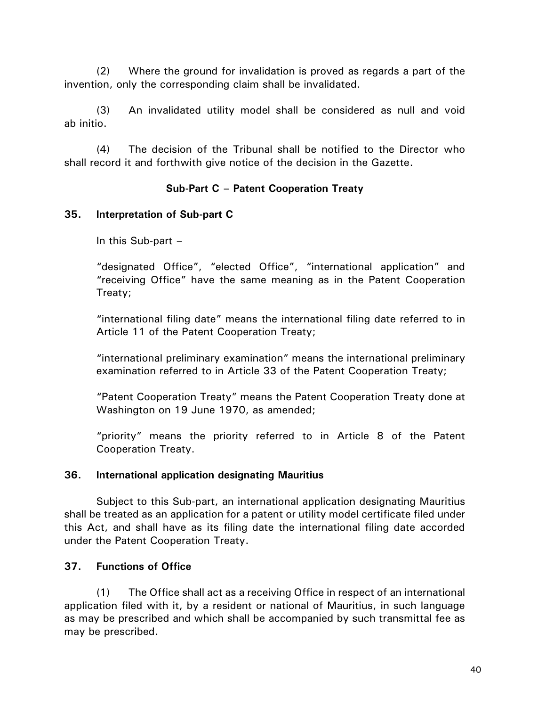(2) Where the ground for invalidation is proved as regards a part of the invention, only the corresponding claim shall be invalidated.

(3) An invalidated utility model shall be considered as null and void ab initio.

(4) The decision of the Tribunal shall be notified to the Director who shall record it and forthwith give notice of the decision in the Gazette.

# **Sub-Part C – Patent Cooperation Treaty**

## **35. Interpretation of Sub-part C**

In this Sub-part –

"designated Office", "elected Office", "international application" and "receiving Office" have the same meaning as in the Patent Cooperation Treaty;

"international filing date" means the international filing date referred to in Article 11 of the Patent Cooperation Treaty;

"international preliminary examination" means the international preliminary examination referred to in Article 33 of the Patent Cooperation Treaty;

"Patent Cooperation Treaty" means the Patent Cooperation Treaty done at Washington on 19 June 1970, as amended;

"priority" means the priority referred to in Article 8 of the Patent Cooperation Treaty.

## **36. International application designating Mauritius**

Subject to this Sub-part, an international application designating Mauritius shall be treated as an application for a patent or utility model certificate filed under this Act, and shall have as its filing date the international filing date accorded under the Patent Cooperation Treaty.

# **37. Functions of Office**

(1) The Office shall act as a receiving Office in respect of an international application filed with it, by a resident or national of Mauritius, in such language as may be prescribed and which shall be accompanied by such transmittal fee as may be prescribed.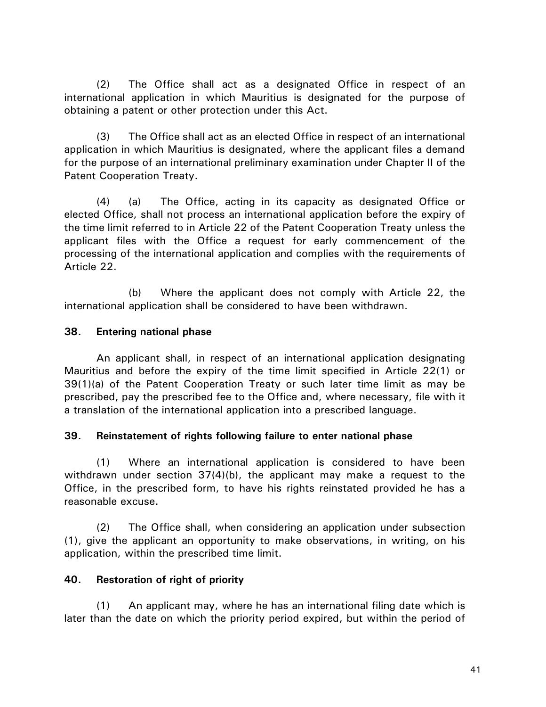(2) The Office shall act as a designated Office in respect of an international application in which Mauritius is designated for the purpose of obtaining a patent or other protection under this Act.

(3) The Office shall act as an elected Office in respect of an international application in which Mauritius is designated, where the applicant files a demand for the purpose of an international preliminary examination under Chapter II of the Patent Cooperation Treaty.

(4) (a) The Office, acting in its capacity as designated Office or elected Office, shall not process an international application before the expiry of the time limit referred to in Article 22 of the Patent Cooperation Treaty unless the applicant files with the Office a request for early commencement of the processing of the international application and complies with the requirements of Article 22.

(b) Where the applicant does not comply with Article 22, the international application shall be considered to have been withdrawn.

## **38. Entering national phase**

An applicant shall, in respect of an international application designating Mauritius and before the expiry of the time limit specified in Article 22(1) or 39(1)(a) of the Patent Cooperation Treaty or such later time limit as may be prescribed, pay the prescribed fee to the Office and, where necessary, file with it a translation of the international application into a prescribed language.

## **39. Reinstatement of rights following failure to enter national phase**

(1) Where an international application is considered to have been withdrawn under section 37(4)(b), the applicant may make a request to the Office, in the prescribed form, to have his rights reinstated provided he has a reasonable excuse.

(2) The Office shall, when considering an application under subsection (1), give the applicant an opportunity to make observations, in writing, on his application, within the prescribed time limit.

# **40. Restoration of right of priority**

(1) An applicant may, where he has an international filing date which is later than the date on which the priority period expired, but within the period of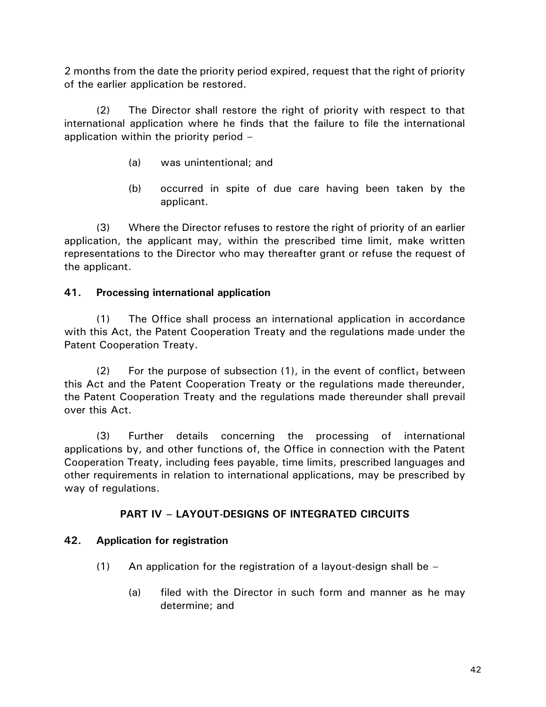2 months from the date the priority period expired, request that the right of priority of the earlier application be restored.

(2) The Director shall restore the right of priority with respect to that international application where he finds that the failure to file the international application within the priority period –

- (a) was unintentional; and
- (b) occurred in spite of due care having been taken by the applicant.

(3) Where the Director refuses to restore the right of priority of an earlier application, the applicant may, within the prescribed time limit, make written representations to the Director who may thereafter grant or refuse the request of the applicant.

# **41. Processing international application**

(1) The Office shall process an international application in accordance with this Act, the Patent Cooperation Treaty and the regulations made under the Patent Cooperation Treaty.

(2) For the purpose of subsection  $(1)$ , in the event of conflict, between this Act and the Patent Cooperation Treaty or the regulations made thereunder, the Patent Cooperation Treaty and the regulations made thereunder shall prevail over this Act.

(3) Further details concerning the processing of international applications by, and other functions of, the Office in connection with the Patent Cooperation Treaty, including fees payable, time limits, prescribed languages and other requirements in relation to international applications, may be prescribed by way of regulations.

# **PART IV – LAYOUT-DESIGNS OF INTEGRATED CIRCUITS**

# **42. Application for registration**

- (1) An application for the registration of a layout-design shall be  $-$ 
	- (a) filed with the Director in such form and manner as he may determine; and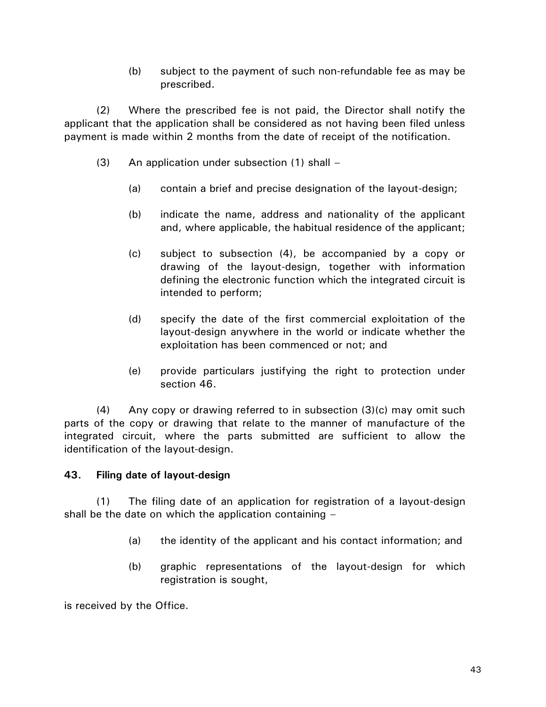(b) subject to the payment of such non-refundable fee as may be prescribed.

(2) Where the prescribed fee is not paid, the Director shall notify the applicant that the application shall be considered as not having been filed unless payment is made within 2 months from the date of receipt of the notification.

- (3) An application under subsection (1) shall
	- (a) contain a brief and precise designation of the layout-design;
	- (b) indicate the name, address and nationality of the applicant and, where applicable, the habitual residence of the applicant;
	- (c) subject to subsection (4), be accompanied by a copy or drawing of the layout-design, together with information defining the electronic function which the integrated circuit is intended to perform;
	- (d) specify the date of the first commercial exploitation of the layout-design anywhere in the world or indicate whether the exploitation has been commenced or not; and
	- (e) provide particulars justifying the right to protection under section 46.

(4) Any copy or drawing referred to in subsection (3)(c) may omit such parts of the copy or drawing that relate to the manner of manufacture of the integrated circuit, where the parts submitted are sufficient to allow the identification of the layout-design.

# **43. Filing date of layout-design**

(1) The filing date of an application for registration of a layout-design shall be the date on which the application containing –

- (a) the identity of the applicant and his contact information; and
- (b) graphic representations of the layout-design for which registration is sought,

is received by the Office.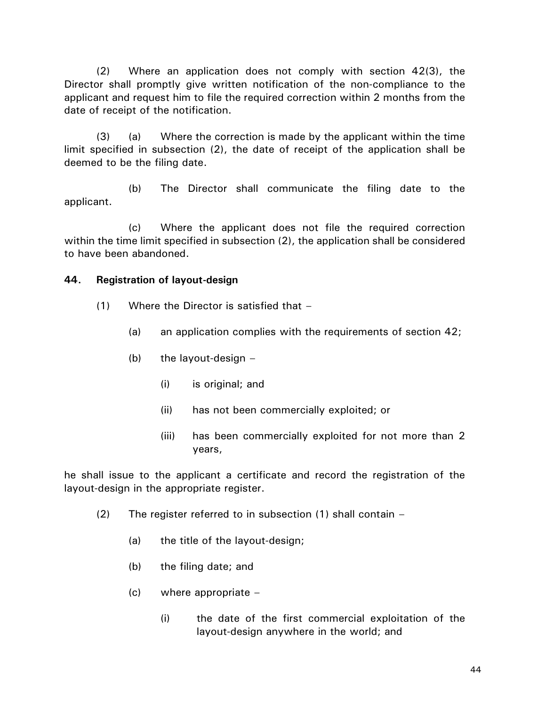(2) Where an application does not comply with section 42(3), the Director shall promptly give written notification of the non-compliance to the applicant and request him to file the required correction within 2 months from the date of receipt of the notification.

(3) (a) Where the correction is made by the applicant within the time limit specified in subsection (2), the date of receipt of the application shall be deemed to be the filing date.

(b) The Director shall communicate the filing date to the applicant.

(c) Where the applicant does not file the required correction within the time limit specified in subsection (2), the application shall be considered to have been abandoned.

## **44. Registration of layout-design**

- (1) Where the Director is satisfied that
	- (a) an application complies with the requirements of section 42;
	- (b) the layout-design  $-$ 
		- (i) is original; and
		- (ii) has not been commercially exploited; or
		- (iii) has been commercially exploited for not more than 2 years,

he shall issue to the applicant a certificate and record the registration of the layout-design in the appropriate register.

- (2) The register referred to in subsection (1) shall contain
	- (a) the title of the layout-design;
	- (b) the filing date; and
	- $(c)$  where appropriate  $-$ 
		- (i) the date of the first commercial exploitation of the layout-design anywhere in the world; and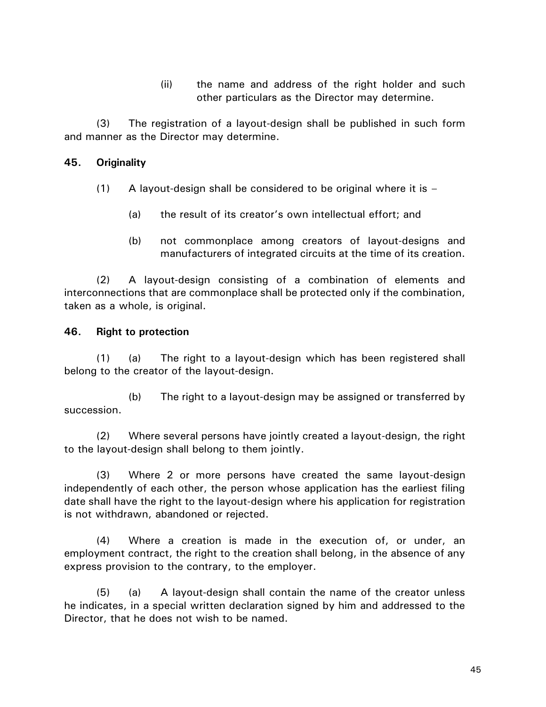(ii) the name and address of the right holder and such other particulars as the Director may determine.

(3) The registration of a layout-design shall be published in such form and manner as the Director may determine.

## **45. Originality**

- $(1)$  A layout-design shall be considered to be original where it is  $-$ 
	- (a) the result of its creator's own intellectual effort; and
	- (b) not commonplace among creators of layout-designs and manufacturers of integrated circuits at the time of its creation.

(2) A layout-design consisting of a combination of elements and interconnections that are commonplace shall be protected only if the combination, taken as a whole, is original.

## **46. Right to protection**

(1) (a) The right to a layout-design which has been registered shall belong to the creator of the layout-design.

(b) The right to a layout-design may be assigned or transferred by succession.

(2) Where several persons have jointly created a layout-design, the right to the layout-design shall belong to them jointly.

(3) Where 2 or more persons have created the same layout-design independently of each other, the person whose application has the earliest filing date shall have the right to the layout-design where his application for registration is not withdrawn, abandoned or rejected.

(4) Where a creation is made in the execution of, or under, an employment contract, the right to the creation shall belong, in the absence of any express provision to the contrary, to the employer.

(5) (a) A layout-design shall contain the name of the creator unless he indicates, in a special written declaration signed by him and addressed to the Director, that he does not wish to be named.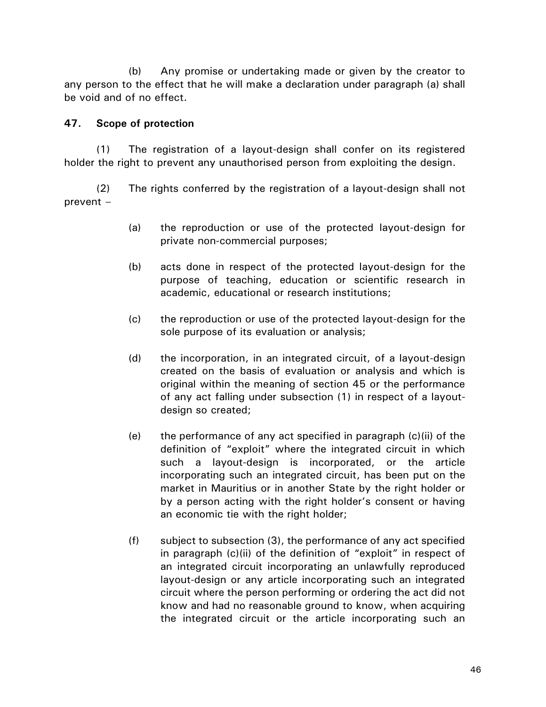(b) Any promise or undertaking made or given by the creator to any person to the effect that he will make a declaration under paragraph (a) shall be void and of no effect.

## **47. Scope of protection**

(1) The registration of a layout-design shall confer on its registered holder the right to prevent any unauthorised person from exploiting the design.

(2) The rights conferred by the registration of a layout-design shall not prevent –

- (a) the reproduction or use of the protected layout-design for private non-commercial purposes;
- (b) acts done in respect of the protected layout-design for the purpose of teaching, education or scientific research in academic, educational or research institutions;
- (c) the reproduction or use of the protected layout-design for the sole purpose of its evaluation or analysis;
- (d) the incorporation, in an integrated circuit, of a layout-design created on the basis of evaluation or analysis and which is original within the meaning of section 45 or the performance of any act falling under subsection (1) in respect of a layoutdesign so created;
- (e) the performance of any act specified in paragraph (c)(ii) of the definition of "exploit" where the integrated circuit in which such a layout-design is incorporated, or the article incorporating such an integrated circuit, has been put on the market in Mauritius or in another State by the right holder or by a person acting with the right holder's consent or having an economic tie with the right holder;
- (f) subject to subsection (3), the performance of any act specified in paragraph (c)(ii) of the definition of "exploit" in respect of an integrated circuit incorporating an unlawfully reproduced layout-design or any article incorporating such an integrated circuit where the person performing or ordering the act did not know and had no reasonable ground to know, when acquiring the integrated circuit or the article incorporating such an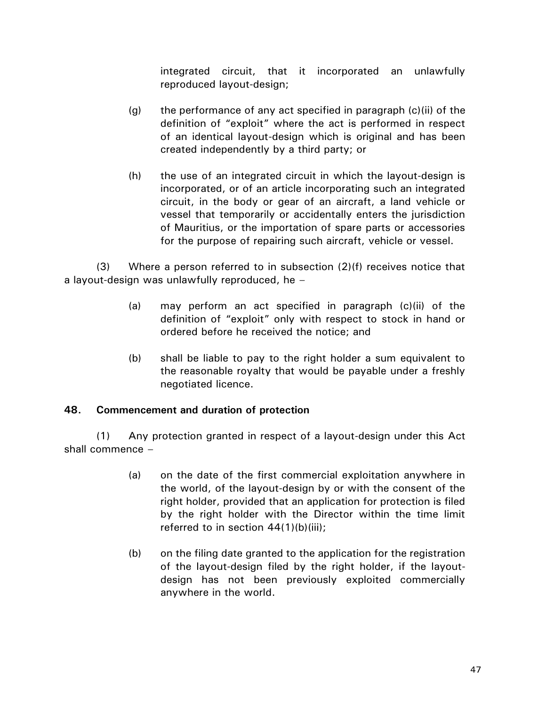integrated circuit, that it incorporated an unlawfully reproduced layout-design;

- (g) the performance of any act specified in paragraph  $(c)(ii)$  of the definition of "exploit" where the act is performed in respect of an identical layout-design which is original and has been created independently by a third party; or
- (h) the use of an integrated circuit in which the layout-design is incorporated, or of an article incorporating such an integrated circuit, in the body or gear of an aircraft, a land vehicle or vessel that temporarily or accidentally enters the jurisdiction of Mauritius, or the importation of spare parts or accessories for the purpose of repairing such aircraft, vehicle or vessel.

(3) Where a person referred to in subsection (2)(f) receives notice that a layout-design was unlawfully reproduced, he –

- (a) may perform an act specified in paragraph (c)(ii) of the definition of "exploit" only with respect to stock in hand or ordered before he received the notice; and
- (b) shall be liable to pay to the right holder a sum equivalent to the reasonable royalty that would be payable under a freshly negotiated licence.

## **48. Commencement and duration of protection**

(1) Any protection granted in respect of a layout-design under this Act shall commence –

- (a) on the date of the first commercial exploitation anywhere in the world, of the layout-design by or with the consent of the right holder, provided that an application for protection is filed by the right holder with the Director within the time limit referred to in section 44(1)(b)(iii);
- (b) on the filing date granted to the application for the registration of the layout-design filed by the right holder, if the layoutdesign has not been previously exploited commercially anywhere in the world.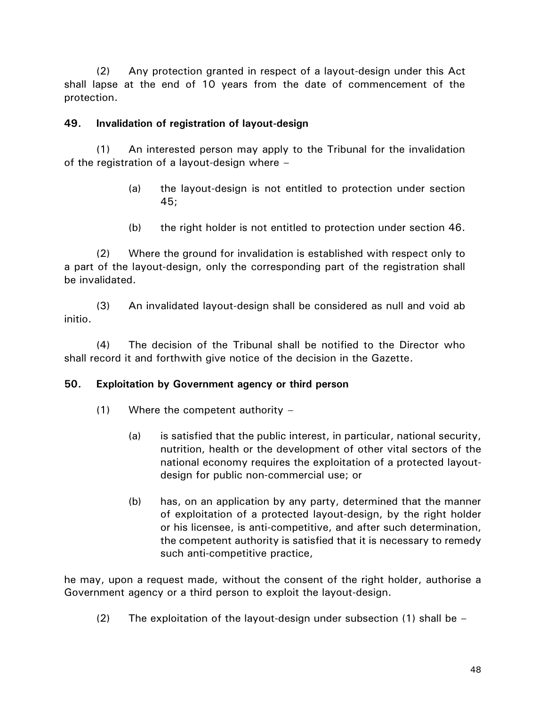(2) Any protection granted in respect of a layout-design under this Act shall lapse at the end of 10 years from the date of commencement of the protection.

## **49. Invalidation of registration of layout-design**

(1) An interested person may apply to the Tribunal for the invalidation of the registration of a layout-design where –

- (a) the layout-design is not entitled to protection under section 45;
- (b) the right holder is not entitled to protection under section 46.

(2) Where the ground for invalidation is established with respect only to a part of the layout-design, only the corresponding part of the registration shall be invalidated.

(3) An invalidated layout-design shall be considered as null and void ab initio.

(4) The decision of the Tribunal shall be notified to the Director who shall record it and forthwith give notice of the decision in the Gazette.

## **50. Exploitation by Government agency or third person**

- $(1)$  Where the competent authority
	- (a) is satisfied that the public interest, in particular, national security, nutrition, health or the development of other vital sectors of the national economy requires the exploitation of a protected layoutdesign for public non-commercial use; or
	- (b) has, on an application by any party, determined that the manner of exploitation of a protected layout-design, by the right holder or his licensee, is anti-competitive, and after such determination, the competent authority is satisfied that it is necessary to remedy such anti-competitive practice,

he may, upon a request made, without the consent of the right holder, authorise a Government agency or a third person to exploit the layout-design.

(2) The exploitation of the layout-design under subsection (1) shall be  $-$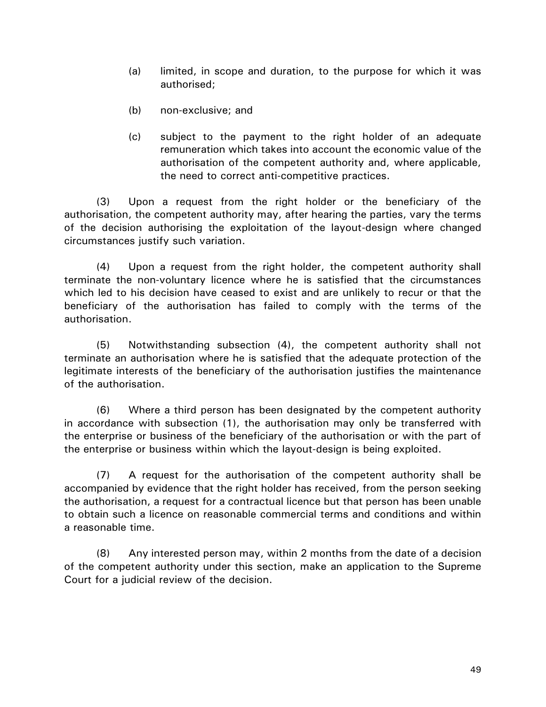- (a) limited, in scope and duration, to the purpose for which it was authorised;
- (b) non-exclusive; and
- (c) subject to the payment to the right holder of an adequate remuneration which takes into account the economic value of the authorisation of the competent authority and, where applicable, the need to correct anti-competitive practices.

(3) Upon a request from the right holder or the beneficiary of the authorisation, the competent authority may, after hearing the parties, vary the terms of the decision authorising the exploitation of the layout-design where changed circumstances justify such variation.

(4) Upon a request from the right holder, the competent authority shall terminate the non-voluntary licence where he is satisfied that the circumstances which led to his decision have ceased to exist and are unlikely to recur or that the beneficiary of the authorisation has failed to comply with the terms of the authorisation.

(5) Notwithstanding subsection (4), the competent authority shall not terminate an authorisation where he is satisfied that the adequate protection of the legitimate interests of the beneficiary of the authorisation justifies the maintenance of the authorisation.

(6) Where a third person has been designated by the competent authority in accordance with subsection (1), the authorisation may only be transferred with the enterprise or business of the beneficiary of the authorisation or with the part of the enterprise or business within which the layout-design is being exploited.

(7) A request for the authorisation of the competent authority shall be accompanied by evidence that the right holder has received, from the person seeking the authorisation, a request for a contractual licence but that person has been unable to obtain such a licence on reasonable commercial terms and conditions and within a reasonable time.

(8) Any interested person may, within 2 months from the date of a decision of the competent authority under this section, make an application to the Supreme Court for a judicial review of the decision.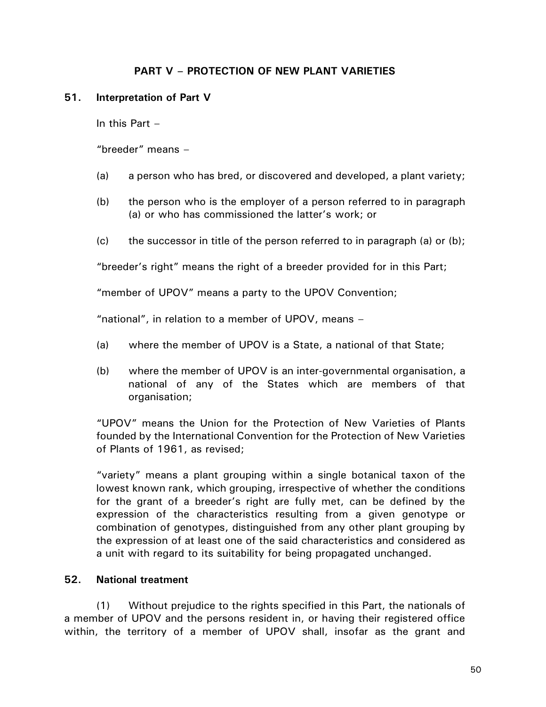## **PART V – PROTECTION OF NEW PLANT VARIETIES**

### **51. Interpretation of Part V**

In this Part –

"breeder" means –

- (a) a person who has bred, or discovered and developed, a plant variety;
- (b) the person who is the employer of a person referred to in paragraph (a) or who has commissioned the latter's work; or
- $(c)$  the successor in title of the person referred to in paragraph (a) or (b);

"breeder's right" means the right of a breeder provided for in this Part;

"member of UPOV" means a party to the UPOV Convention;

"national", in relation to a member of UPOV, means –

- (a) where the member of UPOV is a State, a national of that State;
- (b) where the member of UPOV is an inter-governmental organisation, a national of any of the States which are members of that organisation;

"UPOV" means the Union for the Protection of New Varieties of Plants founded by the International Convention for the Protection of New Varieties of Plants of 1961, as revised;

"variety" means a plant grouping within a single botanical taxon of the lowest known rank, which grouping, irrespective of whether the conditions for the grant of a breeder's right are fully met, can be defined by the expression of the characteristics resulting from a given genotype or combination of genotypes, distinguished from any other plant grouping by the expression of at least one of the said characteristics and considered as a unit with regard to its suitability for being propagated unchanged.

## **52. National treatment**

(1) Without prejudice to the rights specified in this Part, the nationals of a member of UPOV and the persons resident in, or having their registered office within, the territory of a member of UPOV shall, insofar as the grant and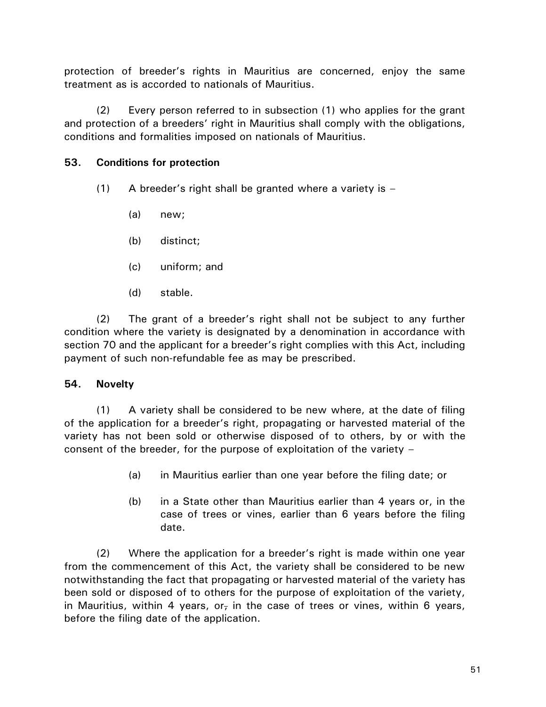protection of breeder's rights in Mauritius are concerned, enjoy the same treatment as is accorded to nationals of Mauritius.

(2) Every person referred to in subsection (1) who applies for the grant and protection of a breeders' right in Mauritius shall comply with the obligations, conditions and formalities imposed on nationals of Mauritius.

# **53. Conditions for protection**

- $(1)$  A breeder's right shall be granted where a variety is  $-$ 
	- (a) new;
	- (b) distinct;
	- (c) uniform; and
	- (d) stable.

(2) The grant of a breeder's right shall not be subject to any further condition where the variety is designated by a denomination in accordance with section 70 and the applicant for a breeder's right complies with this Act, including payment of such non-refundable fee as may be prescribed.

## **54. Novelty**

(1) A variety shall be considered to be new where, at the date of filing of the application for a breeder's right, propagating or harvested material of the variety has not been sold or otherwise disposed of to others, by or with the consent of the breeder, for the purpose of exploitation of the variety –

- (a) in Mauritius earlier than one year before the filing date; or
- (b) in a State other than Mauritius earlier than 4 years or, in the case of trees or vines, earlier than 6 years before the filing date.

(2) Where the application for a breeder's right is made within one year from the commencement of this Act, the variety shall be considered to be new notwithstanding the fact that propagating or harvested material of the variety has been sold or disposed of to others for the purpose of exploitation of the variety, in Mauritius, within 4 years, or<sub>r</sub> in the case of trees or vines, within 6 years, before the filing date of the application.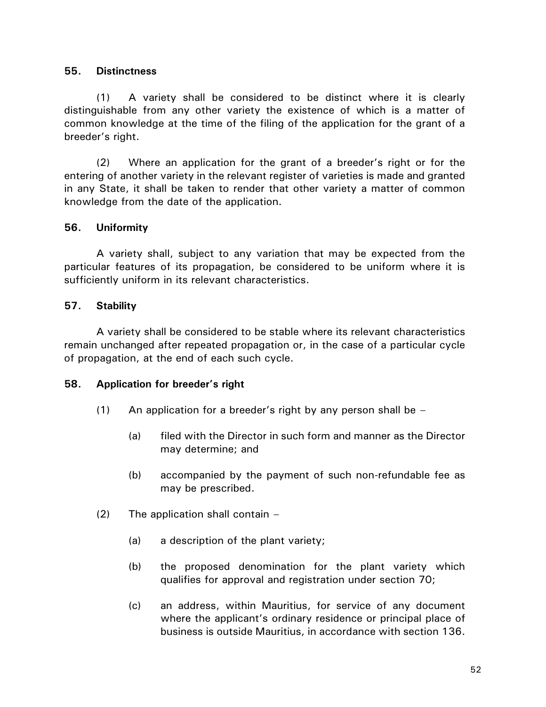### **55. Distinctness**

(1) A variety shall be considered to be distinct where it is clearly distinguishable from any other variety the existence of which is a matter of common knowledge at the time of the filing of the application for the grant of a breeder's right.

(2) Where an application for the grant of a breeder's right or for the entering of another variety in the relevant register of varieties is made and granted in any State, it shall be taken to render that other variety a matter of common knowledge from the date of the application.

### **56. Uniformity**

A variety shall, subject to any variation that may be expected from the particular features of its propagation, be considered to be uniform where it is sufficiently uniform in its relevant characteristics.

### **57. Stability**

A variety shall be considered to be stable where its relevant characteristics remain unchanged after repeated propagation or, in the case of a particular cycle of propagation, at the end of each such cycle.

#### **58. Application for breeder's right**

- $(1)$  An application for a breeder's right by any person shall be  $-$ 
	- (a) filed with the Director in such form and manner as the Director may determine; and
	- (b) accompanied by the payment of such non-refundable fee as may be prescribed.
- (2) The application shall contain
	- (a) a description of the plant variety;
	- (b) the proposed denomination for the plant variety which qualifies for approval and registration under section 70;
	- (c) an address, within Mauritius, for service of any document where the applicant's ordinary residence or principal place of business is outside Mauritius, in accordance with section 136.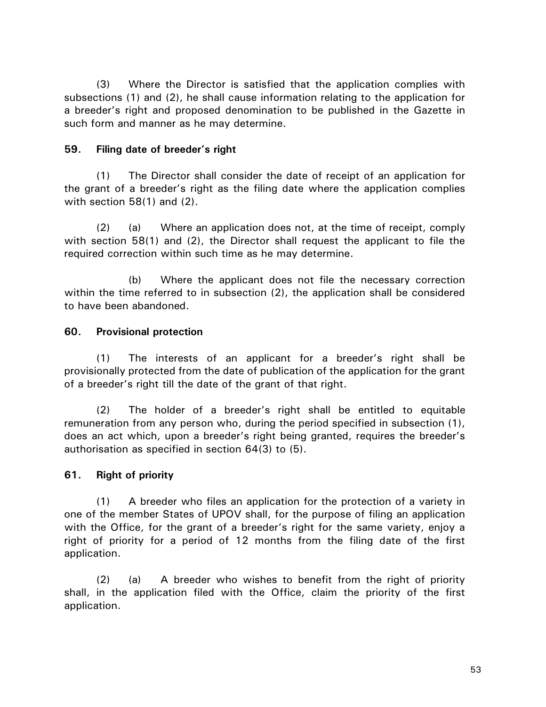(3) Where the Director is satisfied that the application complies with subsections (1) and (2), he shall cause information relating to the application for a breeder's right and proposed denomination to be published in the Gazette in such form and manner as he may determine.

### **59. Filing date of breeder's right**

(1) The Director shall consider the date of receipt of an application for the grant of a breeder's right as the filing date where the application complies with section 58(1) and (2).

(2) (a) Where an application does not, at the time of receipt, comply with section 58(1) and (2), the Director shall request the applicant to file the required correction within such time as he may determine.

(b) Where the applicant does not file the necessary correction within the time referred to in subsection (2), the application shall be considered to have been abandoned.

### **60. Provisional protection**

(1) The interests of an applicant for a breeder's right shall be provisionally protected from the date of publication of the application for the grant of a breeder's right till the date of the grant of that right.

(2) The holder of a breeder's right shall be entitled to equitable remuneration from any person who, during the period specified in subsection (1), does an act which, upon a breeder's right being granted, requires the breeder's authorisation as specified in section 64(3) to (5).

## **61. Right of priority**

(1) A breeder who files an application for the protection of a variety in one of the member States of UPOV shall, for the purpose of filing an application with the Office, for the grant of a breeder's right for the same variety, enjoy a right of priority for a period of 12 months from the filing date of the first application.

(2) (a) A breeder who wishes to benefit from the right of priority shall, in the application filed with the Office, claim the priority of the first application.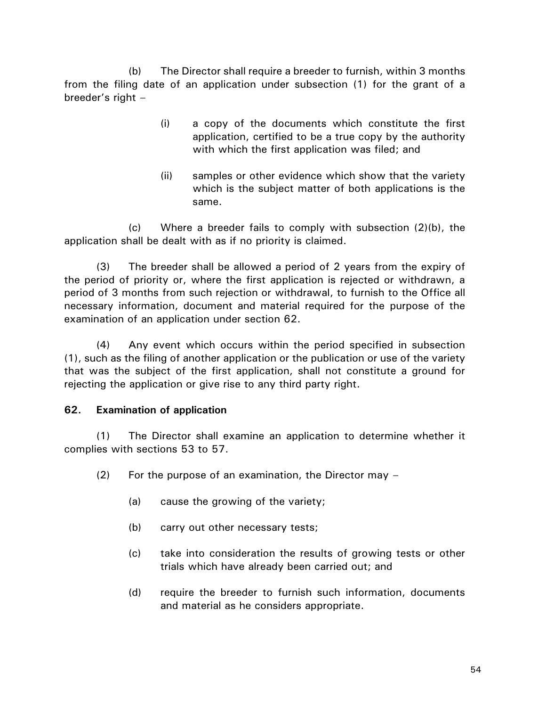(b) The Director shall require a breeder to furnish, within 3 months from the filing date of an application under subsection (1) for the grant of a breeder's right –

- (i) a copy of the documents which constitute the first application, certified to be a true copy by the authority with which the first application was filed; and
- (ii) samples or other evidence which show that the variety which is the subject matter of both applications is the same.

(c) Where a breeder fails to comply with subsection (2)(b), the application shall be dealt with as if no priority is claimed.

(3) The breeder shall be allowed a period of 2 years from the expiry of the period of priority or, where the first application is rejected or withdrawn, a period of 3 months from such rejection or withdrawal, to furnish to the Office all necessary information, document and material required for the purpose of the examination of an application under section 62.

(4) Any event which occurs within the period specified in subsection (1), such as the filing of another application or the publication or use of the variety that was the subject of the first application, shall not constitute a ground for rejecting the application or give rise to any third party right.

# **62. Examination of application**

(1) The Director shall examine an application to determine whether it complies with sections 53 to 57.

- (2) For the purpose of an examination, the Director may
	- (a) cause the growing of the variety;
	- (b) carry out other necessary tests;
	- (c) take into consideration the results of growing tests or other trials which have already been carried out; and
	- (d) require the breeder to furnish such information, documents and material as he considers appropriate.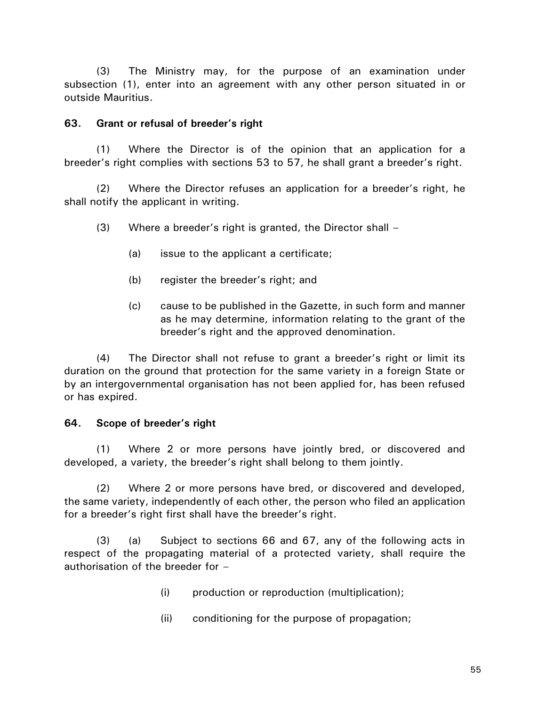(3) The Ministry may, for the purpose of an examination under subsection (1), enter into an agreement with any other person situated in or outside Mauritius.

### **63. Grant or refusal of breeder's right**

(1) Where the Director is of the opinion that an application for a breeder's right complies with sections 53 to 57, he shall grant a breeder's right.

(2) Where the Director refuses an application for a breeder's right, he shall notify the applicant in writing.

(3) Where a breeder's right is granted, the Director shall –

- (a) issue to the applicant a certificate;
- (b) register the breeder's right; and
- (c) cause to be published in the Gazette, in such form and manner as he may determine, information relating to the grant of the breeder's right and the approved denomination.

(4) The Director shall not refuse to grant a breeder's right or limit its duration on the ground that protection for the same variety in a foreign State or by an intergovernmental organisation has not been applied for, has been refused or has expired.

## **64. Scope of breeder's right**

(1) Where 2 or more persons have jointly bred, or discovered and developed, a variety, the breeder's right shall belong to them jointly.

(2) Where 2 or more persons have bred, or discovered and developed, the same variety, independently of each other, the person who filed an application for a breeder's right first shall have the breeder's right.

(3) (a) Subject to sections 66 and 67, any of the following acts in respect of the propagating material of a protected variety, shall require the authorisation of the breeder for –

- (i) production or reproduction (multiplication);
- (ii) conditioning for the purpose of propagation;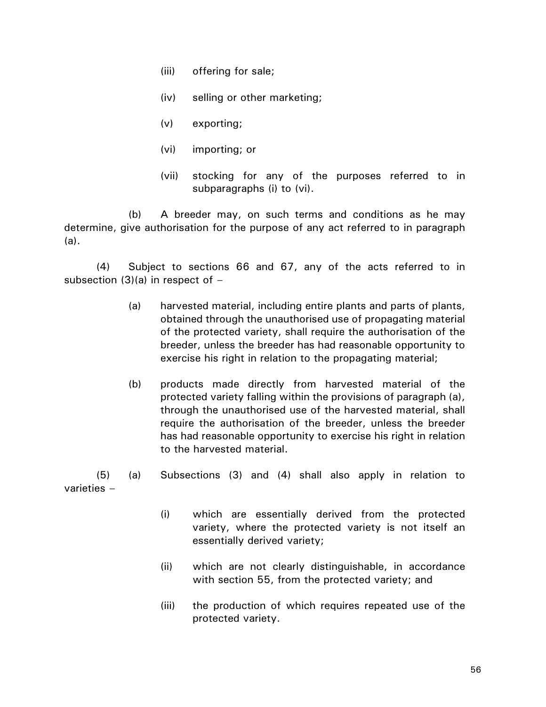- (iii) offering for sale;
- (iv) selling or other marketing;
- (v) exporting;
- (vi) importing; or
- (vii) stocking for any of the purposes referred to in subparagraphs (i) to (vi).

(b) A breeder may, on such terms and conditions as he may determine, give authorisation for the purpose of any act referred to in paragraph (a).

(4) Subject to sections 66 and 67, any of the acts referred to in subsection  $(3)(a)$  in respect of  $-$ 

- (a) harvested material, including entire plants and parts of plants, obtained through the unauthorised use of propagating material of the protected variety, shall require the authorisation of the breeder, unless the breeder has had reasonable opportunity to exercise his right in relation to the propagating material;
- (b) products made directly from harvested material of the protected variety falling within the provisions of paragraph (a), through the unauthorised use of the harvested material, shall require the authorisation of the breeder, unless the breeder has had reasonable opportunity to exercise his right in relation to the harvested material.

(5) (a) Subsections (3) and (4) shall also apply in relation to varieties –

- (i) which are essentially derived from the protected variety, where the protected variety is not itself an essentially derived variety;
- (ii) which are not clearly distinguishable, in accordance with section 55, from the protected variety; and
- (iii) the production of which requires repeated use of the protected variety.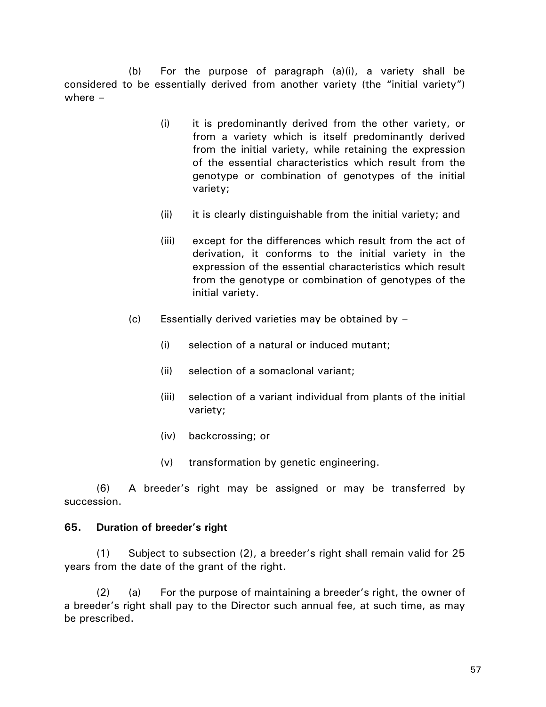(b) For the purpose of paragraph  $(a)(i)$ , a variety shall be considered to be essentially derived from another variety (the "initial variety") where –

- (i) it is predominantly derived from the other variety, or from a variety which is itself predominantly derived from the initial variety, while retaining the expression of the essential characteristics which result from the genotype or combination of genotypes of the initial variety;
- (ii) it is clearly distinguishable from the initial variety; and
- (iii) except for the differences which result from the act of derivation, it conforms to the initial variety in the expression of the essential characteristics which result from the genotype or combination of genotypes of the initial variety.
- (c) Essentially derived varieties may be obtained by  $-$ 
	- (i) selection of a natural or induced mutant;
	- (ii) selection of a somaclonal variant;
	- (iii) selection of a variant individual from plants of the initial variety;
	- (iv) backcrossing; or
	- (v) transformation by genetic engineering.

(6) A breeder's right may be assigned or may be transferred by succession.

#### **65. Duration of breeder's right**

(1) Subject to subsection (2), a breeder's right shall remain valid for 25 years from the date of the grant of the right.

(2) (a) For the purpose of maintaining a breeder's right, the owner of a breeder's right shall pay to the Director such annual fee, at such time, as may be prescribed.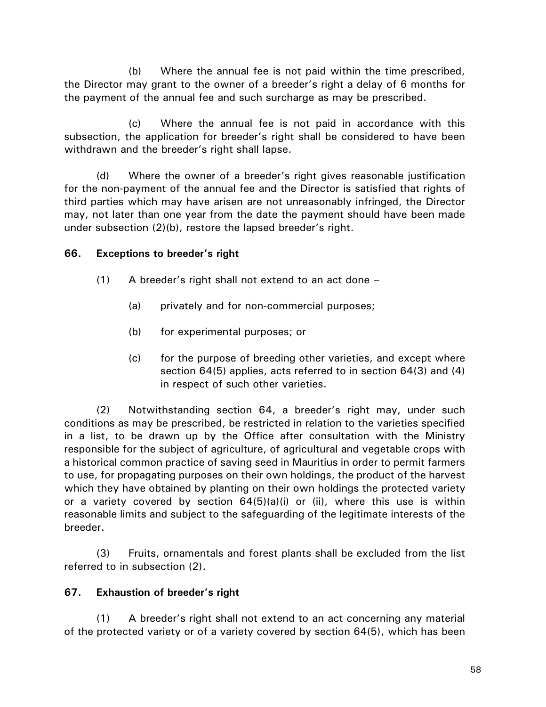(b) Where the annual fee is not paid within the time prescribed, the Director may grant to the owner of a breeder's right a delay of 6 months for the payment of the annual fee and such surcharge as may be prescribed.

(c) Where the annual fee is not paid in accordance with this subsection, the application for breeder's right shall be considered to have been withdrawn and the breeder's right shall lapse.

(d) Where the owner of a breeder's right gives reasonable justification for the non-payment of the annual fee and the Director is satisfied that rights of third parties which may have arisen are not unreasonably infringed, the Director may, not later than one year from the date the payment should have been made under subsection (2)(b), restore the lapsed breeder's right.

## **66. Exceptions to breeder's right**

- (1) A breeder's right shall not extend to an act done
	- (a) privately and for non-commercial purposes;
	- (b) for experimental purposes; or
	- (c) for the purpose of breeding other varieties, and except where section 64(5) applies, acts referred to in section 64(3) and (4) in respect of such other varieties.

(2) Notwithstanding section 64, a breeder's right may, under such conditions as may be prescribed, be restricted in relation to the varieties specified in a list, to be drawn up by the Office after consultation with the Ministry responsible for the subject of agriculture, of agricultural and vegetable crops with a historical common practice of saving seed in Mauritius in order to permit farmers to use, for propagating purposes on their own holdings, the product of the harvest which they have obtained by planting on their own holdings the protected variety or a variety covered by section 64(5)(a)(i) or (ii), where this use is within reasonable limits and subject to the safeguarding of the legitimate interests of the breeder.

(3) Fruits, ornamentals and forest plants shall be excluded from the list referred to in subsection (2).

## **67. Exhaustion of breeder's right**

(1) A breeder's right shall not extend to an act concerning any material of the protected variety or of a variety covered by section 64(5), which has been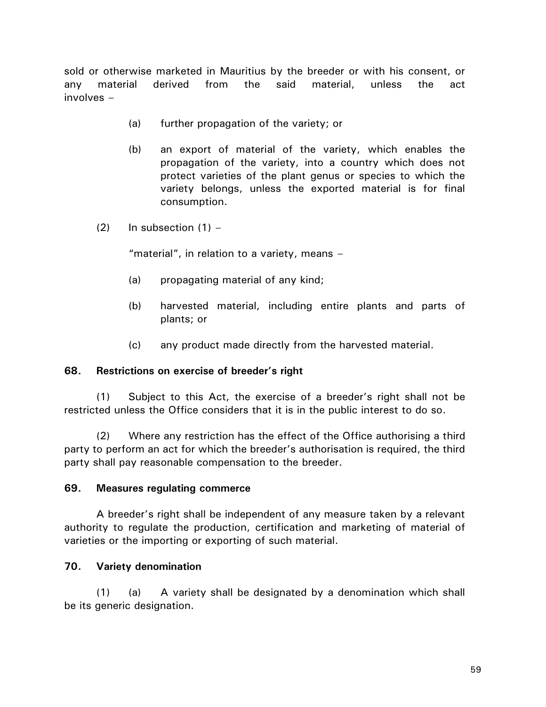sold or otherwise marketed in Mauritius by the breeder or with his consent, or any material derived from the said material, unless the act involves –

- (a) further propagation of the variety; or
- (b) an export of material of the variety, which enables the propagation of the variety, into a country which does not protect varieties of the plant genus or species to which the variety belongs, unless the exported material is for final consumption.
- $(2)$  In subsection  $(1)$  –

"material", in relation to a variety, means –

- (a) propagating material of any kind;
- (b) harvested material, including entire plants and parts of plants; or
- (c) any product made directly from the harvested material.

#### **68. Restrictions on exercise of breeder's right**

(1) Subject to this Act, the exercise of a breeder's right shall not be restricted unless the Office considers that it is in the public interest to do so.

(2) Where any restriction has the effect of the Office authorising a third party to perform an act for which the breeder's authorisation is required, the third party shall pay reasonable compensation to the breeder.

#### **69. Measures regulating commerce**

A breeder's right shall be independent of any measure taken by a relevant authority to regulate the production, certification and marketing of material of varieties or the importing or exporting of such material.

#### **70. Variety denomination**

(1) (a) A variety shall be designated by a denomination which shall be its generic designation.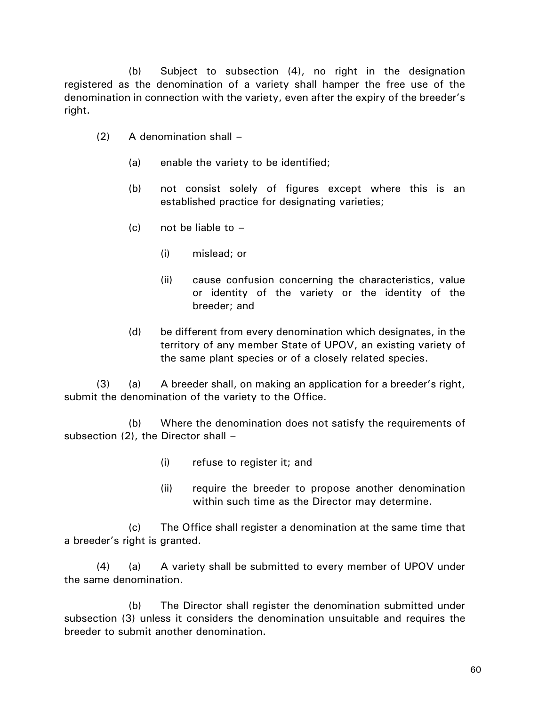(b) Subject to subsection (4), no right in the designation registered as the denomination of a variety shall hamper the free use of the denomination in connection with the variety, even after the expiry of the breeder's right.

- (2) A denomination shall
	- (a) enable the variety to be identified;
	- (b) not consist solely of figures except where this is an established practice for designating varieties;
	- $(c)$  not be liable to  $-$ 
		- (i) mislead; or
		- (ii) cause confusion concerning the characteristics, value or identity of the variety or the identity of the breeder; and
	- (d) be different from every denomination which designates, in the territory of any member State of UPOV, an existing variety of the same plant species or of a closely related species.

(3) (a) A breeder shall, on making an application for a breeder's right, submit the denomination of the variety to the Office.

(b) Where the denomination does not satisfy the requirements of subsection  $(2)$ , the Director shall  $-$ 

- (i) refuse to register it; and
- (ii) require the breeder to propose another denomination within such time as the Director may determine.

(c) The Office shall register a denomination at the same time that a breeder's right is granted.

(4) (a) A variety shall be submitted to every member of UPOV under the same denomination.

(b) The Director shall register the denomination submitted under subsection (3) unless it considers the denomination unsuitable and requires the breeder to submit another denomination.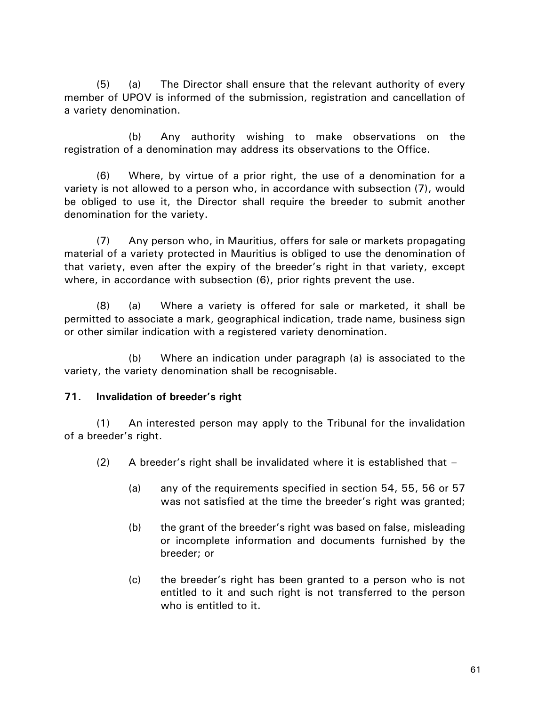(5) (a) The Director shall ensure that the relevant authority of every member of UPOV is informed of the submission, registration and cancellation of a variety denomination.

(b) Any authority wishing to make observations on the registration of a denomination may address its observations to the Office.

(6) Where, by virtue of a prior right, the use of a denomination for a variety is not allowed to a person who, in accordance with subsection (7), would be obliged to use it, the Director shall require the breeder to submit another denomination for the variety.

(7) Any person who, in Mauritius, offers for sale or markets propagating material of a variety protected in Mauritius is obliged to use the denomination of that variety, even after the expiry of the breeder's right in that variety, except where, in accordance with subsection (6), prior rights prevent the use.

(8) (a) Where a variety is offered for sale or marketed, it shall be permitted to associate a mark, geographical indication, trade name, business sign or other similar indication with a registered variety denomination.

(b) Where an indication under paragraph (a) is associated to the variety, the variety denomination shall be recognisable.

## **71. Invalidation of breeder's right**

(1) An interested person may apply to the Tribunal for the invalidation of a breeder's right.

(2) A breeder's right shall be invalidated where it is established that  $-$ 

- (a) any of the requirements specified in section 54, 55, 56 or 57 was not satisfied at the time the breeder's right was granted;
- (b) the grant of the breeder's right was based on false, misleading or incomplete information and documents furnished by the breeder; or
- (c) the breeder's right has been granted to a person who is not entitled to it and such right is not transferred to the person who is entitled to it.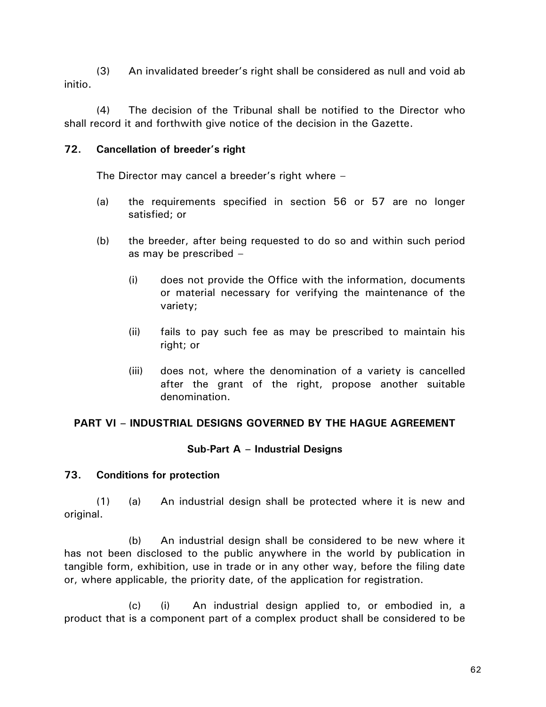(3) An invalidated breeder's right shall be considered as null and void ab initio.

(4) The decision of the Tribunal shall be notified to the Director who shall record it and forthwith give notice of the decision in the Gazette.

## **72. Cancellation of breeder's right**

The Director may cancel a breeder's right where –

- (a) the requirements specified in section 56 or 57 are no longer satisfied; or
- (b) the breeder, after being requested to do so and within such period as may be prescribed –
	- (i) does not provide the Office with the information, documents or material necessary for verifying the maintenance of the variety;
	- (ii) fails to pay such fee as may be prescribed to maintain his right; or
	- (iii) does not, where the denomination of a variety is cancelled after the grant of the right, propose another suitable denomination.

# **PART VI – INDUSTRIAL DESIGNS GOVERNED BY THE HAGUE AGREEMENT**

## **Sub-Part A – Industrial Designs**

# **73. Conditions for protection**

(1) (a) An industrial design shall be protected where it is new and original.

(b) An industrial design shall be considered to be new where it has not been disclosed to the public anywhere in the world by publication in tangible form, exhibition, use in trade or in any other way, before the filing date or, where applicable, the priority date, of the application for registration.

(c) (i) An industrial design applied to, or embodied in, a product that is a component part of a complex product shall be considered to be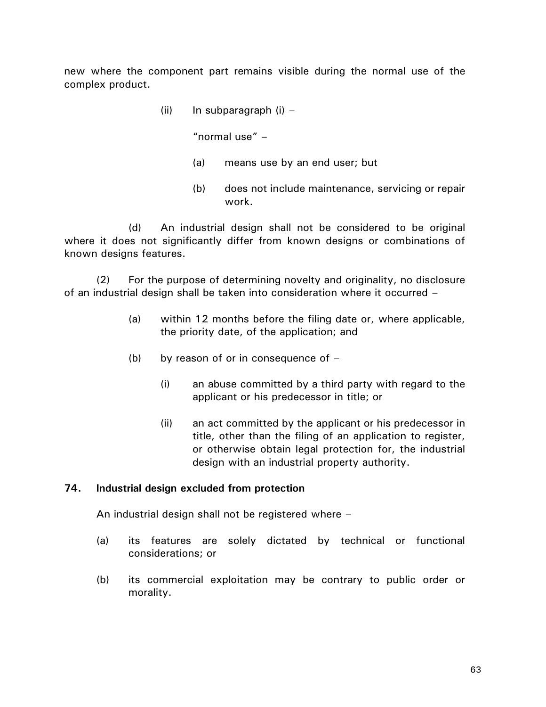new where the component part remains visible during the normal use of the complex product.

(ii) In subparagraph  $(i)$  –

"normal use" –

- (a) means use by an end user; but
- (b) does not include maintenance, servicing or repair work.

(d) An industrial design shall not be considered to be original where it does not significantly differ from known designs or combinations of known designs features.

(2) For the purpose of determining novelty and originality, no disclosure of an industrial design shall be taken into consideration where it occurred –

- (a) within 12 months before the filing date or, where applicable, the priority date, of the application; and
- (b) by reason of or in consequence of  $-$ 
	- (i) an abuse committed by a third party with regard to the applicant or his predecessor in title; or
	- (ii) an act committed by the applicant or his predecessor in title, other than the filing of an application to register, or otherwise obtain legal protection for, the industrial design with an industrial property authority.

#### **74. Industrial design excluded from protection**

An industrial design shall not be registered where –

- (a) its features are solely dictated by technical or functional considerations; or
- (b) its commercial exploitation may be contrary to public order or morality.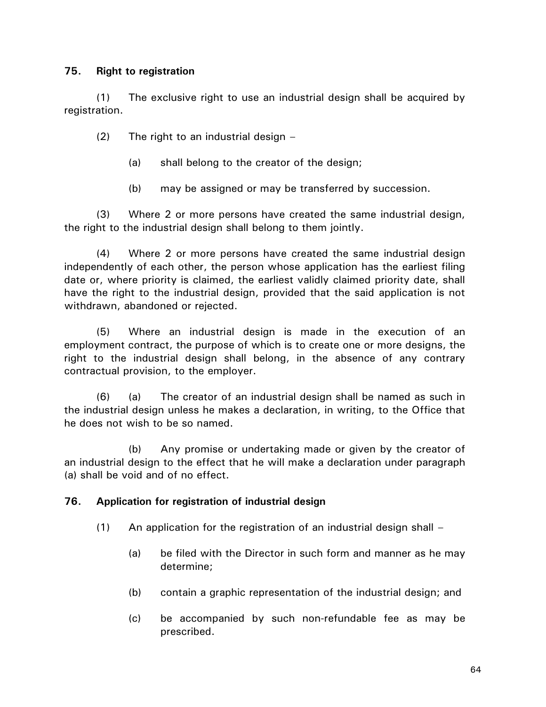## **75. Right to registration**

(1) The exclusive right to use an industrial design shall be acquired by registration.

(2) The right to an industrial design –

- (a) shall belong to the creator of the design;
- (b) may be assigned or may be transferred by succession.

(3) Where 2 or more persons have created the same industrial design, the right to the industrial design shall belong to them jointly.

(4) Where 2 or more persons have created the same industrial design independently of each other, the person whose application has the earliest filing date or, where priority is claimed, the earliest validly claimed priority date, shall have the right to the industrial design, provided that the said application is not withdrawn, abandoned or rejected.

(5) Where an industrial design is made in the execution of an employment contract, the purpose of which is to create one or more designs, the right to the industrial design shall belong, in the absence of any contrary contractual provision, to the employer.

(6) (a) The creator of an industrial design shall be named as such in the industrial design unless he makes a declaration, in writing, to the Office that he does not wish to be so named.

(b) Any promise or undertaking made or given by the creator of an industrial design to the effect that he will make a declaration under paragraph (a) shall be void and of no effect.

## **76. Application for registration of industrial design**

- $(1)$  An application for the registration of an industrial design shall
	- (a) be filed with the Director in such form and manner as he may determine;
	- (b) contain a graphic representation of the industrial design; and
	- (c) be accompanied by such non-refundable fee as may be prescribed.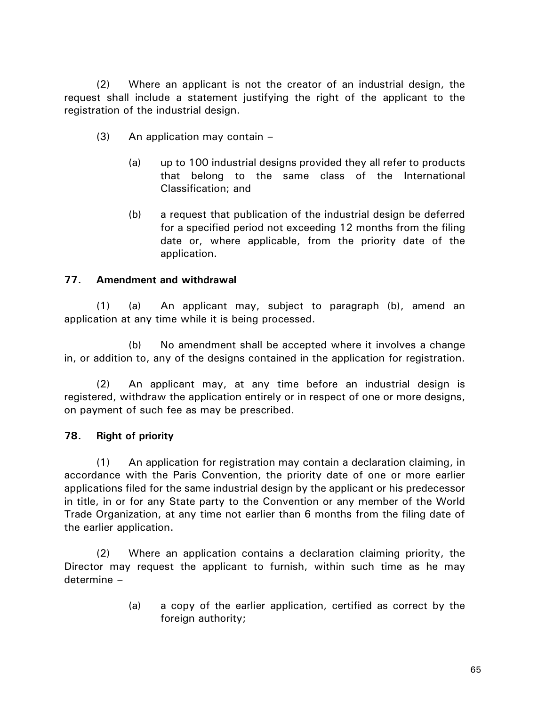(2) Where an applicant is not the creator of an industrial design, the request shall include a statement justifying the right of the applicant to the registration of the industrial design.

- (3) An application may contain
	- (a) up to 100 industrial designs provided they all refer to products that belong to the same class of the International Classification; and
	- (b) a request that publication of the industrial design be deferred for a specified period not exceeding 12 months from the filing date or, where applicable, from the priority date of the application.

## **77. Amendment and withdrawal**

(1) (a) An applicant may, subject to paragraph (b), amend an application at any time while it is being processed.

(b) No amendment shall be accepted where it involves a change in, or addition to, any of the designs contained in the application for registration.

(2) An applicant may, at any time before an industrial design is registered, withdraw the application entirely or in respect of one or more designs, on payment of such fee as may be prescribed.

#### **78. Right of priority**

(1) An application for registration may contain a declaration claiming, in accordance with the Paris Convention, the priority date of one or more earlier applications filed for the same industrial design by the applicant or his predecessor in title, in or for any State party to the Convention or any member of the World Trade Organization, at any time not earlier than 6 months from the filing date of the earlier application.

(2) Where an application contains a declaration claiming priority, the Director may request the applicant to furnish, within such time as he may determine –

> (a) a copy of the earlier application, certified as correct by the foreign authority;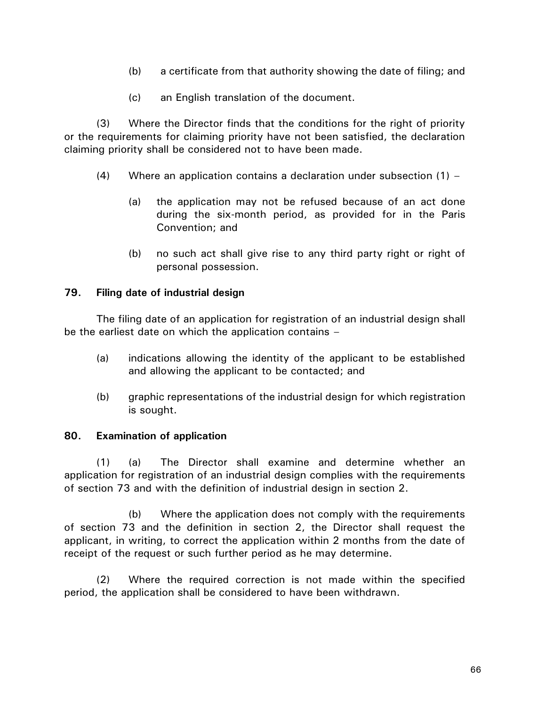- (b) a certificate from that authority showing the date of filing; and
- (c) an English translation of the document.

(3) Where the Director finds that the conditions for the right of priority or the requirements for claiming priority have not been satisfied, the declaration claiming priority shall be considered not to have been made.

- (4) Where an application contains a declaration under subsection  $(1)$ 
	- (a) the application may not be refused because of an act done during the six-month period, as provided for in the Paris Convention; and
	- (b) no such act shall give rise to any third party right or right of personal possession.

## **79. Filing date of industrial design**

The filing date of an application for registration of an industrial design shall be the earliest date on which the application contains –

- (a) indications allowing the identity of the applicant to be established and allowing the applicant to be contacted; and
- (b) graphic representations of the industrial design for which registration is sought.

## **80. Examination of application**

(1) (a) The Director shall examine and determine whether an application for registration of an industrial design complies with the requirements of section 73 and with the definition of industrial design in section 2.

(b) Where the application does not comply with the requirements of section 73 and the definition in section 2, the Director shall request the applicant, in writing, to correct the application within 2 months from the date of receipt of the request or such further period as he may determine.

(2) Where the required correction is not made within the specified period, the application shall be considered to have been withdrawn.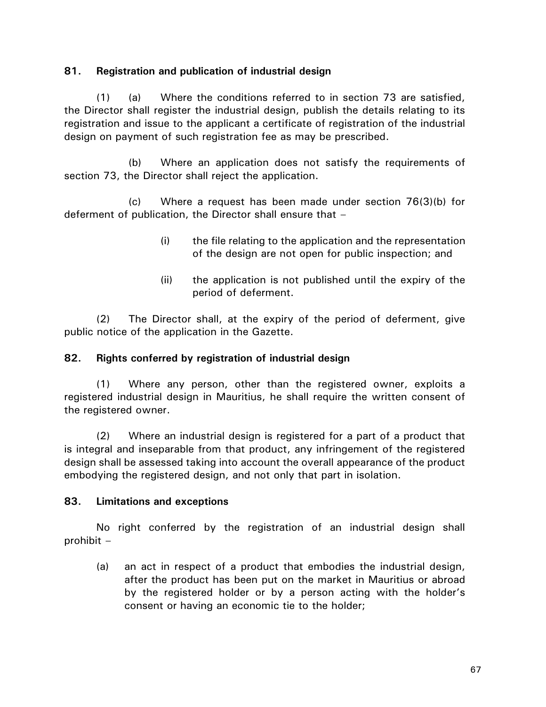## **81. Registration and publication of industrial design**

(1) (a) Where the conditions referred to in section 73 are satisfied, the Director shall register the industrial design, publish the details relating to its registration and issue to the applicant a certificate of registration of the industrial design on payment of such registration fee as may be prescribed.

(b) Where an application does not satisfy the requirements of section 73, the Director shall reject the application.

(c) Where a request has been made under section 76(3)(b) for deferment of publication, the Director shall ensure that –

- (i) the file relating to the application and the representation of the design are not open for public inspection; and
- (ii) the application is not published until the expiry of the period of deferment.

(2) The Director shall, at the expiry of the period of deferment, give public notice of the application in the Gazette.

## **82. Rights conferred by registration of industrial design**

(1) Where any person, other than the registered owner, exploits a registered industrial design in Mauritius, he shall require the written consent of the registered owner.

(2) Where an industrial design is registered for a part of a product that is integral and inseparable from that product, any infringement of the registered design shall be assessed taking into account the overall appearance of the product embodying the registered design, and not only that part in isolation.

## **83. Limitations and exceptions**

No right conferred by the registration of an industrial design shall prohibit –

(a) an act in respect of a product that embodies the industrial design, after the product has been put on the market in Mauritius or abroad by the registered holder or by a person acting with the holder's consent or having an economic tie to the holder;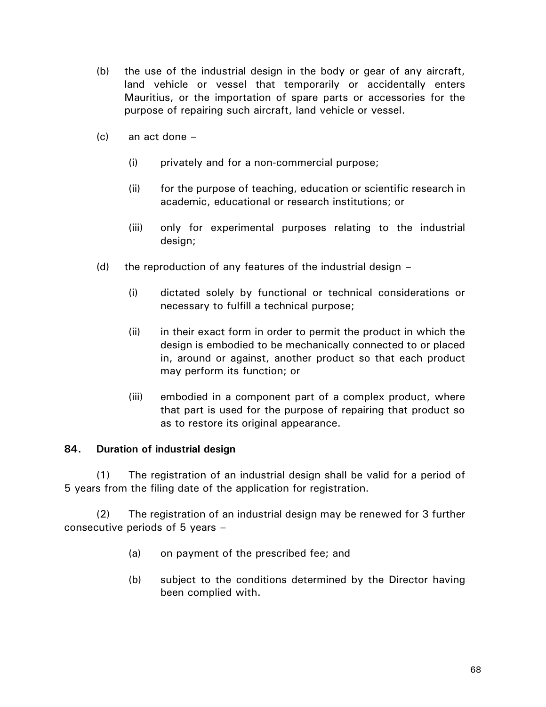- (b) the use of the industrial design in the body or gear of any aircraft, land vehicle or vessel that temporarily or accidentally enters Mauritius, or the importation of spare parts or accessories for the purpose of repairing such aircraft, land vehicle or vessel.
- (c) an act done
	- (i) privately and for a non-commercial purpose;
	- (ii) for the purpose of teaching, education or scientific research in academic, educational or research institutions; or
	- (iii) only for experimental purposes relating to the industrial design;
- (d) the reproduction of any features of the industrial design  $-$ 
	- (i) dictated solely by functional or technical considerations or necessary to fulfill a technical purpose;
	- (ii) in their exact form in order to permit the product in which the design is embodied to be mechanically connected to or placed in, around or against, another product so that each product may perform its function; or
	- (iii) embodied in a component part of a complex product, where that part is used for the purpose of repairing that product so as to restore its original appearance.

## **84. Duration of industrial design**

(1) The registration of an industrial design shall be valid for a period of 5 years from the filing date of the application for registration.

(2) The registration of an industrial design may be renewed for 3 further consecutive periods of 5 years –

- (a) on payment of the prescribed fee; and
- (b) subject to the conditions determined by the Director having been complied with.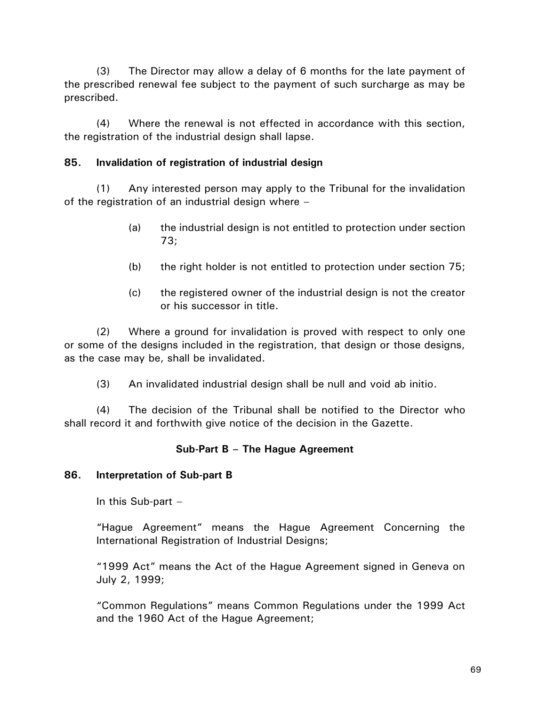(3) The Director may allow a delay of 6 months for the late payment of the prescribed renewal fee subject to the payment of such surcharge as may be prescribed.

(4) Where the renewal is not effected in accordance with this section, the registration of the industrial design shall lapse.

# **85. Invalidation of registration of industrial design**

(1) Any interested person may apply to the Tribunal for the invalidation of the registration of an industrial design where –

- (a) the industrial design is not entitled to protection under section 73;
- (b) the right holder is not entitled to protection under section 75;
- (c) the registered owner of the industrial design is not the creator or his successor in title.

(2) Where a ground for invalidation is proved with respect to only one or some of the designs included in the registration, that design or those designs, as the case may be, shall be invalidated.

(3) An invalidated industrial design shall be null and void ab initio.

(4) The decision of the Tribunal shall be notified to the Director who shall record it and forthwith give notice of the decision in the Gazette.

# **Sub-Part B – The Hague Agreement**

## **86. Interpretation of Sub-part B**

In this Sub-part –

"Hague Agreement" means the Hague Agreement Concerning the International Registration of Industrial Designs;

"1999 Act" means the Act of the Hague Agreement signed in Geneva on July 2, 1999;

"Common Regulations" means Common Regulations under the 1999 Act and the 1960 Act of the Hague Agreement;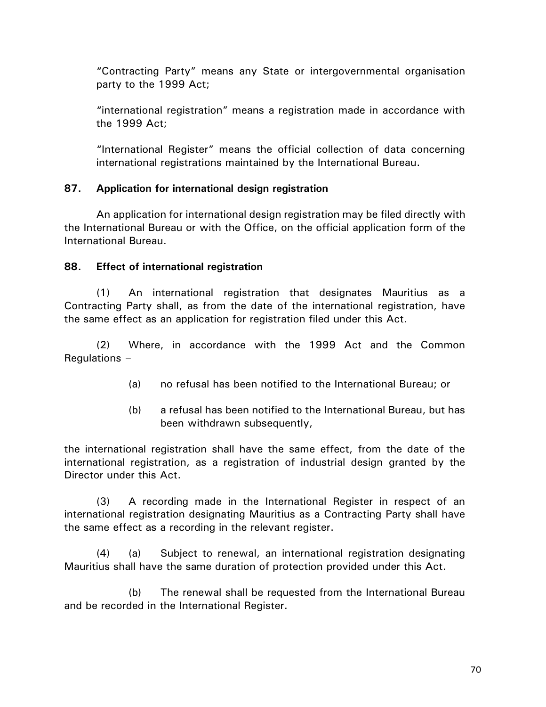"Contracting Party" means any State or intergovernmental organisation party to the 1999 Act;

"international registration" means a registration made in accordance with the 1999 Act;

"International Register" means the official collection of data concerning international registrations maintained by the International Bureau.

## **87. Application for international design registration**

An application for international design registration may be filed directly with the International Bureau or with the Office, on the official application form of the International Bureau.

## **88. Effect of international registration**

(1) An international registration that designates Mauritius as a Contracting Party shall, as from the date of the international registration, have the same effect as an application for registration filed under this Act.

(2) Where, in accordance with the 1999 Act and the Common Regulations –

- (a) no refusal has been notified to the International Bureau; or
- (b) a refusal has been notified to the International Bureau, but has been withdrawn subsequently,

the international registration shall have the same effect, from the date of the international registration, as a registration of industrial design granted by the Director under this Act.

(3) A recording made in the International Register in respect of an international registration designating Mauritius as a Contracting Party shall have the same effect as a recording in the relevant register.

(4) (a) Subject to renewal, an international registration designating Mauritius shall have the same duration of protection provided under this Act.

(b) The renewal shall be requested from the International Bureau and be recorded in the International Register.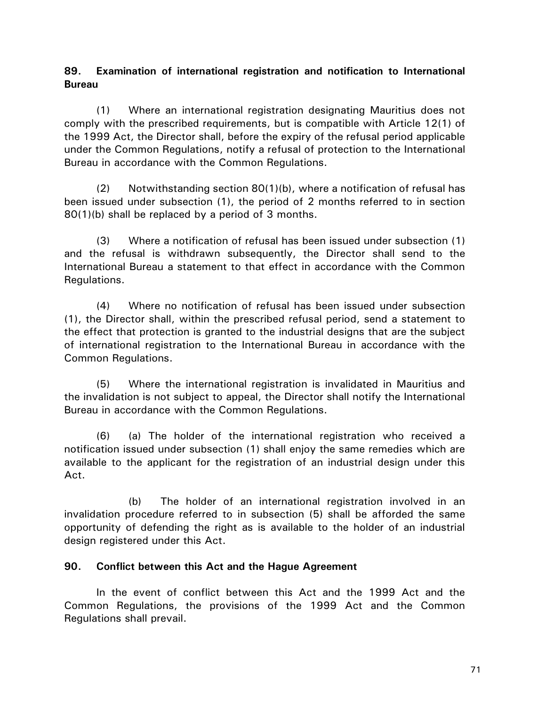## **89. Examination of international registration and notification to International Bureau**

(1) Where an international registration designating Mauritius does not comply with the prescribed requirements, but is compatible with Article 12(1) of the 1999 Act, the Director shall, before the expiry of the refusal period applicable under the Common Regulations, notify a refusal of protection to the International Bureau in accordance with the Common Regulations.

(2) Notwithstanding section  $80(1)(b)$ , where a notification of refusal has been issued under subsection (1), the period of 2 months referred to in section 80(1)(b) shall be replaced by a period of 3 months.

(3) Where a notification of refusal has been issued under subsection (1) and the refusal is withdrawn subsequently, the Director shall send to the International Bureau a statement to that effect in accordance with the Common Regulations.

(4) Where no notification of refusal has been issued under subsection (1), the Director shall, within the prescribed refusal period, send a statement to the effect that protection is granted to the industrial designs that are the subject of international registration to the International Bureau in accordance with the Common Regulations.

(5) Where the international registration is invalidated in Mauritius and the invalidation is not subject to appeal, the Director shall notify the International Bureau in accordance with the Common Regulations.

(6) (a) The holder of the international registration who received a notification issued under subsection (1) shall enjoy the same remedies which are available to the applicant for the registration of an industrial design under this Act.

(b) The holder of an international registration involved in an invalidation procedure referred to in subsection (5) shall be afforded the same opportunity of defending the right as is available to the holder of an industrial design registered under this Act.

## **90. Conflict between this Act and the Hague Agreement**

In the event of conflict between this Act and the 1999 Act and the Common Regulations, the provisions of the 1999 Act and the Common Regulations shall prevail.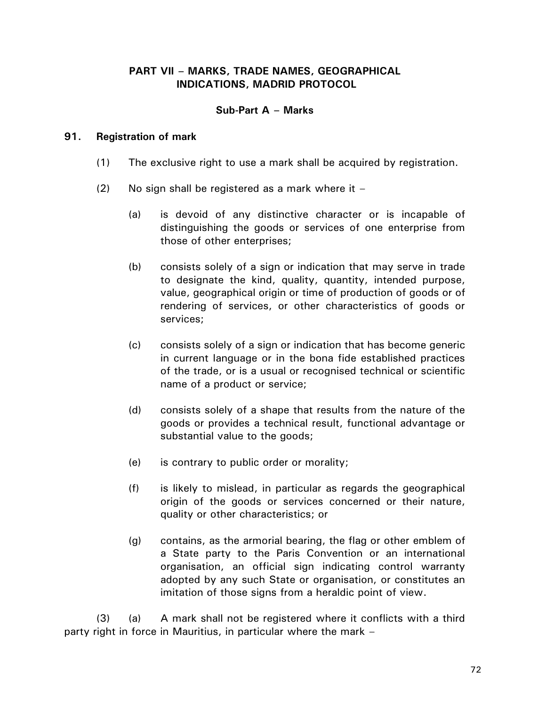### **PART VII – MARKS, TRADE NAMES, GEOGRAPHICAL INDICATIONS, MADRID PROTOCOL**

### **Sub-Part A – Marks**

#### **91. Registration of mark**

- (1) The exclusive right to use a mark shall be acquired by registration.
- $(2)$  No sign shall be registered as a mark where it
	- (a) is devoid of any distinctive character or is incapable of distinguishing the goods or services of one enterprise from those of other enterprises;
	- (b) consists solely of a sign or indication that may serve in trade to designate the kind, quality, quantity, intended purpose, value, geographical origin or time of production of goods or of rendering of services, or other characteristics of goods or services;
	- (c) consists solely of a sign or indication that has become generic in current language or in the bona fide established practices of the trade, or is a usual or recognised technical or scientific name of a product or service;
	- (d) consists solely of a shape that results from the nature of the goods or provides a technical result, functional advantage or substantial value to the goods;
	- (e) is contrary to public order or morality;
	- (f) is likely to mislead, in particular as regards the geographical origin of the goods or services concerned or their nature, quality or other characteristics; or
	- (g) contains, as the armorial bearing, the flag or other emblem of a State party to the Paris Convention or an international organisation, an official sign indicating control warranty adopted by any such State or organisation, or constitutes an imitation of those signs from a heraldic point of view.

(3) (a) A mark shall not be registered where it conflicts with a third party right in force in Mauritius, in particular where the mark –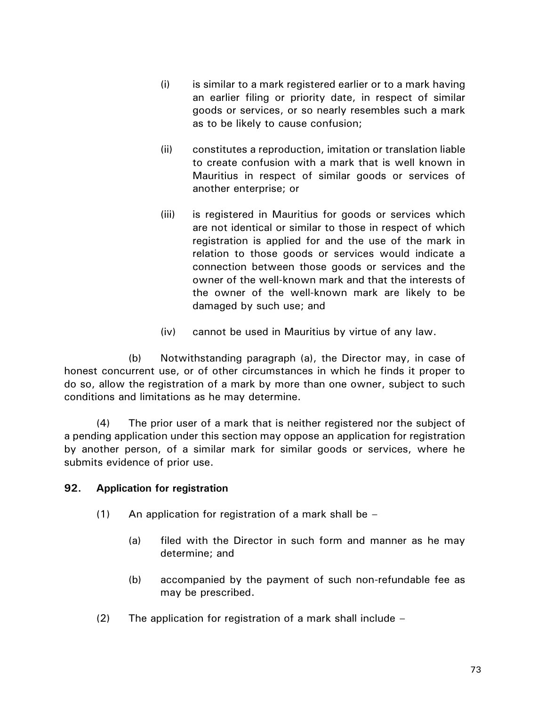- (i) is similar to a mark registered earlier or to a mark having an earlier filing or priority date, in respect of similar goods or services, or so nearly resembles such a mark as to be likely to cause confusion;
- (ii) constitutes a reproduction, imitation or translation liable to create confusion with a mark that is well known in Mauritius in respect of similar goods or services of another enterprise; or
- (iii) is registered in Mauritius for goods or services which are not identical or similar to those in respect of which registration is applied for and the use of the mark in relation to those goods or services would indicate a connection between those goods or services and the owner of the well-known mark and that the interests of the owner of the well-known mark are likely to be damaged by such use; and
- (iv) cannot be used in Mauritius by virtue of any law.

(b) Notwithstanding paragraph (a), the Director may, in case of honest concurrent use, or of other circumstances in which he finds it proper to do so, allow the registration of a mark by more than one owner, subject to such conditions and limitations as he may determine.

(4) The prior user of a mark that is neither registered nor the subject of a pending application under this section may oppose an application for registration by another person, of a similar mark for similar goods or services, where he submits evidence of prior use.

### **92. Application for registration**

- (1) An application for registration of a mark shall be  $-$ 
	- (a) filed with the Director in such form and manner as he may determine; and
	- (b) accompanied by the payment of such non-refundable fee as may be prescribed.
- (2) The application for registration of a mark shall include –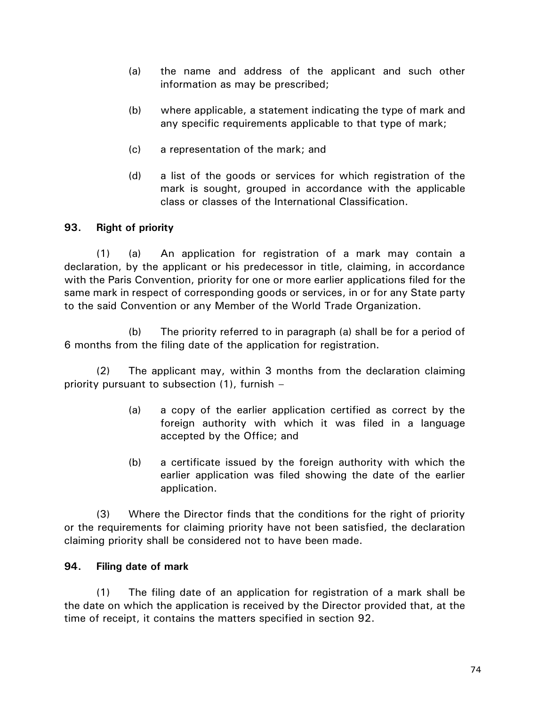- (a) the name and address of the applicant and such other information as may be prescribed;
- (b) where applicable, a statement indicating the type of mark and any specific requirements applicable to that type of mark;
- (c) a representation of the mark; and
- (d) a list of the goods or services for which registration of the mark is sought, grouped in accordance with the applicable class or classes of the International Classification.

# **93. Right of priority**

(1) (a) An application for registration of a mark may contain a declaration, by the applicant or his predecessor in title, claiming, in accordance with the Paris Convention, priority for one or more earlier applications filed for the same mark in respect of corresponding goods or services, in or for any State party to the said Convention or any Member of the World Trade Organization.

(b) The priority referred to in paragraph (a) shall be for a period of 6 months from the filing date of the application for registration.

(2) The applicant may, within 3 months from the declaration claiming priority pursuant to subsection (1), furnish –

- (a) a copy of the earlier application certified as correct by the foreign authority with which it was filed in a language accepted by the Office; and
- (b) a certificate issued by the foreign authority with which the earlier application was filed showing the date of the earlier application.

(3) Where the Director finds that the conditions for the right of priority or the requirements for claiming priority have not been satisfied, the declaration claiming priority shall be considered not to have been made.

### **94. Filing date of mark**

(1) The filing date of an application for registration of a mark shall be the date on which the application is received by the Director provided that, at the time of receipt, it contains the matters specified in section 92.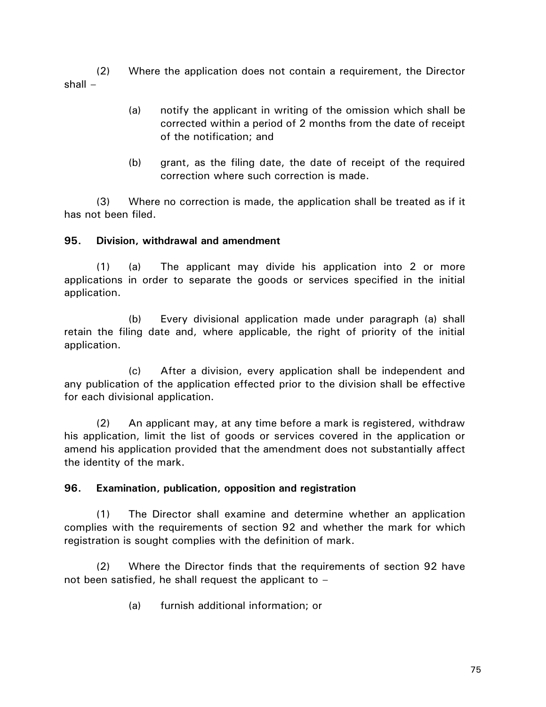(2) Where the application does not contain a requirement, the Director shall –

- (a) notify the applicant in writing of the omission which shall be corrected within a period of 2 months from the date of receipt of the notification; and
- (b) grant, as the filing date, the date of receipt of the required correction where such correction is made.

(3) Where no correction is made, the application shall be treated as if it has not been filed.

# **95. Division, withdrawal and amendment**

(1) (a) The applicant may divide his application into 2 or more applications in order to separate the goods or services specified in the initial application.

(b) Every divisional application made under paragraph (a) shall retain the filing date and, where applicable, the right of priority of the initial application.

(c) After a division, every application shall be independent and any publication of the application effected prior to the division shall be effective for each divisional application.

(2) An applicant may, at any time before a mark is registered, withdraw his application, limit the list of goods or services covered in the application or amend his application provided that the amendment does not substantially affect the identity of the mark.

# **96. Examination, publication, opposition and registration**

(1) The Director shall examine and determine whether an application complies with the requirements of section 92 and whether the mark for which registration is sought complies with the definition of mark.

(2) Where the Director finds that the requirements of section 92 have not been satisfied, he shall request the applicant to –

(a) furnish additional information; or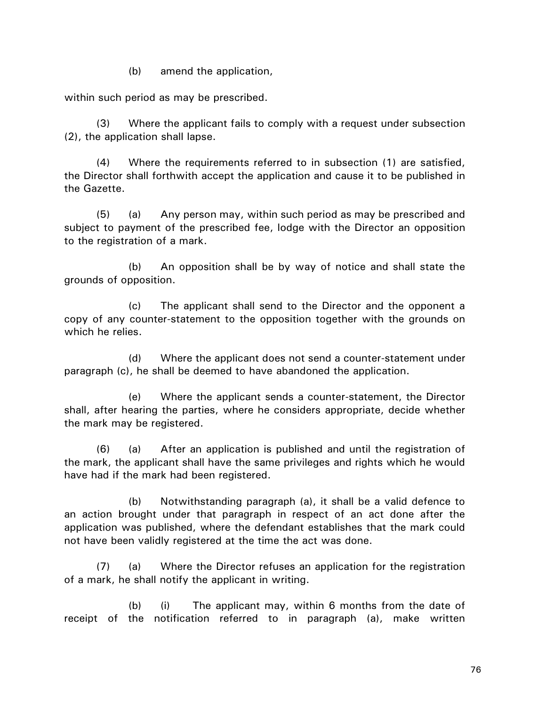(b) amend the application,

within such period as may be prescribed.

(3) Where the applicant fails to comply with a request under subsection (2), the application shall lapse.

(4) Where the requirements referred to in subsection (1) are satisfied, the Director shall forthwith accept the application and cause it to be published in the Gazette.

(5) (a) Any person may, within such period as may be prescribed and subject to payment of the prescribed fee, lodge with the Director an opposition to the registration of a mark.

(b) An opposition shall be by way of notice and shall state the grounds of opposition.

(c) The applicant shall send to the Director and the opponent a copy of any counter-statement to the opposition together with the grounds on which he relies.

(d) Where the applicant does not send a counter-statement under paragraph (c), he shall be deemed to have abandoned the application.

(e) Where the applicant sends a counter-statement, the Director shall, after hearing the parties, where he considers appropriate, decide whether the mark may be registered.

(6) (a) After an application is published and until the registration of the mark, the applicant shall have the same privileges and rights which he would have had if the mark had been registered.

(b) Notwithstanding paragraph (a), it shall be a valid defence to an action brought under that paragraph in respect of an act done after the application was published, where the defendant establishes that the mark could not have been validly registered at the time the act was done.

(7) (a) Where the Director refuses an application for the registration of a mark, he shall notify the applicant in writing.

(b) (i) The applicant may, within 6 months from the date of receipt of the notification referred to in paragraph (a), make written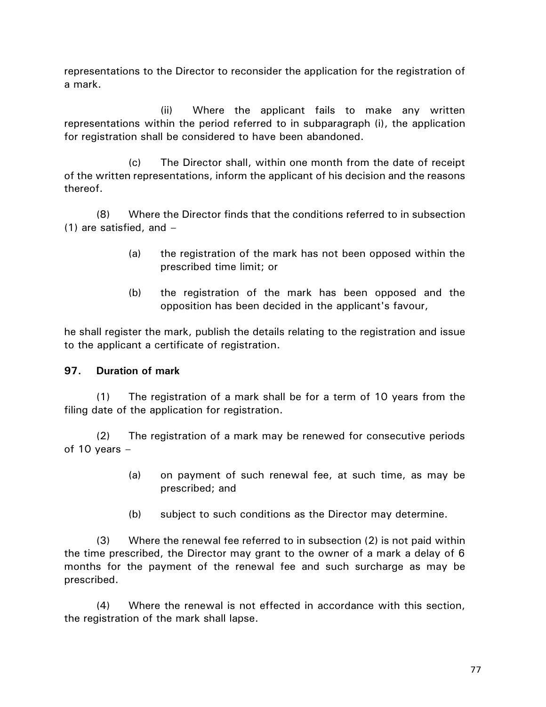representations to the Director to reconsider the application for the registration of a mark.

(ii) Where the applicant fails to make any written representations within the period referred to in subparagraph (i), the application for registration shall be considered to have been abandoned.

(c) The Director shall, within one month from the date of receipt of the written representations, inform the applicant of his decision and the reasons thereof.

(8) Where the Director finds that the conditions referred to in subsection (1) are satisfied, and –

- (a) the registration of the mark has not been opposed within the prescribed time limit; or
- (b) the registration of the mark has been opposed and the opposition has been decided in the applicant's favour,

he shall register the mark, publish the details relating to the registration and issue to the applicant a certificate of registration.

# **97. Duration of mark**

(1) The registration of a mark shall be for a term of 10 years from the filing date of the application for registration.

(2) The registration of a mark may be renewed for consecutive periods of 10 years –

- (a) on payment of such renewal fee, at such time, as may be prescribed; and
- (b) subject to such conditions as the Director may determine.

(3) Where the renewal fee referred to in subsection (2) is not paid within the time prescribed, the Director may grant to the owner of a mark a delay of 6 months for the payment of the renewal fee and such surcharge as may be prescribed.

(4) Where the renewal is not effected in accordance with this section, the registration of the mark shall lapse.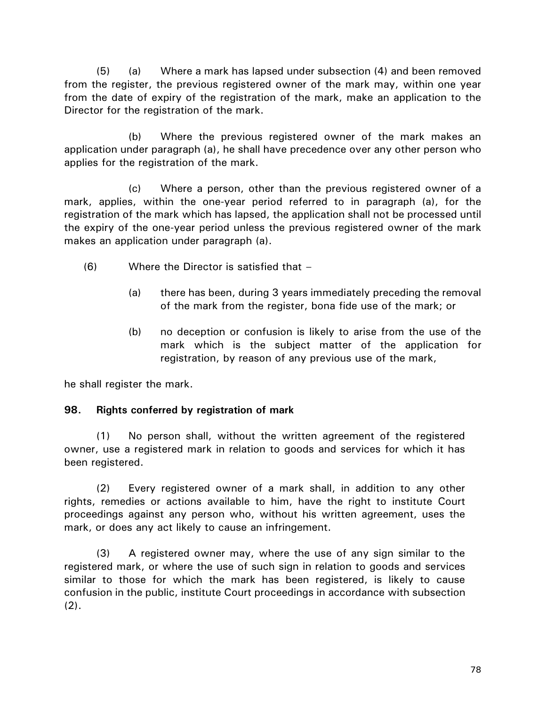(5) (a) Where a mark has lapsed under subsection (4) and been removed from the register, the previous registered owner of the mark may, within one year from the date of expiry of the registration of the mark, make an application to the Director for the registration of the mark.

(b) Where the previous registered owner of the mark makes an application under paragraph (a), he shall have precedence over any other person who applies for the registration of the mark.

(c) Where a person, other than the previous registered owner of a mark, applies, within the one-year period referred to in paragraph (a), for the registration of the mark which has lapsed, the application shall not be processed until the expiry of the one-year period unless the previous registered owner of the mark makes an application under paragraph (a).

- (6) Where the Director is satisfied that
	- (a) there has been, during 3 years immediately preceding the removal of the mark from the register, bona fide use of the mark; or
	- (b) no deception or confusion is likely to arise from the use of the mark which is the subject matter of the application for registration, by reason of any previous use of the mark,

he shall register the mark.

### **98. Rights conferred by registration of mark**

(1) No person shall, without the written agreement of the registered owner, use a registered mark in relation to goods and services for which it has been registered.

(2) Every registered owner of a mark shall, in addition to any other rights, remedies or actions available to him, have the right to institute Court proceedings against any person who, without his written agreement, uses the mark, or does any act likely to cause an infringement.

(3) A registered owner may, where the use of any sign similar to the registered mark, or where the use of such sign in relation to goods and services similar to those for which the mark has been registered, is likely to cause confusion in the public, institute Court proceedings in accordance with subsection  $(2)$ .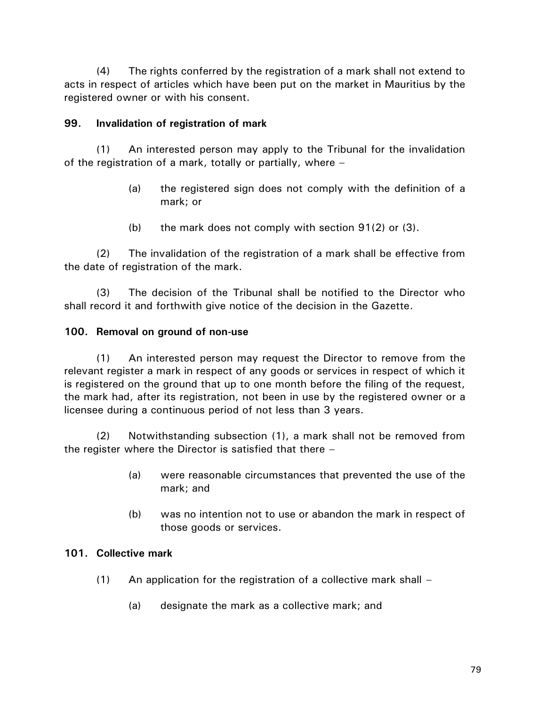(4) The rights conferred by the registration of a mark shall not extend to acts in respect of articles which have been put on the market in Mauritius by the registered owner or with his consent.

## **99. Invalidation of registration of mark**

(1) An interested person may apply to the Tribunal for the invalidation of the registration of a mark, totally or partially, where –

- (a) the registered sign does not comply with the definition of a mark; or
- (b) the mark does not comply with section 91(2) or (3).

(2) The invalidation of the registration of a mark shall be effective from the date of registration of the mark.

(3) The decision of the Tribunal shall be notified to the Director who shall record it and forthwith give notice of the decision in the Gazette.

# **100. Removal on ground of non-use**

(1) An interested person may request the Director to remove from the relevant register a mark in respect of any goods or services in respect of which it is registered on the ground that up to one month before the filing of the request, the mark had, after its registration, not been in use by the registered owner or a licensee during a continuous period of not less than 3 years.

(2) Notwithstanding subsection (1), a mark shall not be removed from the register where the Director is satisfied that there –

- (a) were reasonable circumstances that prevented the use of the mark; and
- (b) was no intention not to use or abandon the mark in respect of those goods or services.

### **101. Collective mark**

- $(1)$  An application for the registration of a collective mark shall
	- (a) designate the mark as a collective mark; and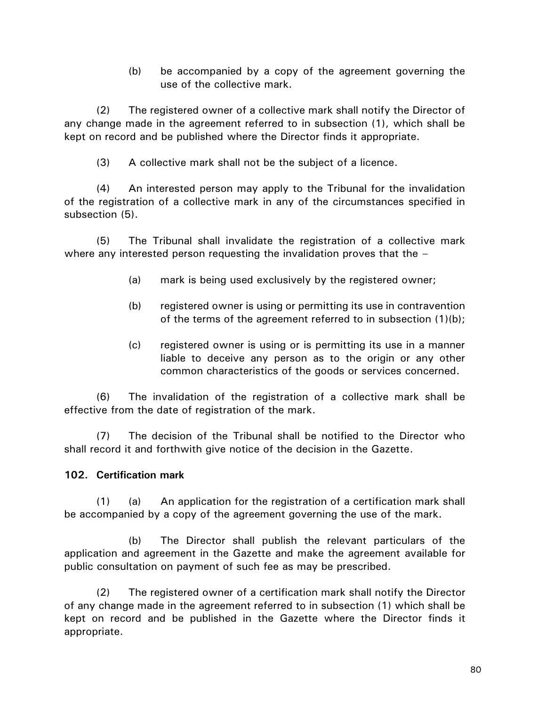(b) be accompanied by a copy of the agreement governing the use of the collective mark.

(2) The registered owner of a collective mark shall notify the Director of any change made in the agreement referred to in subsection (1), which shall be kept on record and be published where the Director finds it appropriate.

(3) A collective mark shall not be the subject of a licence.

(4) An interested person may apply to the Tribunal for the invalidation of the registration of a collective mark in any of the circumstances specified in subsection (5).

(5) The Tribunal shall invalidate the registration of a collective mark where any interested person requesting the invalidation proves that the -

- (a) mark is being used exclusively by the registered owner;
- (b) registered owner is using or permitting its use in contravention of the terms of the agreement referred to in subsection (1)(b);
- (c) registered owner is using or is permitting its use in a manner liable to deceive any person as to the origin or any other common characteristics of the goods or services concerned.

(6) The invalidation of the registration of a collective mark shall be effective from the date of registration of the mark.

(7) The decision of the Tribunal shall be notified to the Director who shall record it and forthwith give notice of the decision in the Gazette.

# **102. Certification mark**

(1) (a) An application for the registration of a certification mark shall be accompanied by a copy of the agreement governing the use of the mark.

(b) The Director shall publish the relevant particulars of the application and agreement in the Gazette and make the agreement available for public consultation on payment of such fee as may be prescribed.

(2) The registered owner of a certification mark shall notify the Director of any change made in the agreement referred to in subsection (1) which shall be kept on record and be published in the Gazette where the Director finds it appropriate.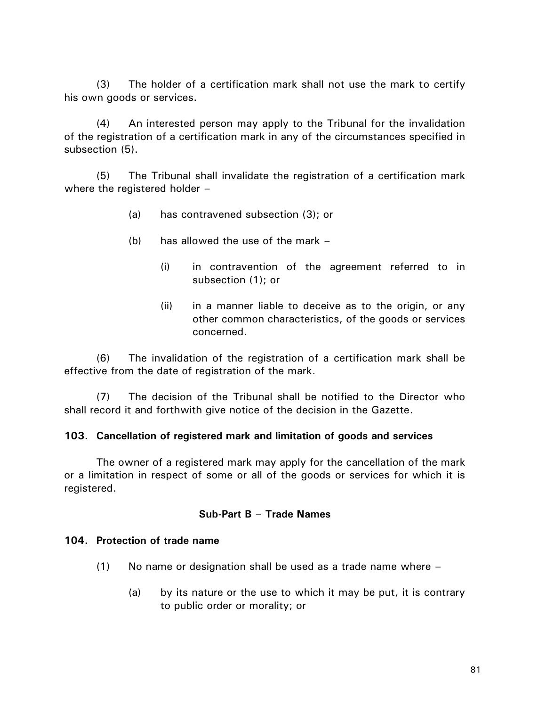(3) The holder of a certification mark shall not use the mark to certify his own goods or services.

(4) An interested person may apply to the Tribunal for the invalidation of the registration of a certification mark in any of the circumstances specified in subsection (5).

(5) The Tribunal shall invalidate the registration of a certification mark where the registered holder –

- (a) has contravened subsection (3); or
- (b) has allowed the use of the mark
	- (i) in contravention of the agreement referred to in subsection (1); or
	- (ii) in a manner liable to deceive as to the origin, or any other common characteristics, of the goods or services concerned.

(6) The invalidation of the registration of a certification mark shall be effective from the date of registration of the mark.

(7) The decision of the Tribunal shall be notified to the Director who shall record it and forthwith give notice of the decision in the Gazette.

#### **103. Cancellation of registered mark and limitation of goods and services**

The owner of a registered mark may apply for the cancellation of the mark or a limitation in respect of some or all of the goods or services for which it is registered.

#### **Sub-Part B – Trade Names**

#### **104. Protection of trade name**

- $(1)$  No name or designation shall be used as a trade name where  $-$ 
	- (a) by its nature or the use to which it may be put, it is contrary to public order or morality; or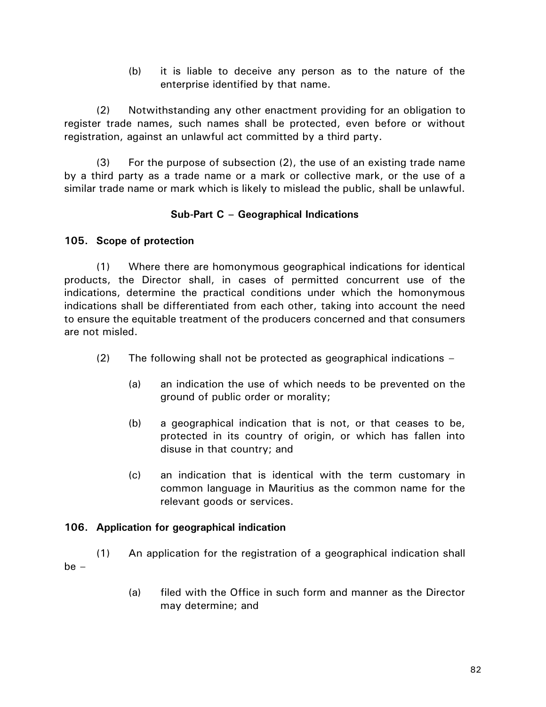(b) it is liable to deceive any person as to the nature of the enterprise identified by that name.

(2) Notwithstanding any other enactment providing for an obligation to register trade names, such names shall be protected, even before or without registration, against an unlawful act committed by a third party.

(3) For the purpose of subsection (2), the use of an existing trade name by a third party as a trade name or a mark or collective mark, or the use of a similar trade name or mark which is likely to mislead the public, shall be unlawful.

# **Sub-Part C – Geographical Indications**

# **105. Scope of protection**

(1) Where there are homonymous geographical indications for identical products, the Director shall, in cases of permitted concurrent use of the indications, determine the practical conditions under which the homonymous indications shall be differentiated from each other, taking into account the need to ensure the equitable treatment of the producers concerned and that consumers are not misled.

- (2) The following shall not be protected as geographical indications
	- (a) an indication the use of which needs to be prevented on the ground of public order or morality;
	- (b) a geographical indication that is not, or that ceases to be, protected in its country of origin, or which has fallen into disuse in that country; and
	- (c) an indication that is identical with the term customary in common language in Mauritius as the common name for the relevant goods or services.

### **106. Application for geographical indication**

- (1) An application for the registration of a geographical indication shall be –
	- (a) filed with the Office in such form and manner as the Director may determine; and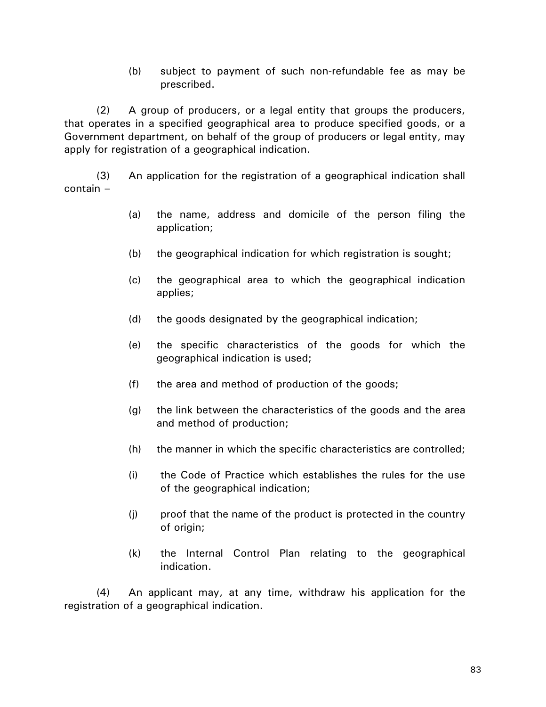(b) subject to payment of such non-refundable fee as may be prescribed.

(2) A group of producers, or a legal entity that groups the producers, that operates in a specified geographical area to produce specified goods, or a Government department, on behalf of the group of producers or legal entity, may apply for registration of a geographical indication.

(3) An application for the registration of a geographical indication shall contain –

- (a) the name, address and domicile of the person filing the application;
- (b) the geographical indication for which registration is sought;
- (c) the geographical area to which the geographical indication applies;
- (d) the goods designated by the geographical indication;
- (e) the specific characteristics of the goods for which the geographical indication is used;
- (f) the area and method of production of the goods;
- (g) the link between the characteristics of the goods and the area and method of production;
- (h) the manner in which the specific characteristics are controlled;
- (i) the Code of Practice which establishes the rules for the use of the geographical indication;
- (j) proof that the name of the product is protected in the country of origin;
- (k) the Internal Control Plan relating to the geographical indication.

(4) An applicant may, at any time, withdraw his application for the registration of a geographical indication.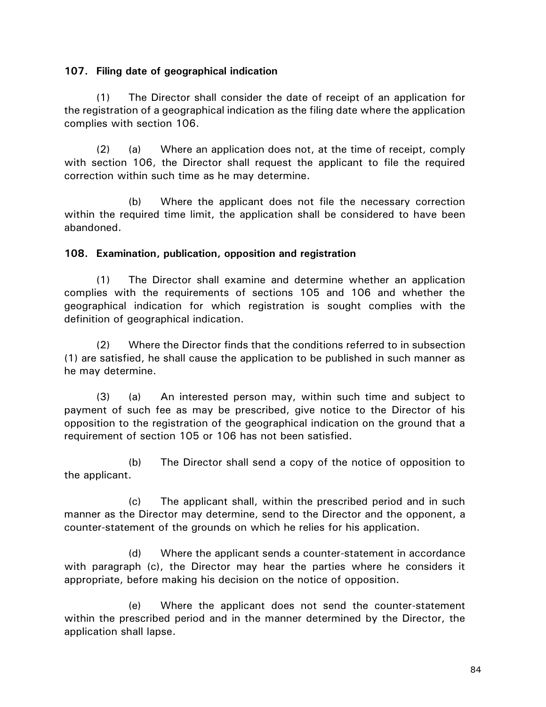#### **107. Filing date of geographical indication**

(1) The Director shall consider the date of receipt of an application for the registration of a geographical indication as the filing date where the application complies with section 106.

(2) (a) Where an application does not, at the time of receipt, comply with section 106, the Director shall request the applicant to file the required correction within such time as he may determine.

(b) Where the applicant does not file the necessary correction within the required time limit, the application shall be considered to have been abandoned.

#### **108. Examination, publication, opposition and registration**

(1) The Director shall examine and determine whether an application complies with the requirements of sections 105 and 106 and whether the geographical indication for which registration is sought complies with the definition of geographical indication.

(2) Where the Director finds that the conditions referred to in subsection (1) are satisfied, he shall cause the application to be published in such manner as he may determine.

(3) (a) An interested person may, within such time and subject to payment of such fee as may be prescribed, give notice to the Director of his opposition to the registration of the geographical indication on the ground that a requirement of section 105 or 106 has not been satisfied.

(b) The Director shall send a copy of the notice of opposition to the applicant.

(c) The applicant shall, within the prescribed period and in such manner as the Director may determine, send to the Director and the opponent, a counter-statement of the grounds on which he relies for his application.

(d) Where the applicant sends a counter-statement in accordance with paragraph (c), the Director may hear the parties where he considers it appropriate, before making his decision on the notice of opposition.

(e) Where the applicant does not send the counter-statement within the prescribed period and in the manner determined by the Director, the application shall lapse.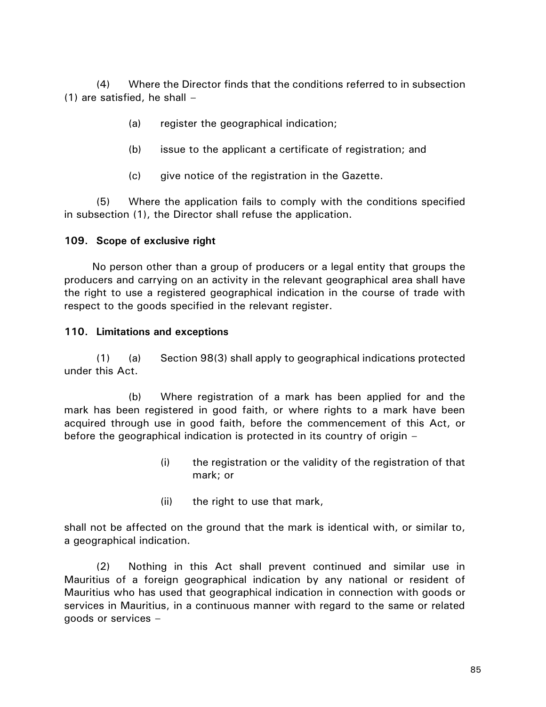(4) Where the Director finds that the conditions referred to in subsection (1) are satisfied, he shall –

- (a) register the geographical indication;
- (b) issue to the applicant a certificate of registration; and
- (c) give notice of the registration in the Gazette.

(5) Where the application fails to comply with the conditions specified in subsection (1), the Director shall refuse the application.

# **109. Scope of exclusive right**

No person other than a group of producers or a legal entity that groups the producers and carrying on an activity in the relevant geographical area shall have the right to use a registered geographical indication in the course of trade with respect to the goods specified in the relevant register.

### **110. Limitations and exceptions**

(1) (a) Section 98(3) shall apply to geographical indications protected under this Act.

(b) Where registration of a mark has been applied for and the mark has been registered in good faith, or where rights to a mark have been acquired through use in good faith, before the commencement of this Act, or before the geographical indication is protected in its country of origin –

- (i) the registration or the validity of the registration of that mark; or
- (ii) the right to use that mark,

shall not be affected on the ground that the mark is identical with, or similar to, a geographical indication.

(2) Nothing in this Act shall prevent continued and similar use in Mauritius of a foreign geographical indication by any national or resident of Mauritius who has used that geographical indication in connection with goods or services in Mauritius, in a continuous manner with regard to the same or related goods or services –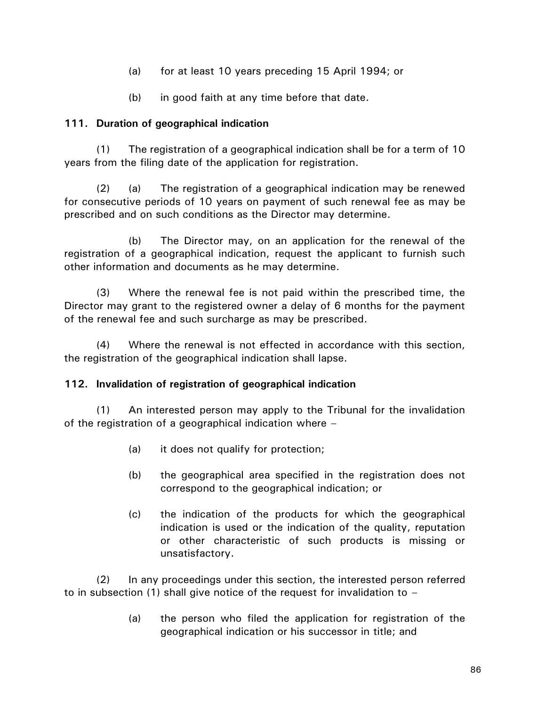- (a) for at least 10 years preceding 15 April 1994; or
- (b) in good faith at any time before that date.

# **111. Duration of geographical indication**

(1) The registration of a geographical indication shall be for a term of 10 years from the filing date of the application for registration.

(2) (a) The registration of a geographical indication may be renewed for consecutive periods of 10 years on payment of such renewal fee as may be prescribed and on such conditions as the Director may determine.

(b) The Director may, on an application for the renewal of the registration of a geographical indication, request the applicant to furnish such other information and documents as he may determine.

(3) Where the renewal fee is not paid within the prescribed time, the Director may grant to the registered owner a delay of 6 months for the payment of the renewal fee and such surcharge as may be prescribed.

(4) Where the renewal is not effected in accordance with this section, the registration of the geographical indication shall lapse.

### **112. Invalidation of registration of geographical indication**

(1) An interested person may apply to the Tribunal for the invalidation of the registration of a geographical indication where –

- (a) it does not qualify for protection;
- (b) the geographical area specified in the registration does not correspond to the geographical indication; or
- (c) the indication of the products for which the geographical indication is used or the indication of the quality, reputation or other characteristic of such products is missing or unsatisfactory.

(2) In any proceedings under this section, the interested person referred to in subsection (1) shall give notice of the request for invalidation to –

> (a) the person who filed the application for registration of the geographical indication or his successor in title; and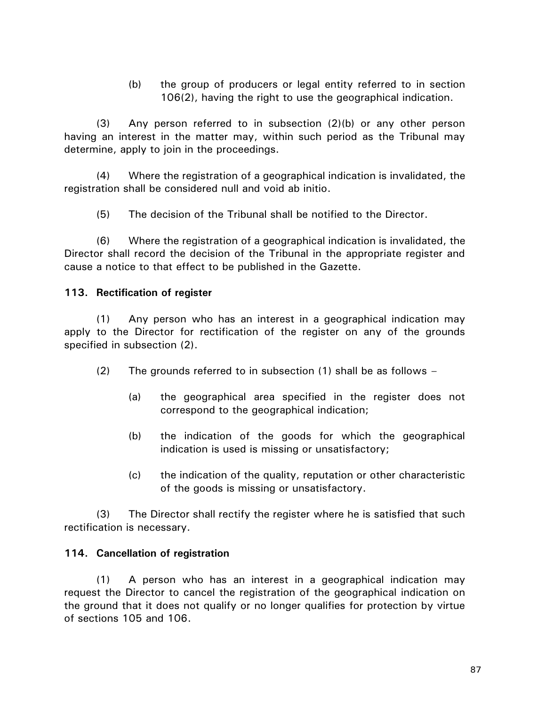(b) the group of producers or legal entity referred to in section 106(2), having the right to use the geographical indication.

(3) Any person referred to in subsection (2)(b) or any other person having an interest in the matter may, within such period as the Tribunal may determine, apply to join in the proceedings.

(4) Where the registration of a geographical indication is invalidated, the registration shall be considered null and void ab initio.

(5) The decision of the Tribunal shall be notified to the Director.

(6) Where the registration of a geographical indication is invalidated, the Director shall record the decision of the Tribunal in the appropriate register and cause a notice to that effect to be published in the Gazette.

### **113. Rectification of register**

(1) Any person who has an interest in a geographical indication may apply to the Director for rectification of the register on any of the grounds specified in subsection (2).

- (2) The grounds referred to in subsection  $(1)$  shall be as follows
	- (a) the geographical area specified in the register does not correspond to the geographical indication;
	- (b) the indication of the goods for which the geographical indication is used is missing or unsatisfactory;
	- (c) the indication of the quality, reputation or other characteristic of the goods is missing or unsatisfactory.

(3) The Director shall rectify the register where he is satisfied that such rectification is necessary.

#### **114. Cancellation of registration**

(1) A person who has an interest in a geographical indication may request the Director to cancel the registration of the geographical indication on the ground that it does not qualify or no longer qualifies for protection by virtue of sections 105 and 106.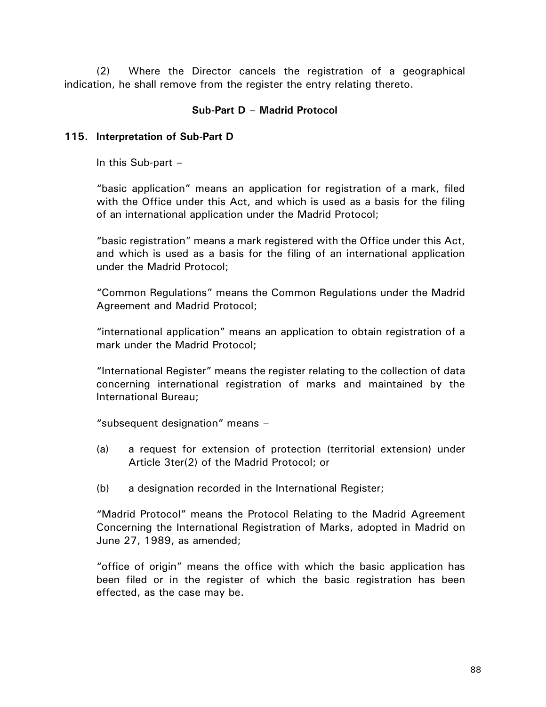(2) Where the Director cancels the registration of a geographical indication, he shall remove from the register the entry relating thereto.

## **Sub-Part D – Madrid Protocol**

#### **115. Interpretation of Sub-Part D**

In this Sub-part  $-$ 

"basic application" means an application for registration of a mark, filed with the Office under this Act, and which is used as a basis for the filing of an international application under the Madrid Protocol;

"basic registration" means a mark registered with the Office under this Act, and which is used as a basis for the filing of an international application under the Madrid Protocol;

"Common Regulations" means the Common Regulations under the Madrid Agreement and Madrid Protocol;

"international application" means an application to obtain registration of a mark under the Madrid Protocol;

"International Register" means the register relating to the collection of data concerning international registration of marks and maintained by the International Bureau;

"subsequent designation" means –

- (a) a request for extension of protection (territorial extension) under Article 3ter(2) of the Madrid Protocol; or
- (b) a designation recorded in the International Register;

"Madrid Protocol" means the Protocol Relating to the Madrid Agreement Concerning the International Registration of Marks, adopted in Madrid on June 27, 1989, as amended;

"office of origin" means the office with which the basic application has been filed or in the register of which the basic registration has been effected, as the case may be.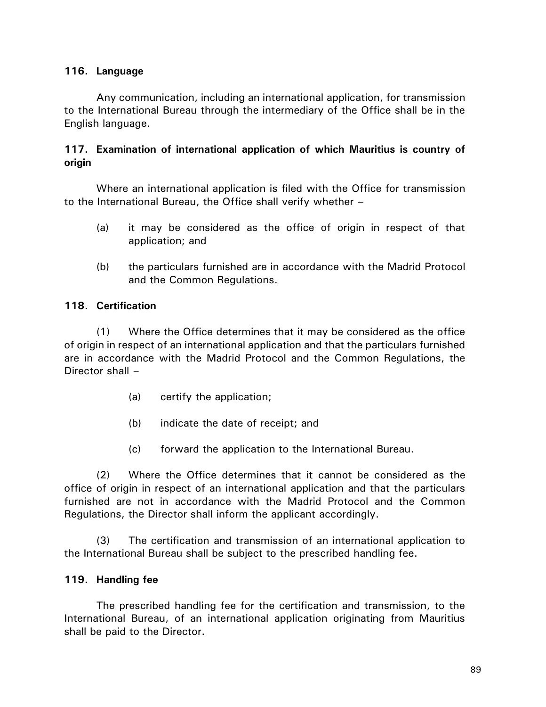# **116. Language**

Any communication, including an international application, for transmission to the International Bureau through the intermediary of the Office shall be in the English language.

# **117. Examination of international application of which Mauritius is country of origin**

Where an international application is filed with the Office for transmission to the International Bureau, the Office shall verify whether –

- (a) it may be considered as the office of origin in respect of that application; and
- (b) the particulars furnished are in accordance with the Madrid Protocol and the Common Regulations.

### **118. Certification**

(1) Where the Office determines that it may be considered as the office of origin in respect of an international application and that the particulars furnished are in accordance with the Madrid Protocol and the Common Regulations, the Director shall –

- (a) certify the application;
- (b) indicate the date of receipt; and
- (c) forward the application to the International Bureau.

(2) Where the Office determines that it cannot be considered as the office of origin in respect of an international application and that the particulars furnished are not in accordance with the Madrid Protocol and the Common Regulations, the Director shall inform the applicant accordingly.

(3) The certification and transmission of an international application to the International Bureau shall be subject to the prescribed handling fee.

### **119. Handling fee**

The prescribed handling fee for the certification and transmission, to the International Bureau, of an international application originating from Mauritius shall be paid to the Director.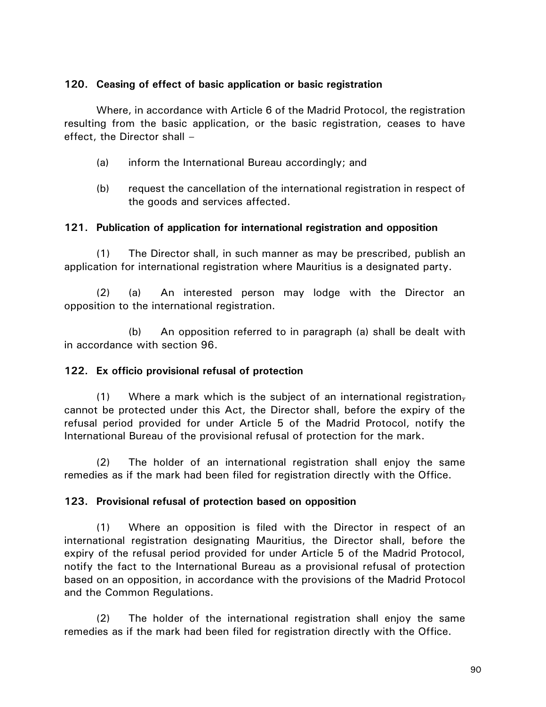### **120. Ceasing of effect of basic application or basic registration**

Where, in accordance with Article 6 of the Madrid Protocol, the registration resulting from the basic application, or the basic registration, ceases to have effect, the Director shall –

- (a) inform the International Bureau accordingly; and
- (b) request the cancellation of the international registration in respect of the goods and services affected.

# **121. Publication of application for international registration and opposition**

(1) The Director shall, in such manner as may be prescribed, publish an application for international registration where Mauritius is a designated party.

(2) (a) An interested person may lodge with the Director an opposition to the international registration.

(b) An opposition referred to in paragraph (a) shall be dealt with in accordance with section 96.

# **122. Ex officio provisional refusal of protection**

(1) Where a mark which is the subject of an international registration $<sub>7</sub>$ </sub> cannot be protected under this Act, the Director shall, before the expiry of the refusal period provided for under Article 5 of the Madrid Protocol, notify the International Bureau of the provisional refusal of protection for the mark.

(2) The holder of an international registration shall enjoy the same remedies as if the mark had been filed for registration directly with the Office.

### **123. Provisional refusal of protection based on opposition**

(1) Where an opposition is filed with the Director in respect of an international registration designating Mauritius, the Director shall, before the expiry of the refusal period provided for under Article 5 of the Madrid Protocol, notify the fact to the International Bureau as a provisional refusal of protection based on an opposition, in accordance with the provisions of the Madrid Protocol and the Common Regulations.

(2) The holder of the international registration shall enjoy the same remedies as if the mark had been filed for registration directly with the Office.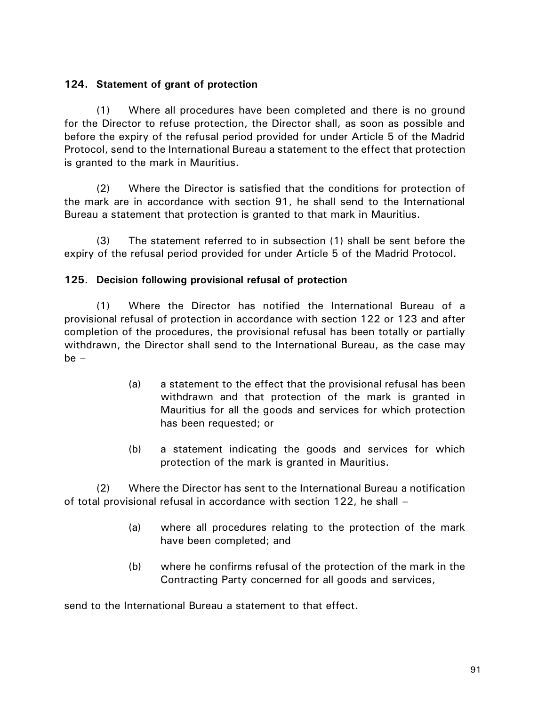# **124. Statement of grant of protection**

(1) Where all procedures have been completed and there is no ground for the Director to refuse protection, the Director shall, as soon as possible and before the expiry of the refusal period provided for under Article 5 of the Madrid Protocol, send to the International Bureau a statement to the effect that protection is granted to the mark in Mauritius.

(2) Where the Director is satisfied that the conditions for protection of the mark are in accordance with section 91, he shall send to the International Bureau a statement that protection is granted to that mark in Mauritius.

(3) The statement referred to in subsection (1) shall be sent before the expiry of the refusal period provided for under Article 5 of the Madrid Protocol.

### **125. Decision following provisional refusal of protection**

(1) Where the Director has notified the International Bureau of a provisional refusal of protection in accordance with section 122 or 123 and after completion of the procedures, the provisional refusal has been totally or partially withdrawn, the Director shall send to the International Bureau, as the case may  $be -$ 

- (a) a statement to the effect that the provisional refusal has been withdrawn and that protection of the mark is granted in Mauritius for all the goods and services for which protection has been requested; or
- (b) a statement indicating the goods and services for which protection of the mark is granted in Mauritius.

(2) Where the Director has sent to the International Bureau a notification of total provisional refusal in accordance with section 122, he shall –

- (a) where all procedures relating to the protection of the mark have been completed; and
- (b) where he confirms refusal of the protection of the mark in the Contracting Party concerned for all goods and services,

send to the International Bureau a statement to that effect.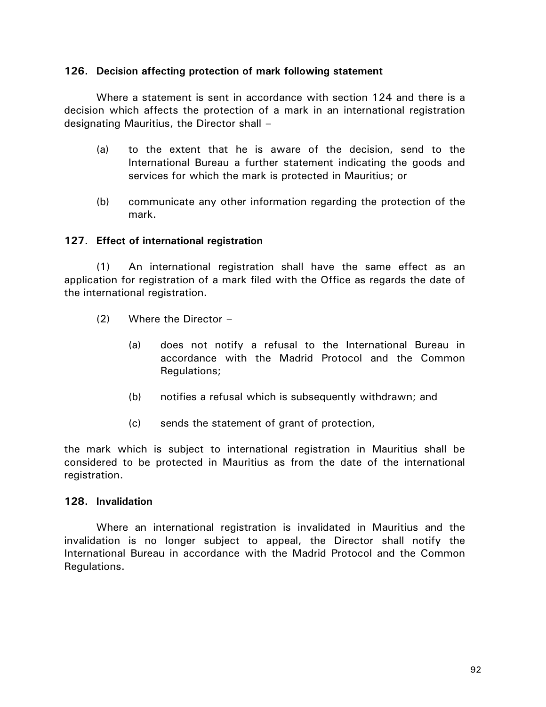#### **126. Decision affecting protection of mark following statement**

Where a statement is sent in accordance with section 124 and there is a decision which affects the protection of a mark in an international registration designating Mauritius, the Director shall –

- (a) to the extent that he is aware of the decision, send to the International Bureau a further statement indicating the goods and services for which the mark is protected in Mauritius; or
- (b) communicate any other information regarding the protection of the mark.

### **127. Effect of international registration**

(1) An international registration shall have the same effect as an application for registration of a mark filed with the Office as regards the date of the international registration.

- (2) Where the Director
	- (a) does not notify a refusal to the International Bureau in accordance with the Madrid Protocol and the Common Regulations;
	- (b) notifies a refusal which is subsequently withdrawn; and
	- (c) sends the statement of grant of protection,

the mark which is subject to international registration in Mauritius shall be considered to be protected in Mauritius as from the date of the international registration.

### **128. Invalidation**

Where an international registration is invalidated in Mauritius and the invalidation is no longer subject to appeal, the Director shall notify the International Bureau in accordance with the Madrid Protocol and the Common Regulations.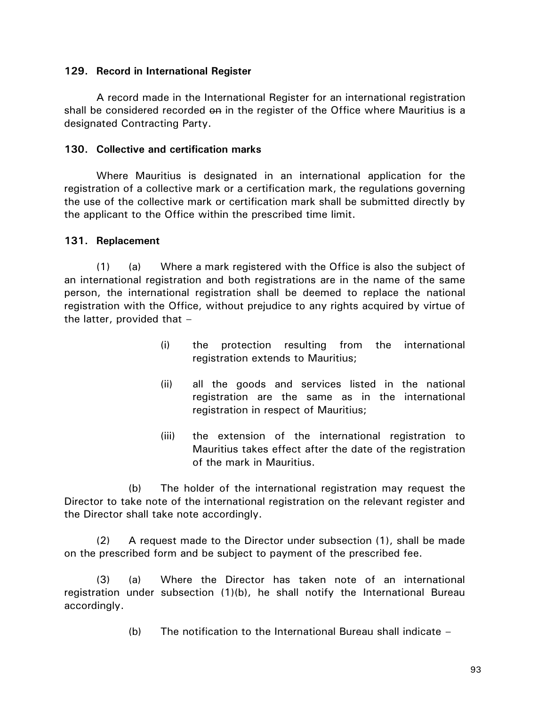#### **129. Record in International Register**

A record made in the International Register for an international registration shall be considered recorded on in the register of the Office where Mauritius is a designated Contracting Party.

#### **130. Collective and certification marks**

Where Mauritius is designated in an international application for the registration of a collective mark or a certification mark, the regulations governing the use of the collective mark or certification mark shall be submitted directly by the applicant to the Office within the prescribed time limit.

#### **131. Replacement**

(1) (a) Where a mark registered with the Office is also the subject of an international registration and both registrations are in the name of the same person, the international registration shall be deemed to replace the national registration with the Office, without prejudice to any rights acquired by virtue of the latter, provided that –

- (i) the protection resulting from the international registration extends to Mauritius;
- (ii) all the goods and services listed in the national registration are the same as in the international registration in respect of Mauritius;
- (iii) the extension of the international registration to Mauritius takes effect after the date of the registration of the mark in Mauritius.

(b) The holder of the international registration may request the Director to take note of the international registration on the relevant register and the Director shall take note accordingly.

(2) A request made to the Director under subsection (1), shall be made on the prescribed form and be subject to payment of the prescribed fee.

(3) (a) Where the Director has taken note of an international registration under subsection (1)(b), he shall notify the International Bureau accordingly.

(b) The notification to the International Bureau shall indicate –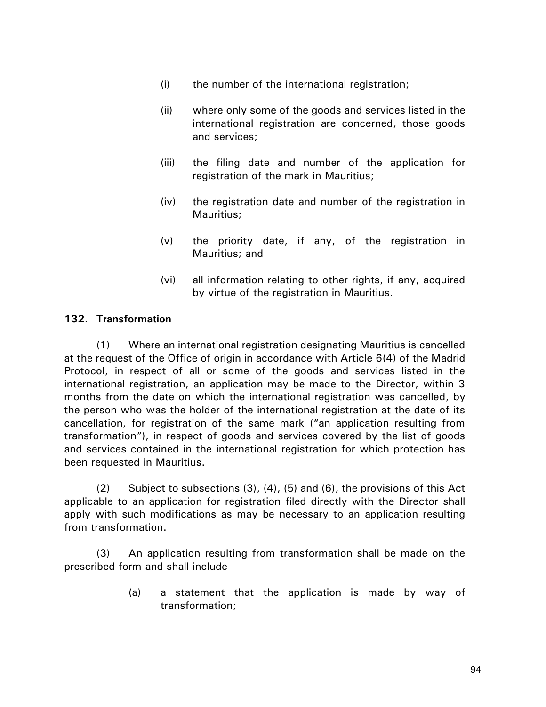- (i) the number of the international registration;
- (ii) where only some of the goods and services listed in the international registration are concerned, those goods and services;
- (iii) the filing date and number of the application for registration of the mark in Mauritius;
- (iv) the registration date and number of the registration in Mauritius;
- (v) the priority date, if any, of the registration in Mauritius; and
- (vi) all information relating to other rights, if any, acquired by virtue of the registration in Mauritius.

# **132. Transformation**

(1) Where an international registration designating Mauritius is cancelled at the request of the Office of origin in accordance with Article 6(4) of the Madrid Protocol, in respect of all or some of the goods and services listed in the international registration, an application may be made to the Director, within 3 months from the date on which the international registration was cancelled, by the person who was the holder of the international registration at the date of its cancellation, for registration of the same mark ("an application resulting from transformation"), in respect of goods and services covered by the list of goods and services contained in the international registration for which protection has been requested in Mauritius.

(2) Subject to subsections (3), (4), (5) and (6), the provisions of this Act applicable to an application for registration filed directly with the Director shall apply with such modifications as may be necessary to an application resulting from transformation.

(3) An application resulting from transformation shall be made on the prescribed form and shall include –

> (a) a statement that the application is made by way of transformation;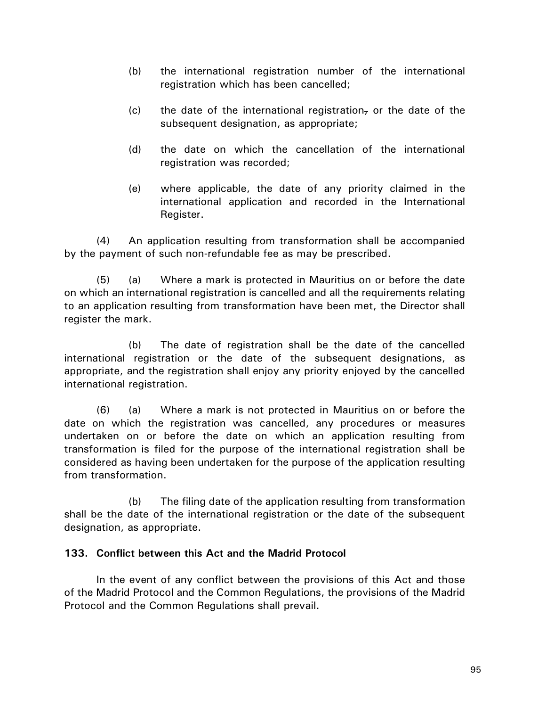- (b) the international registration number of the international registration which has been cancelled;
- (c) the date of the international registration, or the date of the subsequent designation, as appropriate;
- (d) the date on which the cancellation of the international registration was recorded;
- (e) where applicable, the date of any priority claimed in the international application and recorded in the International Register.

(4) An application resulting from transformation shall be accompanied by the payment of such non-refundable fee as may be prescribed.

(5) (a) Where a mark is protected in Mauritius on or before the date on which an international registration is cancelled and all the requirements relating to an application resulting from transformation have been met, the Director shall register the mark.

(b) The date of registration shall be the date of the cancelled international registration or the date of the subsequent designations, as appropriate, and the registration shall enjoy any priority enjoyed by the cancelled international registration.

(6) (a) Where a mark is not protected in Mauritius on or before the date on which the registration was cancelled, any procedures or measures undertaken on or before the date on which an application resulting from transformation is filed for the purpose of the international registration shall be considered as having been undertaken for the purpose of the application resulting from transformation.

(b) The filing date of the application resulting from transformation shall be the date of the international registration or the date of the subsequent designation, as appropriate.

### **133. Conflict between this Act and the Madrid Protocol**

In the event of any conflict between the provisions of this Act and those of the Madrid Protocol and the Common Regulations, the provisions of the Madrid Protocol and the Common Regulations shall prevail.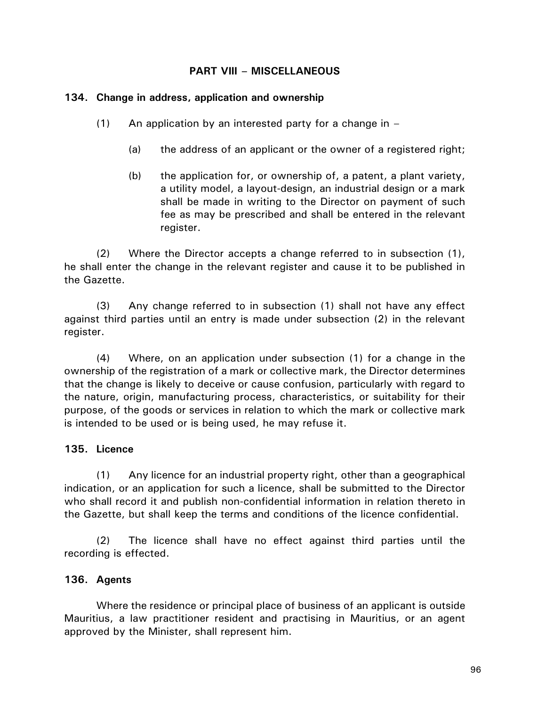### **PART VIII – MISCELLANEOUS**

#### **134. Change in address, application and ownership**

- $(1)$  An application by an interested party for a change in
	- (a) the address of an applicant or the owner of a registered right;
	- (b) the application for, or ownership of, a patent, a plant variety, a utility model, a layout-design, an industrial design or a mark shall be made in writing to the Director on payment of such fee as may be prescribed and shall be entered in the relevant register.

(2) Where the Director accepts a change referred to in subsection (1), he shall enter the change in the relevant register and cause it to be published in the Gazette.

(3) Any change referred to in subsection (1) shall not have any effect against third parties until an entry is made under subsection (2) in the relevant register.

(4) Where, on an application under subsection (1) for a change in the ownership of the registration of a mark or collective mark, the Director determines that the change is likely to deceive or cause confusion, particularly with regard to the nature, origin, manufacturing process, characteristics, or suitability for their purpose, of the goods or services in relation to which the mark or collective mark is intended to be used or is being used, he may refuse it.

### **135. Licence**

(1) Any licence for an industrial property right, other than a geographical indication, or an application for such a licence, shall be submitted to the Director who shall record it and publish non-confidential information in relation thereto in the Gazette, but shall keep the terms and conditions of the licence confidential.

(2) The licence shall have no effect against third parties until the recording is effected.

### **136. Agents**

Where the residence or principal place of business of an applicant is outside Mauritius, a law practitioner resident and practising in Mauritius, or an agent approved by the Minister, shall represent him.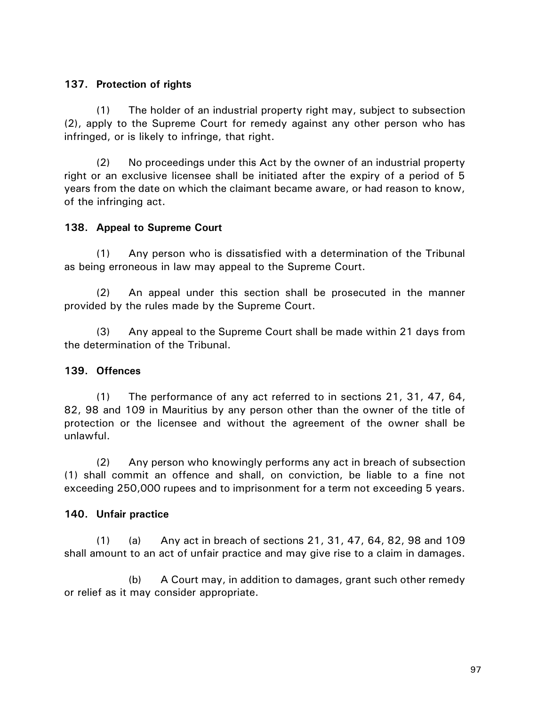# **137. Protection of rights**

(1) The holder of an industrial property right may, subject to subsection (2), apply to the Supreme Court for remedy against any other person who has infringed, or is likely to infringe, that right.

(2) No proceedings under this Act by the owner of an industrial property right or an exclusive licensee shall be initiated after the expiry of a period of 5 years from the date on which the claimant became aware, or had reason to know, of the infringing act.

# **138. Appeal to Supreme Court**

(1) Any person who is dissatisfied with a determination of the Tribunal as being erroneous in law may appeal to the Supreme Court.

(2) An appeal under this section shall be prosecuted in the manner provided by the rules made by the Supreme Court.

(3) Any appeal to the Supreme Court shall be made within 21 days from the determination of the Tribunal.

# **139. Offences**

(1) The performance of any act referred to in sections 21, 31, 47, 64, 82, 98 and 109 in Mauritius by any person other than the owner of the title of protection or the licensee and without the agreement of the owner shall be unlawful.

(2) Any person who knowingly performs any act in breach of subsection (1) shall commit an offence and shall, on conviction, be liable to a fine not exceeding 250,000 rupees and to imprisonment for a term not exceeding 5 years.

### **140. Unfair practice**

(1) (a) Any act in breach of sections 21, 31, 47, 64, 82, 98 and 109 shall amount to an act of unfair practice and may give rise to a claim in damages.

(b) A Court may, in addition to damages, grant such other remedy or relief as it may consider appropriate.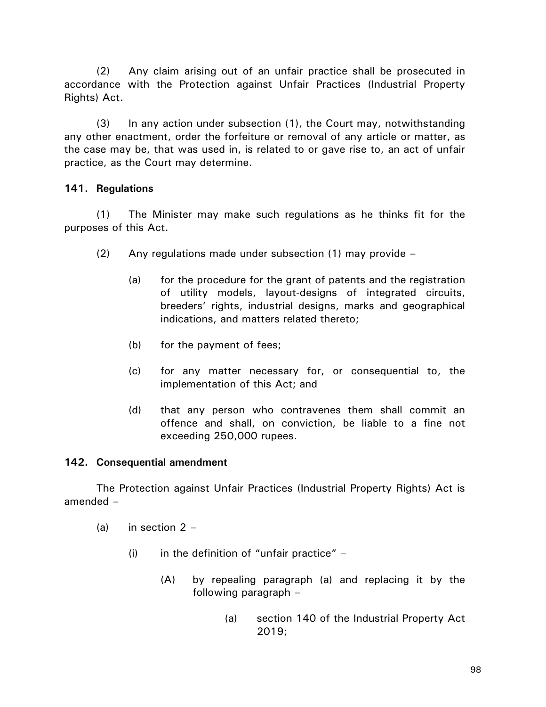(2) Any claim arising out of an unfair practice shall be prosecuted in accordance with the Protection against Unfair Practices (Industrial Property Rights) Act.

(3) In any action under subsection (1), the Court may, notwithstanding any other enactment, order the forfeiture or removal of any article or matter, as the case may be, that was used in, is related to or gave rise to, an act of unfair practice, as the Court may determine.

### **141. Regulations**

(1) The Minister may make such regulations as he thinks fit for the purposes of this Act.

- (2) Any regulations made under subsection (1) may provide
	- (a) for the procedure for the grant of patents and the registration of utility models, layout-designs of integrated circuits, breeders' rights, industrial designs, marks and geographical indications, and matters related thereto;
	- (b) for the payment of fees;
	- (c) for any matter necessary for, or consequential to, the implementation of this Act; and
	- (d) that any person who contravenes them shall commit an offence and shall, on conviction, be liable to a fine not exceeding 250,000 rupees.

### **142. Consequential amendment**

The Protection against Unfair Practices (Industrial Property Rights) Act is amended –

- (a) in section  $2 -$ 
	- (i) in the definition of "unfair practice"  $-$ 
		- (A) by repealing paragraph (a) and replacing it by the following paragraph –
			- (a) section 140 of the Industrial Property Act 2019;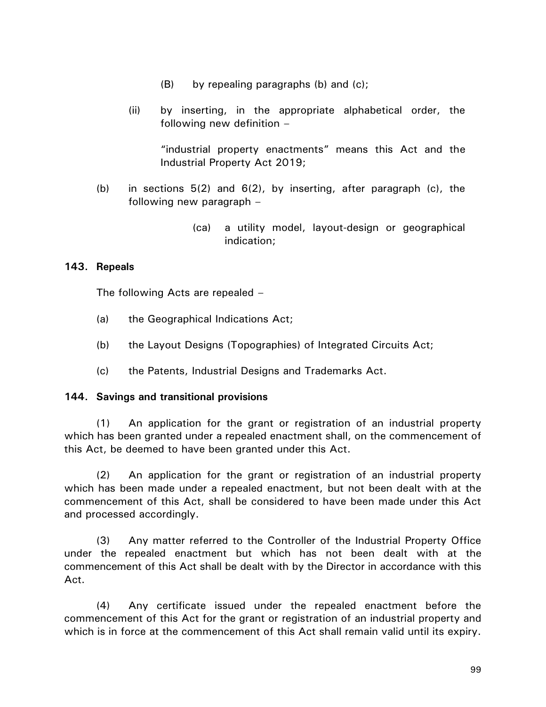- (B) by repealing paragraphs (b) and (c);
- (ii) by inserting, in the appropriate alphabetical order, the following new definition –

"industrial property enactments" means this Act and the Industrial Property Act 2019;

- (b) in sections 5(2) and 6(2), by inserting, after paragraph (c), the following new paragraph –
	- (ca) a utility model, layout-design or geographical indication;

### **143. Repeals**

The following Acts are repealed –

- (a) the Geographical Indications Act;
- (b) the Layout Designs (Topographies) of Integrated Circuits Act;
- (c) the Patents, Industrial Designs and Trademarks Act.

#### **144. Savings and transitional provisions**

(1) An application for the grant or registration of an industrial property which has been granted under a repealed enactment shall, on the commencement of this Act, be deemed to have been granted under this Act.

(2) An application for the grant or registration of an industrial property which has been made under a repealed enactment, but not been dealt with at the commencement of this Act, shall be considered to have been made under this Act and processed accordingly.

(3) Any matter referred to the Controller of the Industrial Property Office under the repealed enactment but which has not been dealt with at the commencement of this Act shall be dealt with by the Director in accordance with this Act.

(4) Any certificate issued under the repealed enactment before the commencement of this Act for the grant or registration of an industrial property and which is in force at the commencement of this Act shall remain valid until its expiry.